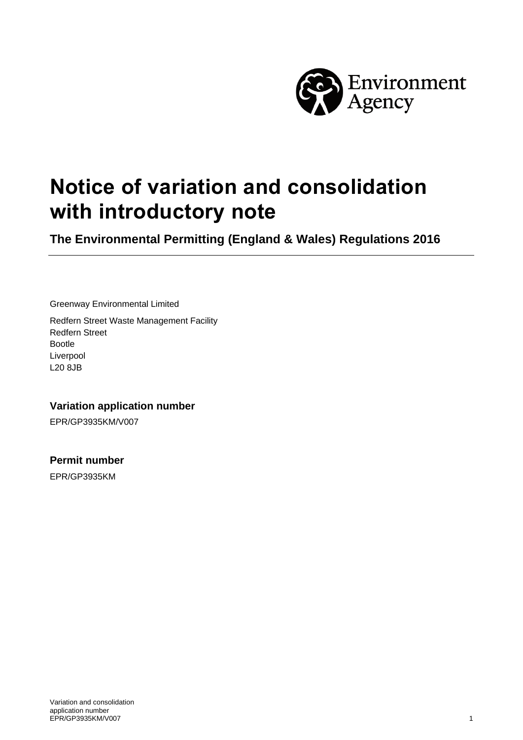

# **Notice of variation and consolidation with introductory note**

**The Environmental Permitting (England & Wales) Regulations 2016**

Greenway Environmental Limited

Redfern Street Waste Management Facility Redfern Street Bootle Liverpool L20 8JB

**Variation application number**

EPR/GP3935KM/V007

**Permit number**

EPR/GP3935KM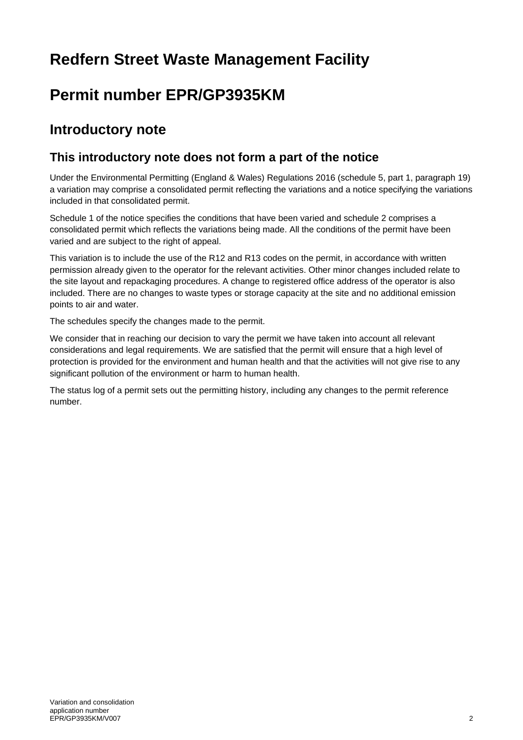## **Redfern Street Waste Management Facility**

## **Permit number EPR/GP3935KM**

## **Introductory note**

### **This introductory note does not form a part of the notice**

Under the Environmental Permitting (England & Wales) Regulations 2016 (schedule 5, part 1, paragraph 19) a variation may comprise a consolidated permit reflecting the variations and a notice specifying the variations included in that consolidated permit.

Schedule 1 of the notice specifies the conditions that have been varied and schedule 2 comprises a consolidated permit which reflects the variations being made. All the conditions of the permit have been varied and are subject to the right of appeal.

This variation is to include the use of the R12 and R13 codes on the permit, in accordance with written permission already given to the operator for the relevant activities. Other minor changes included relate to the site layout and repackaging procedures. A change to registered office address of the operator is also included. There are no changes to waste types or storage capacity at the site and no additional emission points to air and water.

The schedules specify the changes made to the permit.

We consider that in reaching our decision to vary the permit we have taken into account all relevant considerations and legal requirements. We are satisfied that the permit will ensure that a high level of protection is provided for the environment and human health and that the activities will not give rise to any significant pollution of the environment or harm to human health.

The status log of a permit sets out the permitting history, including any changes to the permit reference number.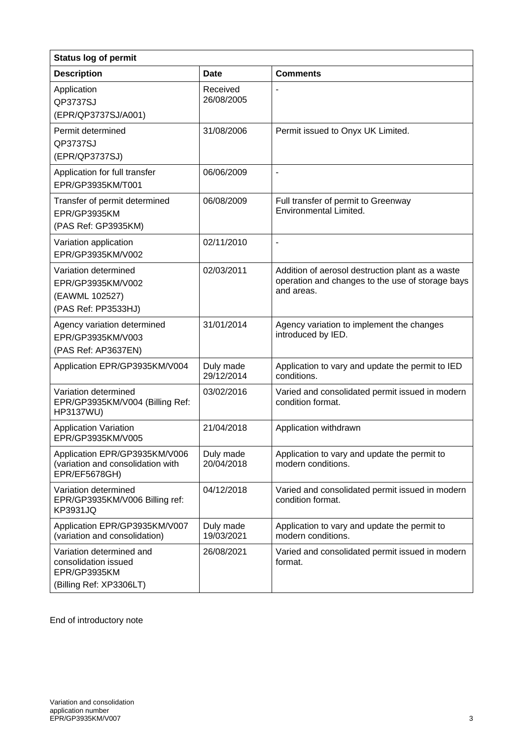| <b>Status log of permit</b>                                                                 |                         |                                                                                                                    |  |
|---------------------------------------------------------------------------------------------|-------------------------|--------------------------------------------------------------------------------------------------------------------|--|
| <b>Description</b>                                                                          | <b>Date</b>             | <b>Comments</b>                                                                                                    |  |
| Application<br>QP3737SJ<br>(EPR/QP3737SJ/A001)                                              | Received<br>26/08/2005  |                                                                                                                    |  |
| Permit determined<br>QP3737SJ<br>(EPR/QP3737SJ)                                             | 31/08/2006              | Permit issued to Onyx UK Limited.                                                                                  |  |
| Application for full transfer<br>EPR/GP3935KM/T001                                          | 06/06/2009              | ÷,                                                                                                                 |  |
| Transfer of permit determined<br>EPR/GP3935KM<br>(PAS Ref: GP3935KM)                        | 06/08/2009              | Full transfer of permit to Greenway<br><b>Environmental Limited.</b>                                               |  |
| Variation application<br>EPR/GP3935KM/V002                                                  | 02/11/2010              | $\blacksquare$                                                                                                     |  |
| Variation determined<br>EPR/GP3935KM/V002<br>(EAWML 102527)<br>(PAS Ref: PP3533HJ)          | 02/03/2011              | Addition of aerosol destruction plant as a waste<br>operation and changes to the use of storage bays<br>and areas. |  |
| Agency variation determined<br>EPR/GP3935KM/V003<br>(PAS Ref: AP3637EN)                     | 31/01/2014              | Agency variation to implement the changes<br>introduced by IED.                                                    |  |
| Application EPR/GP3935KM/V004                                                               | Duly made<br>29/12/2014 | Application to vary and update the permit to IED<br>conditions.                                                    |  |
| Variation determined<br>EPR/GP3935KM/V004 (Billing Ref:<br>HP3137WU)                        | 03/02/2016              | Varied and consolidated permit issued in modern<br>condition format.                                               |  |
| <b>Application Variation</b><br>EPR/GP3935KM/V005                                           | 21/04/2018              | Application withdrawn                                                                                              |  |
| Application EPR/GP3935KM/V006<br>(variation and consolidation with<br>EPR/EF5678GH)         | Duly made<br>20/04/2018 | Application to vary and update the permit to<br>modern conditions.                                                 |  |
| Variation determined<br>EPR/GP3935KM/V006 Billing ref:<br><b>KP3931JQ</b>                   | 04/12/2018              | Varied and consolidated permit issued in modern<br>condition format.                                               |  |
| Application EPR/GP3935KM/V007<br>(variation and consolidation)                              | Duly made<br>19/03/2021 | Application to vary and update the permit to<br>modern conditions.                                                 |  |
| Variation determined and<br>consolidation issued<br>EPR/GP3935KM<br>(Billing Ref: XP3306LT) | 26/08/2021              | Varied and consolidated permit issued in modern<br>format.                                                         |  |

End of introductory note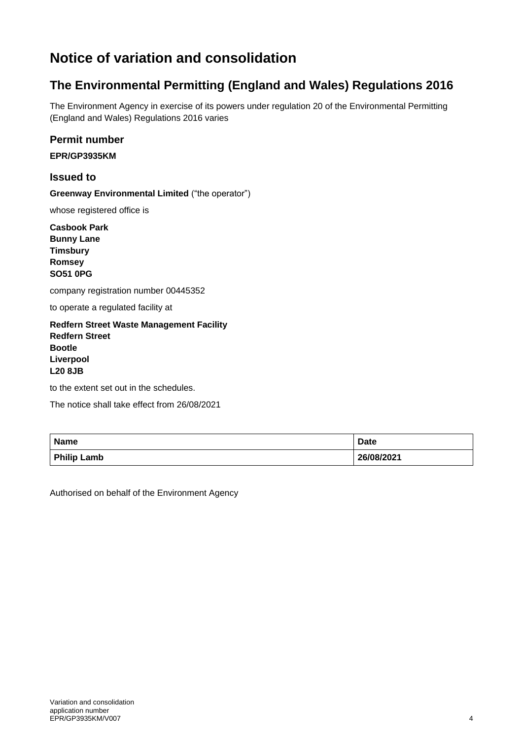## **Notice of variation and consolidation**

### **The Environmental Permitting (England and Wales) Regulations 2016**

The Environment Agency in exercise of its powers under regulation 20 of the Environmental Permitting (England and Wales) Regulations 2016 varies

#### **Permit number**

**EPR/GP3935KM**

#### **Issued to**

**Greenway Environmental Limited** ("the operator")

whose registered office is

**Casbook Park Bunny Lane Timsbury Romsey SO51 0PG**

company registration number 00445352

to operate a regulated facility at

**Redfern Street Waste Management Facility Redfern Street Bootle Liverpool L20 8JB**

to the extent set out in the schedules.

The notice shall take effect from 26/08/2021

| <b>Name</b>        | <b>Date</b> |
|--------------------|-------------|
| <b>Philip Lamb</b> | 26/08/2021  |

Authorised on behalf of the Environment Agency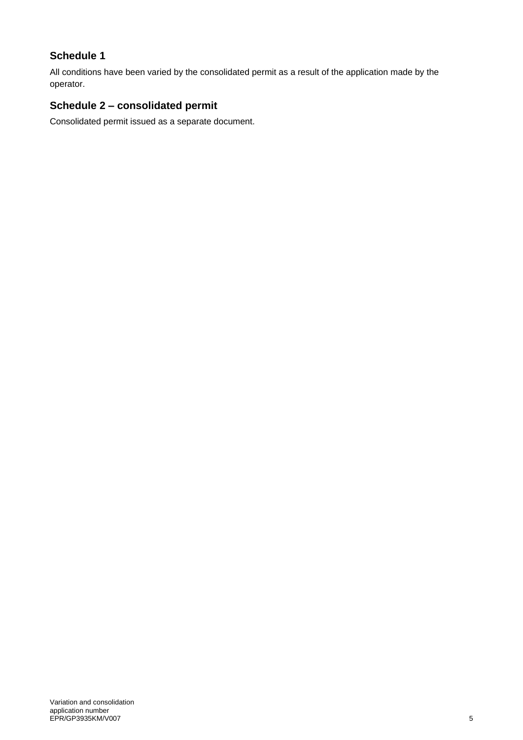#### **Schedule 1**

All conditions have been varied by the consolidated permit as a result of the application made by the operator.

#### **Schedule 2 – consolidated permit**

Consolidated permit issued as a separate document.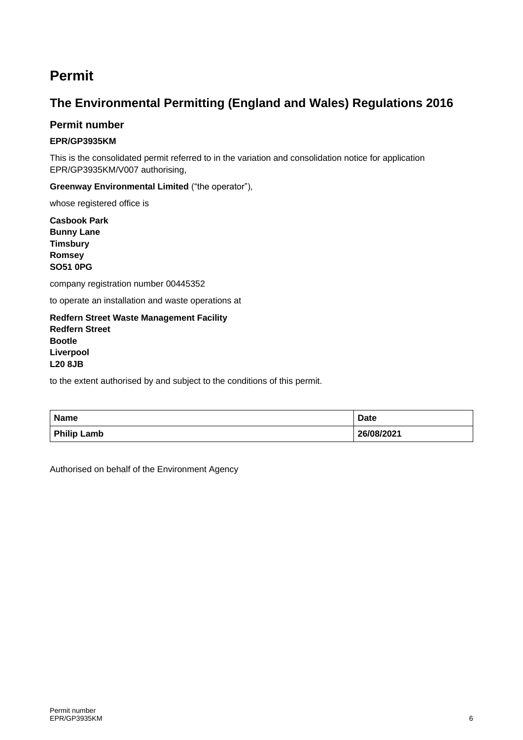## **Permit**

### **The Environmental Permitting (England and Wales) Regulations 2016**

#### **Permit number**

#### **EPR/GP3935KM**

This is the consolidated permit referred to in the variation and consolidation notice for application EPR/GP3935KM/V007 authorising,

**Greenway Environmental Limited** ("the operator"),

whose registered office is

**Casbook Park Bunny Lane Timsbury Romsey SO51 0PG**

company registration number 00445352

to operate an installation and waste operations at

**Redfern Street Waste Management Facility Redfern Street Bootle Liverpool L20 8JB**

to the extent authorised by and subject to the conditions of this permit.

| <b>Name</b>        | <b>Date</b> |
|--------------------|-------------|
| <b>Philip Lamb</b> | 26/08/2021  |

Authorised on behalf of the Environment Agency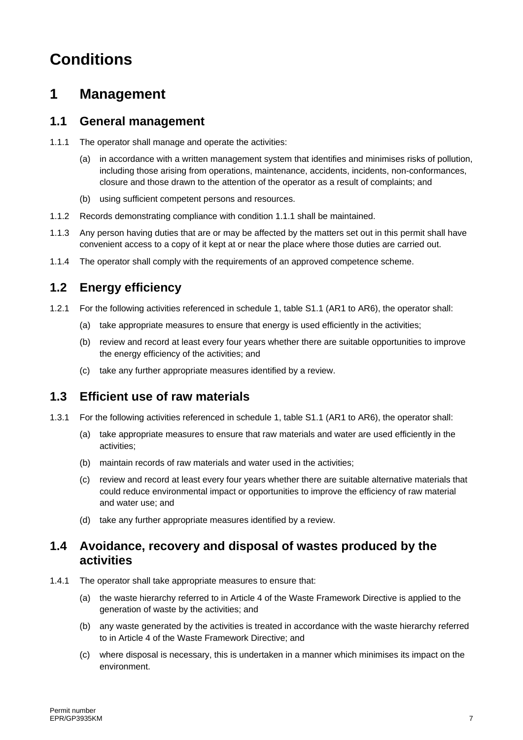# **Conditions**

## **1 Management**

#### **1.1 General management**

- 1.1.1 The operator shall manage and operate the activities:
	- (a) in accordance with a written management system that identifies and minimises risks of pollution, including those arising from operations, maintenance, accidents, incidents, non-conformances, closure and those drawn to the attention of the operator as a result of complaints; and
	- (b) using sufficient competent persons and resources.
- 1.1.2 Records demonstrating compliance with condition 1.1.1 shall be maintained.
- 1.1.3 Any person having duties that are or may be affected by the matters set out in this permit shall have convenient access to a copy of it kept at or near the place where those duties are carried out.
- 1.1.4 The operator shall comply with the requirements of an approved competence scheme.

### **1.2 Energy efficiency**

- 1.2.1 For the following activities referenced in schedule 1, table S1.1 (AR1 to AR6), the operator shall:
	- (a) take appropriate measures to ensure that energy is used efficiently in the activities;
	- (b) review and record at least every four years whether there are suitable opportunities to improve the energy efficiency of the activities; and
	- (c) take any further appropriate measures identified by a review.

### **1.3 Efficient use of raw materials**

- 1.3.1 For the following activities referenced in schedule 1, table S1.1 (AR1 to AR6), the operator shall:
	- (a) take appropriate measures to ensure that raw materials and water are used efficiently in the activities;
	- (b) maintain records of raw materials and water used in the activities;
	- (c) review and record at least every four years whether there are suitable alternative materials that could reduce environmental impact or opportunities to improve the efficiency of raw material and water use; and
	- (d) take any further appropriate measures identified by a review.

#### **1.4 Avoidance, recovery and disposal of wastes produced by the activities**

- 1.4.1 The operator shall take appropriate measures to ensure that:
	- (a) the waste hierarchy referred to in Article 4 of the Waste Framework Directive is applied to the generation of waste by the activities; and
	- (b) any waste generated by the activities is treated in accordance with the waste hierarchy referred to in Article 4 of the Waste Framework Directive; and
	- (c) where disposal is necessary, this is undertaken in a manner which minimises its impact on the environment.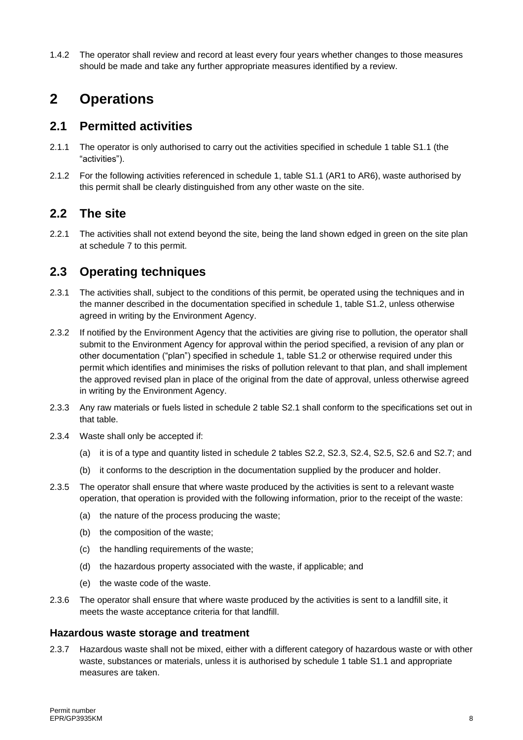1.4.2 The operator shall review and record at least every four years whether changes to those measures should be made and take any further appropriate measures identified by a review.

## **2 Operations**

#### **2.1 Permitted activities**

- 2.1.1 The operator is only authorised to carry out the activities specified in schedule 1 table S1.1 (the "activities").
- 2.1.2 For the following activities referenced in schedule 1, table S1.1 (AR1 to AR6), waste authorised by this permit shall be clearly distinguished from any other waste on the site.

#### **2.2 The site**

2.2.1 The activities shall not extend beyond the site, being the land shown edged in green on the site plan at schedule 7 to this permit.

### **2.3 Operating techniques**

- 2.3.1 The activities shall, subject to the conditions of this permit, be operated using the techniques and in the manner described in the documentation specified in schedule 1, table S1.2, unless otherwise agreed in writing by the Environment Agency.
- 2.3.2 If notified by the Environment Agency that the activities are giving rise to pollution, the operator shall submit to the Environment Agency for approval within the period specified, a revision of any plan or other documentation ("plan") specified in schedule 1, table S1.2 or otherwise required under this permit which identifies and minimises the risks of pollution relevant to that plan, and shall implement the approved revised plan in place of the original from the date of approval, unless otherwise agreed in writing by the Environment Agency.
- 2.3.3 Any raw materials or fuels listed in schedule 2 table S2.1 shall conform to the specifications set out in that table.
- 2.3.4 Waste shall only be accepted if:
	- (a) it is of a type and quantity listed in schedule 2 tables S2.2, S2.3, S2.4, S2.5, S2.6 and S2.7; and
	- (b) it conforms to the description in the documentation supplied by the producer and holder.
- 2.3.5 The operator shall ensure that where waste produced by the activities is sent to a relevant waste operation, that operation is provided with the following information, prior to the receipt of the waste:
	- (a) the nature of the process producing the waste;
	- (b) the composition of the waste;
	- (c) the handling requirements of the waste;
	- (d) the hazardous property associated with the waste, if applicable; and
	- (e) the waste code of the waste.
- 2.3.6 The operator shall ensure that where waste produced by the activities is sent to a landfill site, it meets the waste acceptance criteria for that landfill.

#### **Hazardous waste storage and treatment**

2.3.7 Hazardous waste shall not be mixed, either with a different category of hazardous waste or with other waste, substances or materials, unless it is authorised by schedule 1 table S1.1 and appropriate measures are taken.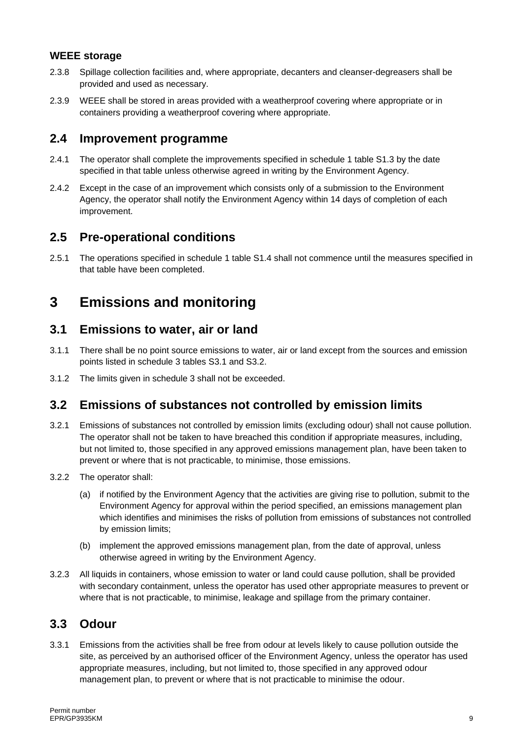#### **WEEE storage**

- 2.3.8 Spillage collection facilities and, where appropriate, decanters and cleanser-degreasers shall be provided and used as necessary.
- 2.3.9 WEEE shall be stored in areas provided with a weatherproof covering where appropriate or in containers providing a weatherproof covering where appropriate.

#### **2.4 Improvement programme**

- 2.4.1 The operator shall complete the improvements specified in schedule 1 table S1.3 by the date specified in that table unless otherwise agreed in writing by the Environment Agency.
- 2.4.2 Except in the case of an improvement which consists only of a submission to the Environment Agency, the operator shall notify the Environment Agency within 14 days of completion of each improvement.

#### **2.5 Pre-operational conditions**

2.5.1 The operations specified in schedule 1 table S1.4 shall not commence until the measures specified in that table have been completed.

## **3 Emissions and monitoring**

#### **3.1 Emissions to water, air or land**

- 3.1.1 There shall be no point source emissions to water, air or land except from the sources and emission points listed in schedule 3 tables S3.1 and S3.2.
- 3.1.2 The limits given in schedule 3 shall not be exceeded.

### **3.2 Emissions of substances not controlled by emission limits**

- 3.2.1 Emissions of substances not controlled by emission limits (excluding odour) shall not cause pollution. The operator shall not be taken to have breached this condition if appropriate measures, including, but not limited to, those specified in any approved emissions management plan, have been taken to prevent or where that is not practicable, to minimise, those emissions.
- 3.2.2 The operator shall:
	- (a) if notified by the Environment Agency that the activities are giving rise to pollution, submit to the Environment Agency for approval within the period specified, an emissions management plan which identifies and minimises the risks of pollution from emissions of substances not controlled by emission limits;
	- (b) implement the approved emissions management plan, from the date of approval, unless otherwise agreed in writing by the Environment Agency.
- 3.2.3 All liquids in containers, whose emission to water or land could cause pollution, shall be provided with secondary containment, unless the operator has used other appropriate measures to prevent or where that is not practicable, to minimise, leakage and spillage from the primary container.

#### **3.3 Odour**

3.3.1 Emissions from the activities shall be free from odour at levels likely to cause pollution outside the site, as perceived by an authorised officer of the Environment Agency, unless the operator has used appropriate measures, including, but not limited to, those specified in any approved odour management plan, to prevent or where that is not practicable to minimise the odour.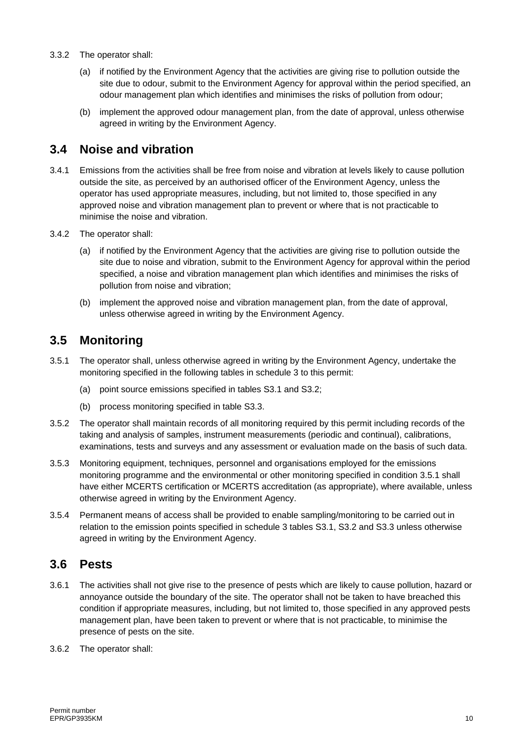#### 3.3.2 The operator shall:

- (a) if notified by the Environment Agency that the activities are giving rise to pollution outside the site due to odour, submit to the Environment Agency for approval within the period specified, an odour management plan which identifies and minimises the risks of pollution from odour;
- (b) implement the approved odour management plan, from the date of approval, unless otherwise agreed in writing by the Environment Agency.

#### **3.4 Noise and vibration**

- 3.4.1 Emissions from the activities shall be free from noise and vibration at levels likely to cause pollution outside the site, as perceived by an authorised officer of the Environment Agency, unless the operator has used appropriate measures, including, but not limited to, those specified in any approved noise and vibration management plan to prevent or where that is not practicable to minimise the noise and vibration.
- 3.4.2 The operator shall:
	- (a) if notified by the Environment Agency that the activities are giving rise to pollution outside the site due to noise and vibration, submit to the Environment Agency for approval within the period specified, a noise and vibration management plan which identifies and minimises the risks of pollution from noise and vibration;
	- (b) implement the approved noise and vibration management plan, from the date of approval, unless otherwise agreed in writing by the Environment Agency.

#### **3.5 Monitoring**

- 3.5.1 The operator shall, unless otherwise agreed in writing by the Environment Agency, undertake the monitoring specified in the following tables in schedule 3 to this permit:
	- (a) point source emissions specified in tables S3.1 and S3.2;
	- (b) process monitoring specified in table S3.3.
- 3.5.2 The operator shall maintain records of all monitoring required by this permit including records of the taking and analysis of samples, instrument measurements (periodic and continual), calibrations, examinations, tests and surveys and any assessment or evaluation made on the basis of such data.
- 3.5.3 Monitoring equipment, techniques, personnel and organisations employed for the emissions monitoring programme and the environmental or other monitoring specified in condition 3.5.1 shall have either MCERTS certification or MCERTS accreditation (as appropriate), where available, unless otherwise agreed in writing by the Environment Agency.
- 3.5.4 Permanent means of access shall be provided to enable sampling/monitoring to be carried out in relation to the emission points specified in schedule 3 tables S3.1, S3.2 and S3.3 unless otherwise agreed in writing by the Environment Agency.

#### **3.6 Pests**

- 3.6.1 The activities shall not give rise to the presence of pests which are likely to cause pollution, hazard or annoyance outside the boundary of the site. The operator shall not be taken to have breached this condition if appropriate measures, including, but not limited to, those specified in any approved pests management plan, have been taken to prevent or where that is not practicable, to minimise the presence of pests on the site.
- 3.6.2 The operator shall: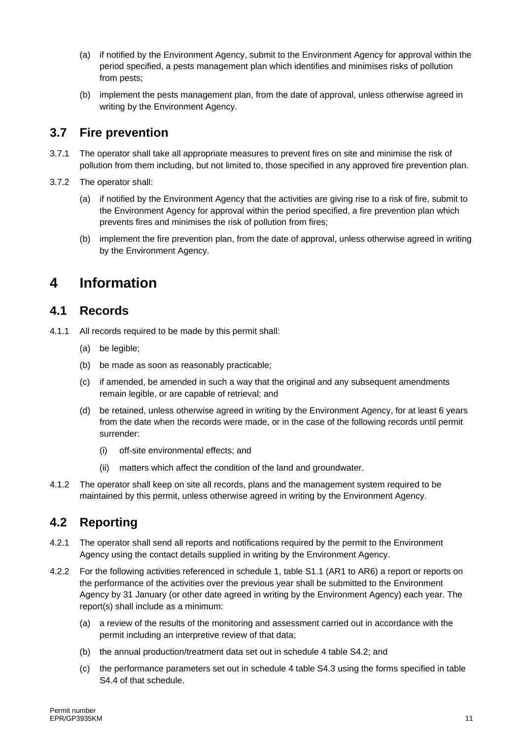- (a) if notified by the Environment Agency, submit to the Environment Agency for approval within the period specified, a pests management plan which identifies and minimises risks of pollution from pests;
- (b) implement the pests management plan, from the date of approval, unless otherwise agreed in writing by the Environment Agency.

#### **3.7 Fire prevention**

- 3.7.1 The operator shall take all appropriate measures to prevent fires on site and minimise the risk of pollution from them including, but not limited to, those specified in any approved fire prevention plan.
- 3.7.2 The operator shall:
	- (a) if notified by the Environment Agency that the activities are giving rise to a risk of fire, submit to the Environment Agency for approval within the period specified, a fire prevention plan which prevents fires and minimises the risk of pollution from fires;
	- (b) implement the fire prevention plan, from the date of approval, unless otherwise agreed in writing by the Environment Agency.

## **4 Information**

#### **4.1 Records**

- 4.1.1 All records required to be made by this permit shall:
	- (a) be legible;
	- (b) be made as soon as reasonably practicable;
	- (c) if amended, be amended in such a way that the original and any subsequent amendments remain legible, or are capable of retrieval; and
	- (d) be retained, unless otherwise agreed in writing by the Environment Agency, for at least 6 years from the date when the records were made, or in the case of the following records until permit surrender:
		- (i) off-site environmental effects; and
		- (ii) matters which affect the condition of the land and groundwater.
- 4.1.2 The operator shall keep on site all records, plans and the management system required to be maintained by this permit, unless otherwise agreed in writing by the Environment Agency.

### **4.2 Reporting**

- 4.2.1 The operator shall send all reports and notifications required by the permit to the Environment Agency using the contact details supplied in writing by the Environment Agency.
- 4.2.2 For the following activities referenced in schedule 1, table S1.1 (AR1 to AR6) a report or reports on the performance of the activities over the previous year shall be submitted to the Environment Agency by 31 January (or other date agreed in writing by the Environment Agency) each year. The report(s) shall include as a minimum:
	- (a) a review of the results of the monitoring and assessment carried out in accordance with the permit including an interpretive review of that data;
	- (b) the annual production/treatment data set out in schedule 4 table S4.2; and
	- (c) the performance parameters set out in schedule 4 table S4.3 using the forms specified in table S4.4 of that schedule.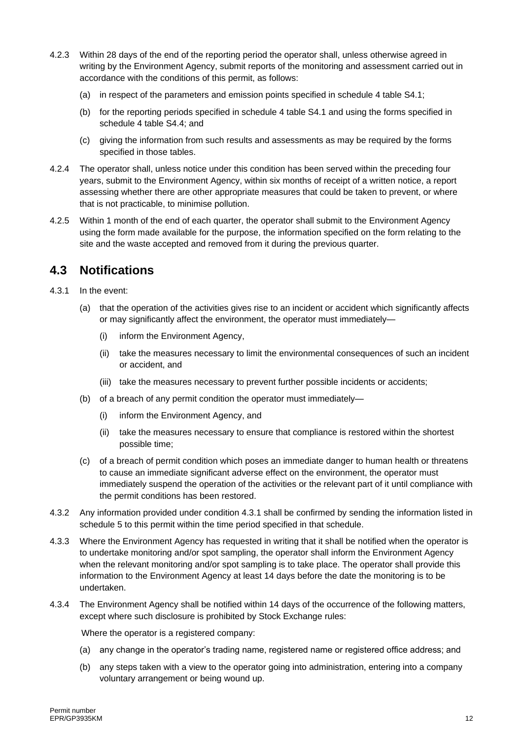- 4.2.3 Within 28 days of the end of the reporting period the operator shall, unless otherwise agreed in writing by the Environment Agency, submit reports of the monitoring and assessment carried out in accordance with the conditions of this permit, as follows:
	- (a) in respect of the parameters and emission points specified in schedule 4 table S4.1;
	- (b) for the reporting periods specified in schedule 4 table S4.1 and using the forms specified in schedule 4 table S4.4; and
	- (c) giving the information from such results and assessments as may be required by the forms specified in those tables.
- 4.2.4 The operator shall, unless notice under this condition has been served within the preceding four years, submit to the Environment Agency, within six months of receipt of a written notice, a report assessing whether there are other appropriate measures that could be taken to prevent, or where that is not practicable, to minimise pollution.
- 4.2.5 Within 1 month of the end of each quarter, the operator shall submit to the Environment Agency using the form made available for the purpose, the information specified on the form relating to the site and the waste accepted and removed from it during the previous quarter.

#### **4.3 Notifications**

- 4.3.1 In the event:
	- (a) that the operation of the activities gives rise to an incident or accident which significantly affects or may significantly affect the environment, the operator must immediately—
		- (i) inform the Environment Agency,
		- (ii) take the measures necessary to limit the environmental consequences of such an incident or accident, and
		- (iii) take the measures necessary to prevent further possible incidents or accidents;
	- (b) of a breach of any permit condition the operator must immediately—
		- (i) inform the Environment Agency, and
		- (ii) take the measures necessary to ensure that compliance is restored within the shortest possible time;
	- (c) of a breach of permit condition which poses an immediate danger to human health or threatens to cause an immediate significant adverse effect on the environment, the operator must immediately suspend the operation of the activities or the relevant part of it until compliance with the permit conditions has been restored.
- 4.3.2 Any information provided under condition 4.3.1 shall be confirmed by sending the information listed in schedule 5 to this permit within the time period specified in that schedule.
- 4.3.3 Where the Environment Agency has requested in writing that it shall be notified when the operator is to undertake monitoring and/or spot sampling, the operator shall inform the Environment Agency when the relevant monitoring and/or spot sampling is to take place. The operator shall provide this information to the Environment Agency at least 14 days before the date the monitoring is to be undertaken.
- 4.3.4 The Environment Agency shall be notified within 14 days of the occurrence of the following matters, except where such disclosure is prohibited by Stock Exchange rules:

Where the operator is a registered company:

- (a) any change in the operator's trading name, registered name or registered office address; and
- (b) any steps taken with a view to the operator going into administration, entering into a company voluntary arrangement or being wound up.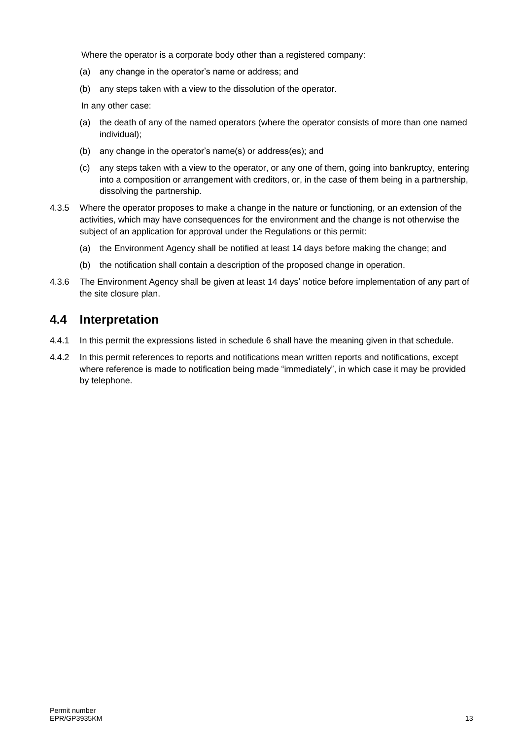Where the operator is a corporate body other than a registered company:

- (a) any change in the operator's name or address; and
- (b) any steps taken with a view to the dissolution of the operator.

In any other case:

- (a) the death of any of the named operators (where the operator consists of more than one named individual);
- (b) any change in the operator's name(s) or address(es); and
- (c) any steps taken with a view to the operator, or any one of them, going into bankruptcy, entering into a composition or arrangement with creditors, or, in the case of them being in a partnership, dissolving the partnership.
- 4.3.5 Where the operator proposes to make a change in the nature or functioning, or an extension of the activities, which may have consequences for the environment and the change is not otherwise the subject of an application for approval under the Regulations or this permit:
	- (a) the Environment Agency shall be notified at least 14 days before making the change; and
	- (b) the notification shall contain a description of the proposed change in operation.
- 4.3.6 The Environment Agency shall be given at least 14 days' notice before implementation of any part of the site closure plan.

#### **4.4 Interpretation**

- 4.4.1 In this permit the expressions listed in schedule 6 shall have the meaning given in that schedule.
- 4.4.2 In this permit references to reports and notifications mean written reports and notifications, except where reference is made to notification being made "immediately", in which case it may be provided by telephone.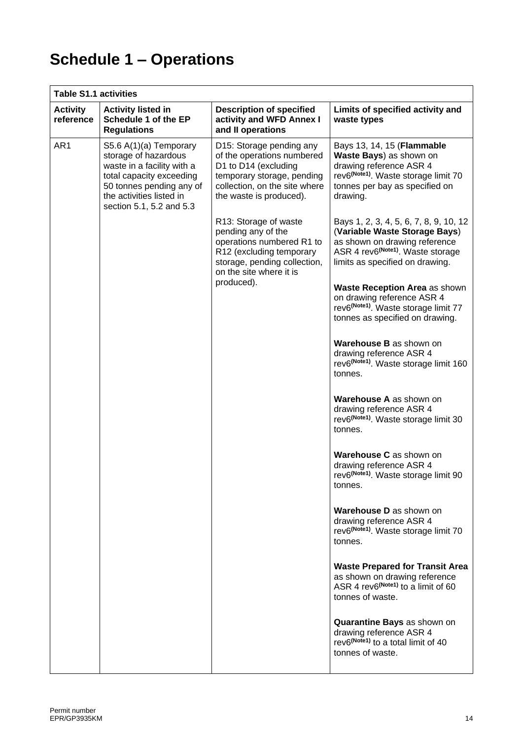# **Schedule 1 – Operations**

| <b>Table S1.1 activities</b> |                                                                                                                                                                                              |                                                                                                                                                                          |                                                                                                                                                                                              |
|------------------------------|----------------------------------------------------------------------------------------------------------------------------------------------------------------------------------------------|--------------------------------------------------------------------------------------------------------------------------------------------------------------------------|----------------------------------------------------------------------------------------------------------------------------------------------------------------------------------------------|
| <b>Activity</b><br>reference | <b>Activity listed in</b><br>Schedule 1 of the EP<br><b>Regulations</b>                                                                                                                      | <b>Description of specified</b><br>activity and WFD Annex I<br>and II operations                                                                                         | Limits of specified activity and<br>waste types                                                                                                                                              |
| AR1                          | S5.6 A(1)(a) Temporary<br>storage of hazardous<br>waste in a facility with a<br>total capacity exceeding<br>50 tonnes pending any of<br>the activities listed in<br>section 5.1, 5.2 and 5.3 | D15: Storage pending any<br>of the operations numbered<br>D1 to D14 (excluding<br>temporary storage, pending<br>collection, on the site where<br>the waste is produced). | Bays 13, 14, 15 (Flammable<br>Waste Bays) as shown on<br>drawing reference ASR 4<br>rev6 <sup>(Note1)</sup> . Waste storage limit 70<br>tonnes per bay as specified on<br>drawing.           |
|                              |                                                                                                                                                                                              | R13: Storage of waste<br>pending any of the<br>operations numbered R1 to<br>R12 (excluding temporary<br>storage, pending collection,<br>on the site where it is          | Bays 1, 2, 3, 4, 5, 6, 7, 8, 9, 10, 12<br>(Variable Waste Storage Bays)<br>as shown on drawing reference<br>ASR 4 rev6 <sup>(Note1)</sup> . Waste storage<br>limits as specified on drawing. |
|                              |                                                                                                                                                                                              | produced).                                                                                                                                                               | Waste Reception Area as shown<br>on drawing reference ASR 4<br>rev6 <sup>(Note1)</sup> . Waste storage limit 77<br>tonnes as specified on drawing.                                           |
|                              |                                                                                                                                                                                              |                                                                                                                                                                          | Warehouse B as shown on<br>drawing reference ASR 4<br>rev6 <sup>(Note1)</sup> . Waste storage limit 160<br>tonnes.                                                                           |
|                              |                                                                                                                                                                                              |                                                                                                                                                                          | Warehouse A as shown on<br>drawing reference ASR 4<br>rev6 <sup>(Note1)</sup> . Waste storage limit 30<br>tonnes.                                                                            |
|                              |                                                                                                                                                                                              |                                                                                                                                                                          | Warehouse C as shown on<br>drawing reference ASR 4<br>rev6 <sup>(Note1)</sup> . Waste storage limit 90<br>tonnes.                                                                            |
|                              |                                                                                                                                                                                              |                                                                                                                                                                          | <b>Warehouse D</b> as shown on<br>drawing reference ASR 4<br>rev6 <sup>(Note1)</sup> . Waste storage limit 70<br>tonnes.                                                                     |
|                              |                                                                                                                                                                                              |                                                                                                                                                                          | <b>Waste Prepared for Transit Area</b><br>as shown on drawing reference<br>ASR 4 rev6 <sup>(Note1)</sup> to a limit of 60<br>tonnes of waste.                                                |
|                              |                                                                                                                                                                                              |                                                                                                                                                                          | Quarantine Bays as shown on<br>drawing reference ASR 4<br>rev6 <sup>(Note1)</sup> to a total limit of 40<br>tonnes of waste.                                                                 |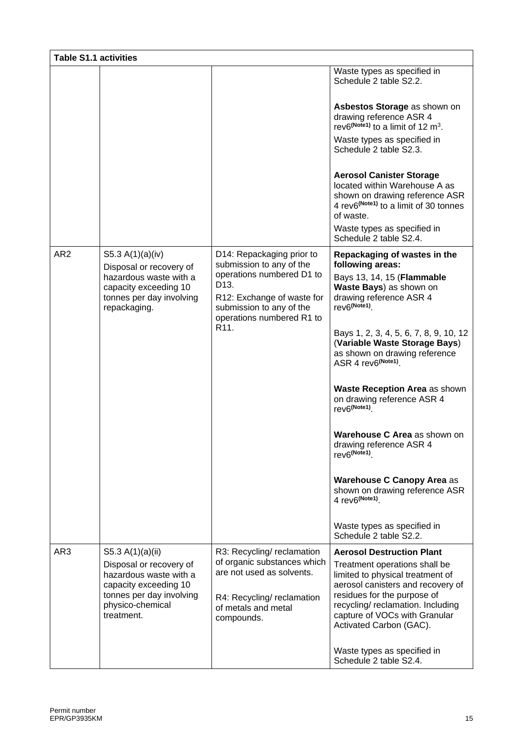| <b>Table S1.1 activities</b>                                                                |                                                                                                                                          |                                                                                                                            |                                                                                                                                                                                                                                        |
|---------------------------------------------------------------------------------------------|------------------------------------------------------------------------------------------------------------------------------------------|----------------------------------------------------------------------------------------------------------------------------|----------------------------------------------------------------------------------------------------------------------------------------------------------------------------------------------------------------------------------------|
|                                                                                             |                                                                                                                                          |                                                                                                                            | Waste types as specified in<br>Schedule 2 table S2.2.                                                                                                                                                                                  |
|                                                                                             |                                                                                                                                          |                                                                                                                            | Asbestos Storage as shown on<br>drawing reference ASR 4<br>rev6 <sup>(Note1)</sup> to a limit of 12 m <sup>3</sup> .                                                                                                                   |
|                                                                                             |                                                                                                                                          |                                                                                                                            | Waste types as specified in<br>Schedule 2 table S2.3.                                                                                                                                                                                  |
|                                                                                             |                                                                                                                                          |                                                                                                                            | <b>Aerosol Canister Storage</b><br>located within Warehouse A as<br>shown on drawing reference ASR<br>4 rev6 <sup>(Note1)</sup> to a limit of 30 tonnes<br>of waste.                                                                   |
|                                                                                             |                                                                                                                                          |                                                                                                                            | Waste types as specified in<br>Schedule 2 table S2.4.                                                                                                                                                                                  |
| AR <sub>2</sub>                                                                             | S5.3 A(1)(a)(iv)<br>Disposal or recovery of                                                                                              | D14: Repackaging prior to<br>submission to any of the                                                                      | Repackaging of wastes in the<br>following areas:                                                                                                                                                                                       |
| hazardous waste with a<br>capacity exceeding 10<br>tonnes per day involving<br>repackaging. | operations numbered D1 to<br>D <sub>13</sub> .<br>R12: Exchange of waste for<br>submission to any of the<br>operations numbered R1 to    | Bays 13, 14, 15 (Flammable<br>Waste Bays) as shown on<br>drawing reference ASR 4<br>rev6 <sup>(Note1)</sup> .              |                                                                                                                                                                                                                                        |
|                                                                                             |                                                                                                                                          | R <sub>11</sub> .                                                                                                          | Bays 1, 2, 3, 4, 5, 6, 7, 8, 9, 10, 12<br>(Variable Waste Storage Bays)<br>as shown on drawing reference<br>ASR 4 rev6(Note1).                                                                                                         |
|                                                                                             |                                                                                                                                          |                                                                                                                            | <b>Waste Reception Area as shown</b><br>on drawing reference ASR 4<br>rev6(Note1).                                                                                                                                                     |
|                                                                                             |                                                                                                                                          |                                                                                                                            | Warehouse C Area as shown on<br>drawing reference ASR 4<br>rev6 <sup>(Note1)</sup>                                                                                                                                                     |
|                                                                                             |                                                                                                                                          |                                                                                                                            | Warehouse C Canopy Area as<br>shown on drawing reference ASR<br>4 rev6(Note1).                                                                                                                                                         |
|                                                                                             |                                                                                                                                          |                                                                                                                            | Waste types as specified in<br>Schedule 2 table S2.2.                                                                                                                                                                                  |
| AR3                                                                                         | S5.3 A(1)(a)(ii)                                                                                                                         | R3: Recycling/reclamation                                                                                                  | <b>Aerosol Destruction Plant</b>                                                                                                                                                                                                       |
|                                                                                             | Disposal or recovery of<br>hazardous waste with a<br>capacity exceeding 10<br>tonnes per day involving<br>physico-chemical<br>treatment. | of organic substances which<br>are not used as solvents.<br>R4: Recycling/reclamation<br>of metals and metal<br>compounds. | Treatment operations shall be<br>limited to physical treatment of<br>aerosol canisters and recovery of<br>residues for the purpose of<br>recycling/ reclamation. Including<br>capture of VOCs with Granular<br>Activated Carbon (GAC). |
|                                                                                             |                                                                                                                                          |                                                                                                                            | Waste types as specified in<br>Schedule 2 table S2.4.                                                                                                                                                                                  |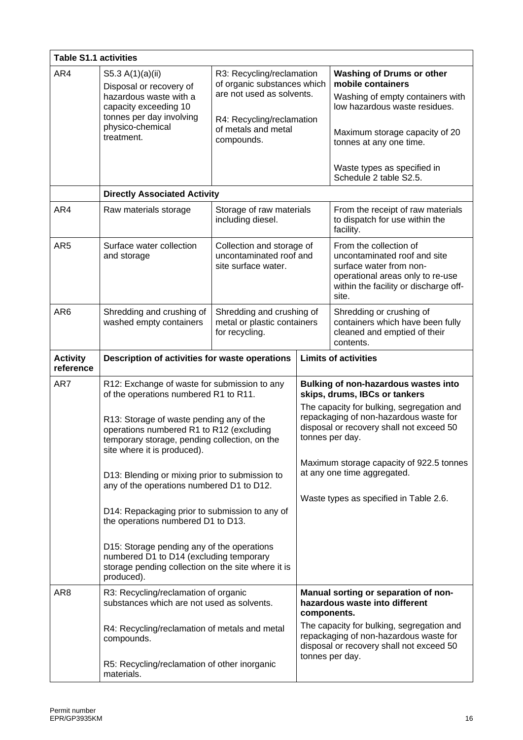| <b>Table S1.1 activities</b> |                                                                                                                                                                                                                                                               |                                                                                                                                                         |                                                                                                                                                                                                          |                                                                                                                                                                                         |
|------------------------------|---------------------------------------------------------------------------------------------------------------------------------------------------------------------------------------------------------------------------------------------------------------|---------------------------------------------------------------------------------------------------------------------------------------------------------|----------------------------------------------------------------------------------------------------------------------------------------------------------------------------------------------------------|-----------------------------------------------------------------------------------------------------------------------------------------------------------------------------------------|
| AR4                          | S5.3 A(1)(a)(ii)<br>Disposal or recovery of<br>hazardous waste with a<br>capacity exceeding 10<br>tonnes per day involving<br>physico-chemical<br>treatment.                                                                                                  | R3: Recycling/reclamation<br>of organic substances which<br>are not used as solvents.<br>R4: Recycling/reclamation<br>of metals and metal<br>compounds. |                                                                                                                                                                                                          | <b>Washing of Drums or other</b><br>mobile containers<br>Washing of empty containers with<br>low hazardous waste residues.<br>Maximum storage capacity of 20<br>tonnes at any one time. |
|                              |                                                                                                                                                                                                                                                               |                                                                                                                                                         |                                                                                                                                                                                                          | Waste types as specified in<br>Schedule 2 table S2.5.                                                                                                                                   |
|                              | <b>Directly Associated Activity</b>                                                                                                                                                                                                                           |                                                                                                                                                         |                                                                                                                                                                                                          |                                                                                                                                                                                         |
| AR4                          | Raw materials storage                                                                                                                                                                                                                                         | Storage of raw materials<br>including diesel.                                                                                                           |                                                                                                                                                                                                          | From the receipt of raw materials<br>to dispatch for use within the<br>facility.                                                                                                        |
| AR <sub>5</sub>              | Surface water collection<br>and storage                                                                                                                                                                                                                       | Collection and storage of<br>uncontaminated roof and<br>site surface water.                                                                             |                                                                                                                                                                                                          | From the collection of<br>uncontaminated roof and site<br>surface water from non-<br>operational areas only to re-use<br>within the facility or discharge off-<br>site.                 |
| AR <sub>6</sub>              | Shredding and crushing of<br>washed empty containers                                                                                                                                                                                                          | Shredding and crushing of<br>metal or plastic containers<br>for recycling.                                                                              |                                                                                                                                                                                                          | Shredding or crushing of<br>containers which have been fully<br>cleaned and emptied of their<br>contents.                                                                               |
| <b>Activity</b><br>reference | Description of activities for waste operations                                                                                                                                                                                                                |                                                                                                                                                         | <b>Limits of activities</b>                                                                                                                                                                              |                                                                                                                                                                                         |
| AR7                          | R12: Exchange of waste for submission to any<br>of the operations numbered R1 to R11.<br>R13: Storage of waste pending any of the<br>operations numbered R1 to R12 (excluding<br>temporary storage, pending collection, on the<br>site where it is produced). |                                                                                                                                                         | Bulking of non-hazardous wastes into<br>skips, drums, IBCs or tankers<br>The capacity for bulking, segregation and<br>repackaging of non-hazardous waste for<br>disposal or recovery shall not exceed 50 |                                                                                                                                                                                         |
|                              |                                                                                                                                                                                                                                                               |                                                                                                                                                         | tonnes per day.                                                                                                                                                                                          |                                                                                                                                                                                         |
|                              | D13: Blending or mixing prior to submission to<br>any of the operations numbered D1 to D12.                                                                                                                                                                   |                                                                                                                                                         |                                                                                                                                                                                                          | Maximum storage capacity of 922.5 tonnes<br>at any one time aggregated.                                                                                                                 |
|                              | D14: Repackaging prior to submission to any of<br>the operations numbered D1 to D13.                                                                                                                                                                          |                                                                                                                                                         |                                                                                                                                                                                                          | Waste types as specified in Table 2.6.                                                                                                                                                  |
|                              | D15: Storage pending any of the operations<br>numbered D1 to D14 (excluding temporary<br>storage pending collection on the site where it is<br>produced).                                                                                                     |                                                                                                                                                         |                                                                                                                                                                                                          |                                                                                                                                                                                         |
| AR <sub>8</sub>              | R3: Recycling/reclamation of organic<br>substances which are not used as solvents.                                                                                                                                                                            |                                                                                                                                                         | components.                                                                                                                                                                                              | Manual sorting or separation of non-<br>hazardous waste into different                                                                                                                  |
|                              | R4: Recycling/reclamation of metals and metal<br>compounds.                                                                                                                                                                                                   |                                                                                                                                                         |                                                                                                                                                                                                          | The capacity for bulking, segregation and<br>repackaging of non-hazardous waste for<br>disposal or recovery shall not exceed 50<br>tonnes per day.                                      |
|                              | R5: Recycling/reclamation of other inorganic<br>materials.                                                                                                                                                                                                    |                                                                                                                                                         |                                                                                                                                                                                                          |                                                                                                                                                                                         |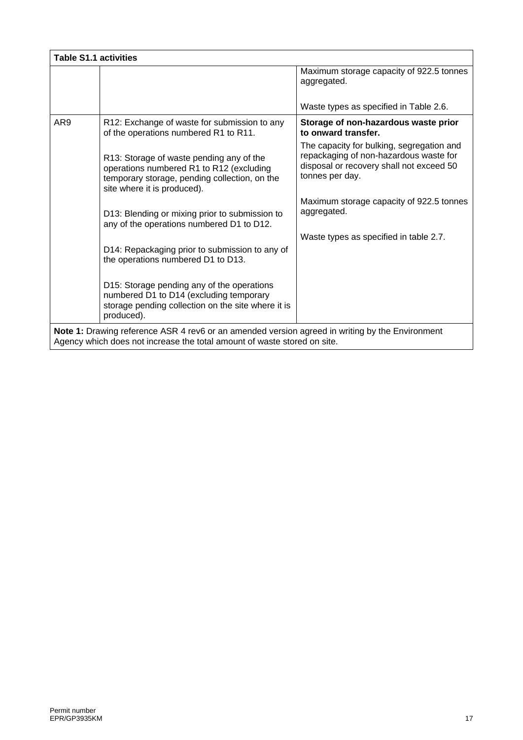|     |                                                                                                                                                                      | Maximum storage capacity of 922.5 tonnes<br>aggregated.                                                                                            |
|-----|----------------------------------------------------------------------------------------------------------------------------------------------------------------------|----------------------------------------------------------------------------------------------------------------------------------------------------|
|     |                                                                                                                                                                      | Waste types as specified in Table 2.6.                                                                                                             |
| AR9 | R12: Exchange of waste for submission to any<br>of the operations numbered R1 to R11.                                                                                | Storage of non-hazardous waste prior<br>to onward transfer.                                                                                        |
|     | R13: Storage of waste pending any of the<br>operations numbered R1 to R12 (excluding<br>temporary storage, pending collection, on the<br>site where it is produced). | The capacity for bulking, segregation and<br>repackaging of non-hazardous waste for<br>disposal or recovery shall not exceed 50<br>tonnes per day. |
|     | D13: Blending or mixing prior to submission to<br>any of the operations numbered D1 to D12.                                                                          | Maximum storage capacity of 922.5 tonnes<br>aggregated.                                                                                            |
|     | D14: Repackaging prior to submission to any of<br>the operations numbered D1 to D13.                                                                                 | Waste types as specified in table 2.7.                                                                                                             |
|     | D15: Storage pending any of the operations<br>numbered D1 to D14 (excluding temporary<br>storage pending collection on the site where it is<br>produced).            |                                                                                                                                                    |

.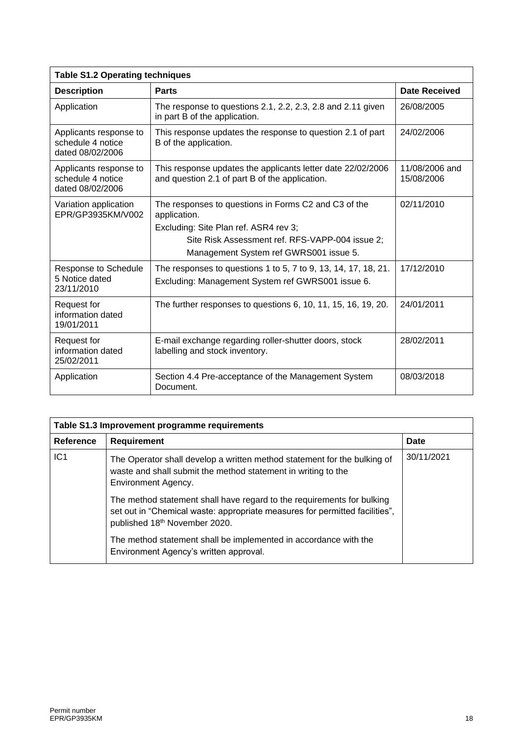| <b>Table S1.2 Operating techniques</b>                          |                                                                                                                                                                                                            |                              |  |
|-----------------------------------------------------------------|------------------------------------------------------------------------------------------------------------------------------------------------------------------------------------------------------------|------------------------------|--|
| <b>Description</b>                                              | <b>Parts</b>                                                                                                                                                                                               | <b>Date Received</b>         |  |
| Application                                                     | The response to questions 2.1, 2.2, 2.3, 2.8 and 2.11 given<br>in part B of the application.                                                                                                               | 26/08/2005                   |  |
| Applicants response to<br>schedule 4 notice<br>dated 08/02/2006 | This response updates the response to question 2.1 of part<br>B of the application.                                                                                                                        | 24/02/2006                   |  |
| Applicants response to<br>schedule 4 notice<br>dated 08/02/2006 | This response updates the applicants letter date 22/02/2006<br>and question 2.1 of part B of the application.                                                                                              | 11/08/2006 and<br>15/08/2006 |  |
| Variation application<br>EPR/GP3935KM/V002                      | The responses to questions in Forms C2 and C3 of the<br>application.<br>Excluding: Site Plan ref. ASR4 rev 3;<br>Site Risk Assessment ref. RFS-VAPP-004 issue 2;<br>Management System ref GWRS001 issue 5. | 02/11/2010                   |  |
| Response to Schedule<br>5 Notice dated<br>23/11/2010            | The responses to questions 1 to 5, 7 to 9, 13, 14, 17, 18, 21.<br>Excluding: Management System ref GWRS001 issue 6.                                                                                        | 17/12/2010                   |  |
| Request for<br>information dated<br>19/01/2011                  | The further responses to questions 6, 10, 11, 15, 16, 19, 20.                                                                                                                                              | 24/01/2011                   |  |
| Request for<br>information dated<br>25/02/2011                  | E-mail exchange regarding roller-shutter doors, stock<br>labelling and stock inventory.                                                                                                                    | 28/02/2011                   |  |
| Application                                                     | Section 4.4 Pre-acceptance of the Management System<br>Document.                                                                                                                                           | 08/03/2018                   |  |

| Table S1.3 Improvement programme requirements |                                                                                                                                                                                        |            |
|-----------------------------------------------|----------------------------------------------------------------------------------------------------------------------------------------------------------------------------------------|------------|
| Reference                                     | <b>Requirement</b>                                                                                                                                                                     | Date       |
| IC <sub>1</sub>                               | The Operator shall develop a written method statement for the bulking of<br>waste and shall submit the method statement in writing to the<br>Environment Agency.                       | 30/11/2021 |
|                                               | The method statement shall have regard to the requirements for bulking<br>set out in "Chemical waste: appropriate measures for permitted facilities",<br>published 18th November 2020. |            |
|                                               | The method statement shall be implemented in accordance with the<br>Environment Agency's written approval.                                                                             |            |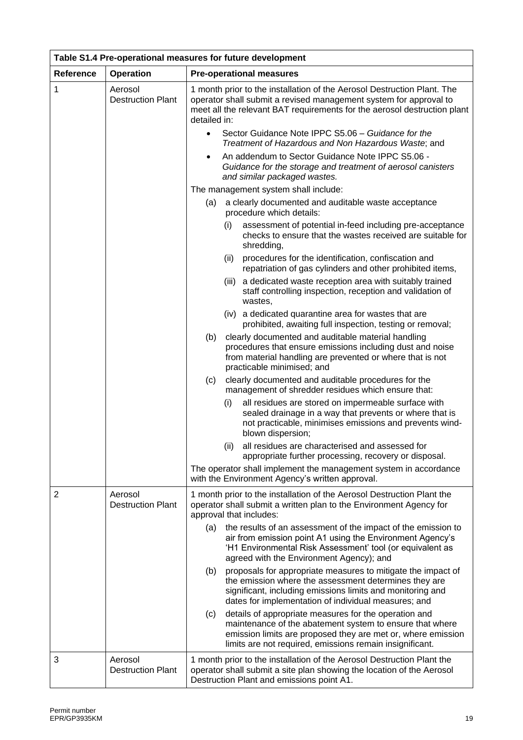| Table S1.4 Pre-operational measures for future development |                                     |                                                                                                                                                                                                                                                      |  |
|------------------------------------------------------------|-------------------------------------|------------------------------------------------------------------------------------------------------------------------------------------------------------------------------------------------------------------------------------------------------|--|
| <b>Reference</b>                                           | <b>Operation</b>                    | <b>Pre-operational measures</b>                                                                                                                                                                                                                      |  |
| 1                                                          | Aerosol<br><b>Destruction Plant</b> | 1 month prior to the installation of the Aerosol Destruction Plant. The<br>operator shall submit a revised management system for approval to<br>meet all the relevant BAT requirements for the aerosol destruction plant<br>detailed in:             |  |
|                                                            |                                     | Sector Guidance Note IPPC S5.06 - Guidance for the<br>$\bullet$<br>Treatment of Hazardous and Non Hazardous Waste; and                                                                                                                               |  |
|                                                            |                                     | An addendum to Sector Guidance Note IPPC S5.06 -<br>$\bullet$<br>Guidance for the storage and treatment of aerosol canisters<br>and similar packaged wastes.                                                                                         |  |
|                                                            |                                     | The management system shall include:                                                                                                                                                                                                                 |  |
|                                                            |                                     | a clearly documented and auditable waste acceptance<br>(a)<br>procedure which details:                                                                                                                                                               |  |
|                                                            |                                     | assessment of potential in-feed including pre-acceptance<br>(i)<br>checks to ensure that the wastes received are suitable for<br>shredding,                                                                                                          |  |
|                                                            |                                     | procedures for the identification, confiscation and<br>(ii)<br>repatriation of gas cylinders and other prohibited items,                                                                                                                             |  |
|                                                            |                                     | (iii) a dedicated waste reception area with suitably trained<br>staff controlling inspection, reception and validation of<br>wastes,                                                                                                                 |  |
|                                                            |                                     | (iv) a dedicated quarantine area for wastes that are<br>prohibited, awaiting full inspection, testing or removal;                                                                                                                                    |  |
|                                                            |                                     | clearly documented and auditable material handling<br>(b)<br>procedures that ensure emissions including dust and noise<br>from material handling are prevented or where that is not<br>practicable minimised; and                                    |  |
|                                                            |                                     | clearly documented and auditable procedures for the<br>(c)<br>management of shredder residues which ensure that:                                                                                                                                     |  |
|                                                            |                                     | all residues are stored on impermeable surface with<br>(i)<br>sealed drainage in a way that prevents or where that is<br>not practicable, minimises emissions and prevents wind-<br>blown dispersion;                                                |  |
|                                                            |                                     | all residues are characterised and assessed for<br>(ii)<br>appropriate further processing, recovery or disposal.                                                                                                                                     |  |
|                                                            |                                     | The operator shall implement the management system in accordance<br>with the Environment Agency's written approval.                                                                                                                                  |  |
| $\overline{2}$                                             | Aerosol<br><b>Destruction Plant</b> | 1 month prior to the installation of the Aerosol Destruction Plant the<br>operator shall submit a written plan to the Environment Agency for<br>approval that includes:                                                                              |  |
|                                                            |                                     | the results of an assessment of the impact of the emission to<br>(a)<br>air from emission point A1 using the Environment Agency's<br>'H1 Environmental Risk Assessment' tool (or equivalent as<br>agreed with the Environment Agency); and           |  |
|                                                            |                                     | proposals for appropriate measures to mitigate the impact of<br>(b)<br>the emission where the assessment determines they are<br>significant, including emissions limits and monitoring and<br>dates for implementation of individual measures; and   |  |
|                                                            |                                     | details of appropriate measures for the operation and<br>(c)<br>maintenance of the abatement system to ensure that where<br>emission limits are proposed they are met or, where emission<br>limits are not required, emissions remain insignificant. |  |
| 3                                                          | Aerosol<br><b>Destruction Plant</b> | 1 month prior to the installation of the Aerosol Destruction Plant the<br>operator shall submit a site plan showing the location of the Aerosol<br>Destruction Plant and emissions point A1.                                                         |  |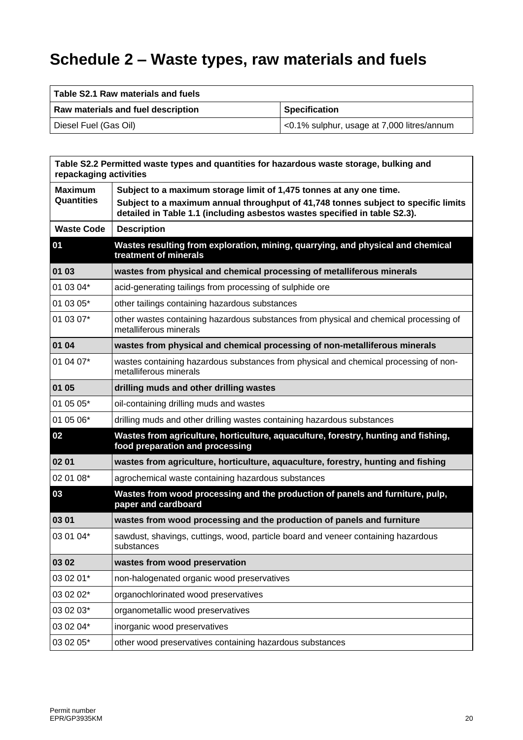# **Schedule 2 – Waste types, raw materials and fuels**

| Table S2.1 Raw materials and fuels |                                            |
|------------------------------------|--------------------------------------------|
| Raw materials and fuel description | <b>Specification</b>                       |
| Diesel Fuel (Gas Oil)              | <0.1% sulphur, usage at 7,000 litres/annum |

| repackaging activities       | Table S2.2 Permitted waste types and quantities for hazardous waste storage, bulking and                                                                                                                                                |
|------------------------------|-----------------------------------------------------------------------------------------------------------------------------------------------------------------------------------------------------------------------------------------|
| <b>Maximum</b><br>Quantities | Subject to a maximum storage limit of 1,475 tonnes at any one time.<br>Subject to a maximum annual throughput of 41,748 tonnes subject to specific limits<br>detailed in Table 1.1 (including asbestos wastes specified in table S2.3). |
| <b>Waste Code</b>            | <b>Description</b>                                                                                                                                                                                                                      |
| 01                           | Wastes resulting from exploration, mining, quarrying, and physical and chemical<br>treatment of minerals                                                                                                                                |
| 01 03                        | wastes from physical and chemical processing of metalliferous minerals                                                                                                                                                                  |
| 01 03 04*                    | acid-generating tailings from processing of sulphide ore                                                                                                                                                                                |
| 01 03 05*                    | other tailings containing hazardous substances                                                                                                                                                                                          |
| 01 03 07*                    | other wastes containing hazardous substances from physical and chemical processing of<br>metalliferous minerals                                                                                                                         |
| 01 04                        | wastes from physical and chemical processing of non-metalliferous minerals                                                                                                                                                              |
| 01 04 07*                    | wastes containing hazardous substances from physical and chemical processing of non-<br>metalliferous minerals                                                                                                                          |
| 01 05                        | drilling muds and other drilling wastes                                                                                                                                                                                                 |
| 01 05 05*                    | oil-containing drilling muds and wastes                                                                                                                                                                                                 |
| 01 05 06*                    | drilling muds and other drilling wastes containing hazardous substances                                                                                                                                                                 |
| 02                           | Wastes from agriculture, horticulture, aquaculture, forestry, hunting and fishing,<br>food preparation and processing                                                                                                                   |
| 02 01                        | wastes from agriculture, horticulture, aquaculture, forestry, hunting and fishing                                                                                                                                                       |
| 02 01 08*                    | agrochemical waste containing hazardous substances                                                                                                                                                                                      |
| 03                           | Wastes from wood processing and the production of panels and furniture, pulp,<br>paper and cardboard                                                                                                                                    |
| 03 01                        | wastes from wood processing and the production of panels and furniture                                                                                                                                                                  |
| 03 01 04*                    | sawdust, shavings, cuttings, wood, particle board and veneer containing hazardous<br>substances                                                                                                                                         |
| 03 02                        | wastes from wood preservation                                                                                                                                                                                                           |
| 03 02 01*                    | non-halogenated organic wood preservatives                                                                                                                                                                                              |
| 03 02 02*                    | organochlorinated wood preservatives                                                                                                                                                                                                    |
| 03 02 03*                    | organometallic wood preservatives                                                                                                                                                                                                       |
| 03 02 04*                    | inorganic wood preservatives                                                                                                                                                                                                            |
| 03 02 05*                    | other wood preservatives containing hazardous substances                                                                                                                                                                                |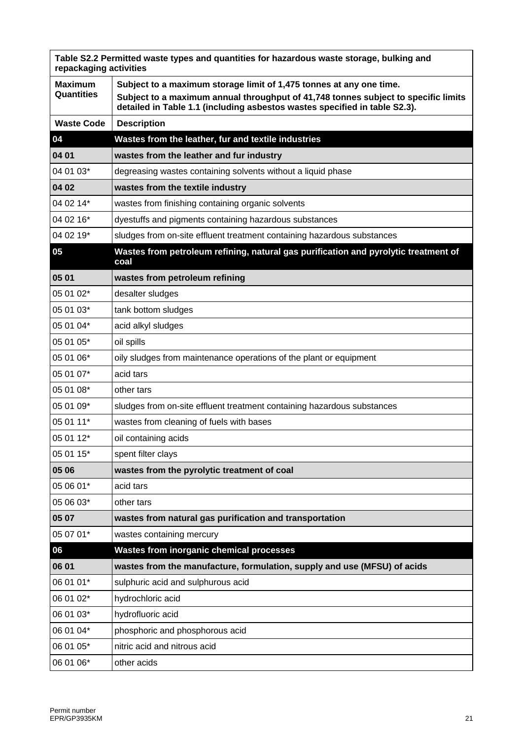| Table S2.2 Permitted waste types and quantities for hazardous waste storage, bulking and<br>repackaging activities |                                                                                                                                                                                                                                         |  |
|--------------------------------------------------------------------------------------------------------------------|-----------------------------------------------------------------------------------------------------------------------------------------------------------------------------------------------------------------------------------------|--|
| <b>Maximum</b><br>Quantities                                                                                       | Subject to a maximum storage limit of 1,475 tonnes at any one time.<br>Subject to a maximum annual throughput of 41,748 tonnes subject to specific limits<br>detailed in Table 1.1 (including asbestos wastes specified in table S2.3). |  |
| <b>Waste Code</b>                                                                                                  | <b>Description</b>                                                                                                                                                                                                                      |  |
| 04                                                                                                                 | Wastes from the leather, fur and textile industries                                                                                                                                                                                     |  |
| 04 01                                                                                                              | wastes from the leather and fur industry                                                                                                                                                                                                |  |
| 04 01 03*                                                                                                          | degreasing wastes containing solvents without a liquid phase                                                                                                                                                                            |  |
| 04 02                                                                                                              | wastes from the textile industry                                                                                                                                                                                                        |  |
| 04 02 14*                                                                                                          | wastes from finishing containing organic solvents                                                                                                                                                                                       |  |
| 04 02 16*                                                                                                          | dyestuffs and pigments containing hazardous substances                                                                                                                                                                                  |  |
| 04 02 19*                                                                                                          | sludges from on-site effluent treatment containing hazardous substances                                                                                                                                                                 |  |
| 05                                                                                                                 | Wastes from petroleum refining, natural gas purification and pyrolytic treatment of<br>coal                                                                                                                                             |  |
| 05 01                                                                                                              | wastes from petroleum refining                                                                                                                                                                                                          |  |
| 05 01 02*                                                                                                          | desalter sludges                                                                                                                                                                                                                        |  |
| 05 01 03*                                                                                                          | tank bottom sludges                                                                                                                                                                                                                     |  |
| 05 01 04*                                                                                                          | acid alkyl sludges                                                                                                                                                                                                                      |  |
| 05 01 05*                                                                                                          | oil spills                                                                                                                                                                                                                              |  |
| 05 01 06*                                                                                                          | oily sludges from maintenance operations of the plant or equipment                                                                                                                                                                      |  |
| 05 01 07*                                                                                                          | acid tars                                                                                                                                                                                                                               |  |
| 05 01 08*                                                                                                          | other tars                                                                                                                                                                                                                              |  |
| 05 01 09*                                                                                                          | sludges from on-site effluent treatment containing hazardous substances                                                                                                                                                                 |  |
| 05 01 11*                                                                                                          | wastes from cleaning of fuels with bases                                                                                                                                                                                                |  |
| 05 01 12*                                                                                                          | oil containing acids                                                                                                                                                                                                                    |  |
| 05 01 15*                                                                                                          | spent filter clays                                                                                                                                                                                                                      |  |
| 05 06                                                                                                              | wastes from the pyrolytic treatment of coal                                                                                                                                                                                             |  |
| 05 06 01*                                                                                                          | acid tars                                                                                                                                                                                                                               |  |
| 05 06 03*                                                                                                          | other tars                                                                                                                                                                                                                              |  |
| 05 07                                                                                                              | wastes from natural gas purification and transportation                                                                                                                                                                                 |  |
| 05 07 01*                                                                                                          | wastes containing mercury                                                                                                                                                                                                               |  |
| 06                                                                                                                 | <b>Wastes from inorganic chemical processes</b>                                                                                                                                                                                         |  |
| 06 01                                                                                                              | wastes from the manufacture, formulation, supply and use (MFSU) of acids                                                                                                                                                                |  |
| 06 01 01*                                                                                                          | sulphuric acid and sulphurous acid                                                                                                                                                                                                      |  |
| 06 01 02*                                                                                                          | hydrochloric acid                                                                                                                                                                                                                       |  |
| 06 01 03*                                                                                                          | hydrofluoric acid                                                                                                                                                                                                                       |  |
| 06 01 04*                                                                                                          | phosphoric and phosphorous acid                                                                                                                                                                                                         |  |
| 06 01 05*                                                                                                          | nitric acid and nitrous acid                                                                                                                                                                                                            |  |
| 06 01 06*                                                                                                          | other acids                                                                                                                                                                                                                             |  |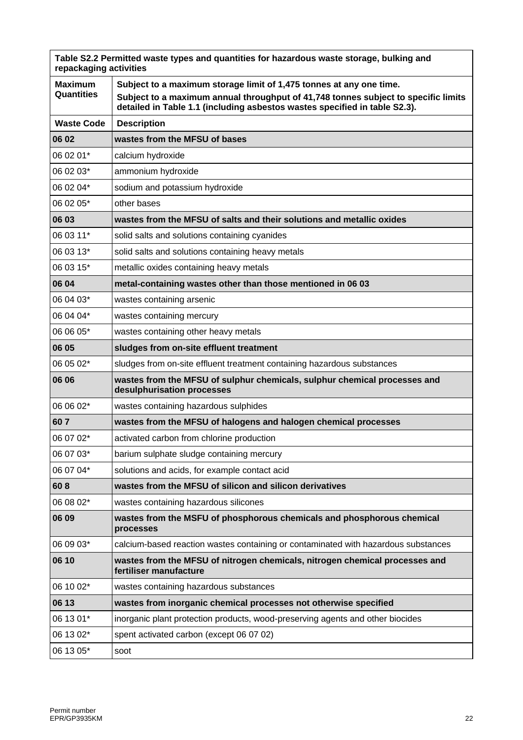| Table S2.2 Permitted waste types and quantities for hazardous waste storage, bulking and<br>repackaging activities |                                                                                                                                                                  |  |
|--------------------------------------------------------------------------------------------------------------------|------------------------------------------------------------------------------------------------------------------------------------------------------------------|--|
| <b>Maximum</b><br><b>Quantities</b>                                                                                | Subject to a maximum storage limit of 1,475 tonnes at any one time.                                                                                              |  |
|                                                                                                                    | Subject to a maximum annual throughput of 41,748 tonnes subject to specific limits<br>detailed in Table 1.1 (including asbestos wastes specified in table S2.3). |  |
| <b>Waste Code</b>                                                                                                  | <b>Description</b>                                                                                                                                               |  |
| 06 02                                                                                                              | wastes from the MFSU of bases                                                                                                                                    |  |
| 06 02 01*                                                                                                          | calcium hydroxide                                                                                                                                                |  |
| 06 02 03*                                                                                                          | ammonium hydroxide                                                                                                                                               |  |
| 06 02 04*                                                                                                          | sodium and potassium hydroxide                                                                                                                                   |  |
| 06 02 05*                                                                                                          | other bases                                                                                                                                                      |  |
| 06 03                                                                                                              | wastes from the MFSU of salts and their solutions and metallic oxides                                                                                            |  |
| 06 03 11*                                                                                                          | solid salts and solutions containing cyanides                                                                                                                    |  |
| 06 03 13*                                                                                                          | solid salts and solutions containing heavy metals                                                                                                                |  |
| 06 03 15*                                                                                                          | metallic oxides containing heavy metals                                                                                                                          |  |
| 06 04                                                                                                              | metal-containing wastes other than those mentioned in 06 03                                                                                                      |  |
| 06 04 03*                                                                                                          | wastes containing arsenic                                                                                                                                        |  |
| 06 04 04*                                                                                                          | wastes containing mercury                                                                                                                                        |  |
| 06 06 05*                                                                                                          | wastes containing other heavy metals                                                                                                                             |  |
| 06 05                                                                                                              | sludges from on-site effluent treatment                                                                                                                          |  |
| 06 05 02*                                                                                                          | sludges from on-site effluent treatment containing hazardous substances                                                                                          |  |
| 06 06                                                                                                              | wastes from the MFSU of sulphur chemicals, sulphur chemical processes and<br>desulphurisation processes                                                          |  |
| 06 06 02*                                                                                                          | wastes containing hazardous sulphides                                                                                                                            |  |
| 607                                                                                                                | wastes from the MFSU of halogens and halogen chemical processes                                                                                                  |  |
| 06 07 02*                                                                                                          | activated carbon from chlorine production                                                                                                                        |  |
| 06 07 03*                                                                                                          | barium sulphate sludge containing mercury                                                                                                                        |  |
| 06 07 04*                                                                                                          | solutions and acids, for example contact acid                                                                                                                    |  |
| 608                                                                                                                | wastes from the MFSU of silicon and silicon derivatives                                                                                                          |  |
| 06 08 02*                                                                                                          | wastes containing hazardous silicones                                                                                                                            |  |
| 06 09                                                                                                              | wastes from the MSFU of phosphorous chemicals and phosphorous chemical<br>processes                                                                              |  |
| 06 09 03*                                                                                                          | calcium-based reaction wastes containing or contaminated with hazardous substances                                                                               |  |
| 06 10                                                                                                              | wastes from the MFSU of nitrogen chemicals, nitrogen chemical processes and<br>fertiliser manufacture                                                            |  |
| 06 10 02*                                                                                                          | wastes containing hazardous substances                                                                                                                           |  |
| 06 13                                                                                                              | wastes from inorganic chemical processes not otherwise specified                                                                                                 |  |
| 06 13 01*                                                                                                          | inorganic plant protection products, wood-preserving agents and other biocides                                                                                   |  |
| 06 13 02*                                                                                                          | spent activated carbon (except 06 07 02)                                                                                                                         |  |
| 06 13 05*                                                                                                          | soot                                                                                                                                                             |  |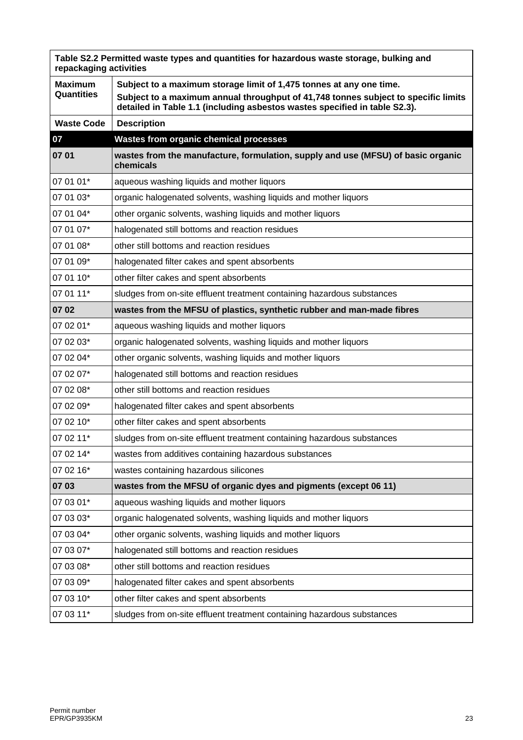| Table S2.2 Permitted waste types and quantities for hazardous waste storage, bulking and<br>repackaging activities |                                                                                                                                                                                                                                         |  |
|--------------------------------------------------------------------------------------------------------------------|-----------------------------------------------------------------------------------------------------------------------------------------------------------------------------------------------------------------------------------------|--|
| <b>Maximum</b><br><b>Quantities</b>                                                                                | Subject to a maximum storage limit of 1,475 tonnes at any one time.<br>Subject to a maximum annual throughput of 41,748 tonnes subject to specific limits<br>detailed in Table 1.1 (including asbestos wastes specified in table S2.3). |  |
| <b>Waste Code</b>                                                                                                  | <b>Description</b>                                                                                                                                                                                                                      |  |
| 07                                                                                                                 | <b>Wastes from organic chemical processes</b>                                                                                                                                                                                           |  |
| 07 01                                                                                                              | wastes from the manufacture, formulation, supply and use (MFSU) of basic organic<br>chemicals                                                                                                                                           |  |
| 07 01 01*                                                                                                          | aqueous washing liquids and mother liquors                                                                                                                                                                                              |  |
| 07 01 03*                                                                                                          | organic halogenated solvents, washing liquids and mother liquors                                                                                                                                                                        |  |
| 07 01 04*                                                                                                          | other organic solvents, washing liquids and mother liquors                                                                                                                                                                              |  |
| 07 01 07*                                                                                                          | halogenated still bottoms and reaction residues                                                                                                                                                                                         |  |
| 07 01 08*                                                                                                          | other still bottoms and reaction residues                                                                                                                                                                                               |  |
| 07 01 09*                                                                                                          | halogenated filter cakes and spent absorbents                                                                                                                                                                                           |  |
| 07 01 10*                                                                                                          | other filter cakes and spent absorbents                                                                                                                                                                                                 |  |
| 07 01 11*                                                                                                          | sludges from on-site effluent treatment containing hazardous substances                                                                                                                                                                 |  |
| 07 02                                                                                                              | wastes from the MFSU of plastics, synthetic rubber and man-made fibres                                                                                                                                                                  |  |
| 07 02 01*                                                                                                          | aqueous washing liquids and mother liquors                                                                                                                                                                                              |  |
| 07 02 03*                                                                                                          | organic halogenated solvents, washing liquids and mother liquors                                                                                                                                                                        |  |
| 07 02 04*                                                                                                          | other organic solvents, washing liquids and mother liquors                                                                                                                                                                              |  |
| 07 02 07*                                                                                                          | halogenated still bottoms and reaction residues                                                                                                                                                                                         |  |
| 07 02 08*                                                                                                          | other still bottoms and reaction residues                                                                                                                                                                                               |  |
| 07 02 09*                                                                                                          | halogenated filter cakes and spent absorbents                                                                                                                                                                                           |  |
| 07 02 10*                                                                                                          | other filter cakes and spent absorbents                                                                                                                                                                                                 |  |
| 07 02 11*                                                                                                          | sludges from on-site effluent treatment containing hazardous substances                                                                                                                                                                 |  |
| 07 02 14*                                                                                                          | wastes from additives containing hazardous substances                                                                                                                                                                                   |  |
| 07 02 16*                                                                                                          | wastes containing hazardous silicones                                                                                                                                                                                                   |  |
| 07 03                                                                                                              | wastes from the MFSU of organic dyes and pigments (except 06 11)                                                                                                                                                                        |  |
| 07 03 01*                                                                                                          | aqueous washing liquids and mother liquors                                                                                                                                                                                              |  |
| 07 03 03*                                                                                                          | organic halogenated solvents, washing liquids and mother liquors                                                                                                                                                                        |  |
| 07 03 04*                                                                                                          | other organic solvents, washing liquids and mother liquors                                                                                                                                                                              |  |
| 07 03 07*                                                                                                          | halogenated still bottoms and reaction residues                                                                                                                                                                                         |  |
| 07 03 08*                                                                                                          | other still bottoms and reaction residues                                                                                                                                                                                               |  |
| 07 03 09*                                                                                                          | halogenated filter cakes and spent absorbents                                                                                                                                                                                           |  |
| 07 03 10*                                                                                                          | other filter cakes and spent absorbents                                                                                                                                                                                                 |  |
| 07 03 11*                                                                                                          | sludges from on-site effluent treatment containing hazardous substances                                                                                                                                                                 |  |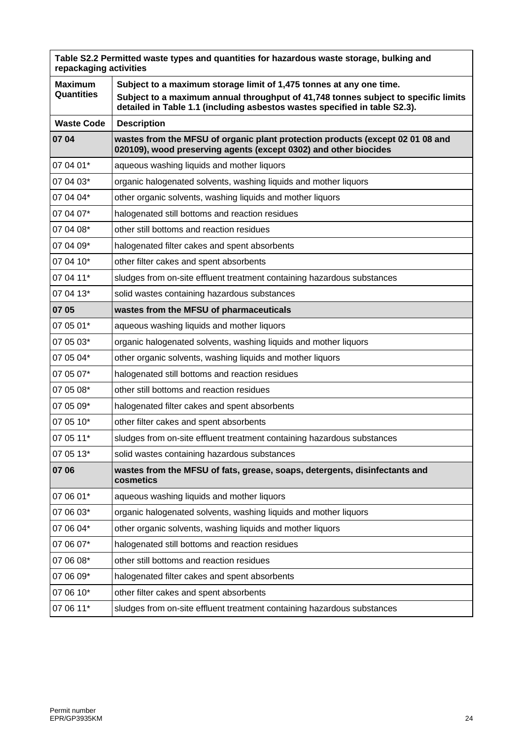| Table S2.2 Permitted waste types and quantities for hazardous waste storage, bulking and<br>repackaging activities |                                                                                                                                                                  |  |
|--------------------------------------------------------------------------------------------------------------------|------------------------------------------------------------------------------------------------------------------------------------------------------------------|--|
| <b>Maximum</b>                                                                                                     | Subject to a maximum storage limit of 1,475 tonnes at any one time.                                                                                              |  |
| <b>Quantities</b>                                                                                                  | Subject to a maximum annual throughput of 41,748 tonnes subject to specific limits<br>detailed in Table 1.1 (including asbestos wastes specified in table S2.3). |  |
| <b>Waste Code</b>                                                                                                  | <b>Description</b>                                                                                                                                               |  |
| 07 04                                                                                                              | wastes from the MFSU of organic plant protection products (except 02 01 08 and<br>020109), wood preserving agents (except 0302) and other biocides               |  |
| 07 04 01*                                                                                                          | aqueous washing liquids and mother liquors                                                                                                                       |  |
| 07 04 03*                                                                                                          | organic halogenated solvents, washing liquids and mother liquors                                                                                                 |  |
| 07 04 04*                                                                                                          | other organic solvents, washing liquids and mother liquors                                                                                                       |  |
| 07 04 07*                                                                                                          | halogenated still bottoms and reaction residues                                                                                                                  |  |
| 07 04 08*                                                                                                          | other still bottoms and reaction residues                                                                                                                        |  |
| 07 04 09*                                                                                                          | halogenated filter cakes and spent absorbents                                                                                                                    |  |
| 07 04 10*                                                                                                          | other filter cakes and spent absorbents                                                                                                                          |  |
| 07 04 11*                                                                                                          | sludges from on-site effluent treatment containing hazardous substances                                                                                          |  |
| 07 04 13*                                                                                                          | solid wastes containing hazardous substances                                                                                                                     |  |
| 07 05                                                                                                              | wastes from the MFSU of pharmaceuticals                                                                                                                          |  |
| 07 05 01*                                                                                                          | aqueous washing liquids and mother liquors                                                                                                                       |  |
| 07 05 03*                                                                                                          | organic halogenated solvents, washing liquids and mother liquors                                                                                                 |  |
| 07 05 04*                                                                                                          | other organic solvents, washing liquids and mother liquors                                                                                                       |  |
| 07 05 07*                                                                                                          | halogenated still bottoms and reaction residues                                                                                                                  |  |
| 07 05 08*                                                                                                          | other still bottoms and reaction residues                                                                                                                        |  |
| 07 05 09*                                                                                                          | halogenated filter cakes and spent absorbents                                                                                                                    |  |
| 07 05 10*                                                                                                          | other filter cakes and spent absorbents                                                                                                                          |  |
| 07 05 11*                                                                                                          | sludges from on-site effluent treatment containing hazardous substances                                                                                          |  |
| 07 05 13*                                                                                                          | solid wastes containing hazardous substances                                                                                                                     |  |
| 07 06                                                                                                              | wastes from the MFSU of fats, grease, soaps, detergents, disinfectants and<br>cosmetics                                                                          |  |
| 07 06 01*                                                                                                          | aqueous washing liquids and mother liquors                                                                                                                       |  |
| 07 06 03*                                                                                                          | organic halogenated solvents, washing liquids and mother liquors                                                                                                 |  |
| 07 06 04*                                                                                                          | other organic solvents, washing liquids and mother liquors                                                                                                       |  |
| 07 06 07*                                                                                                          | halogenated still bottoms and reaction residues                                                                                                                  |  |
| 07 06 08*                                                                                                          | other still bottoms and reaction residues                                                                                                                        |  |
| 07 06 09*                                                                                                          | halogenated filter cakes and spent absorbents                                                                                                                    |  |
| 07 06 10*                                                                                                          | other filter cakes and spent absorbents                                                                                                                          |  |
| 07 06 11*                                                                                                          | sludges from on-site effluent treatment containing hazardous substances                                                                                          |  |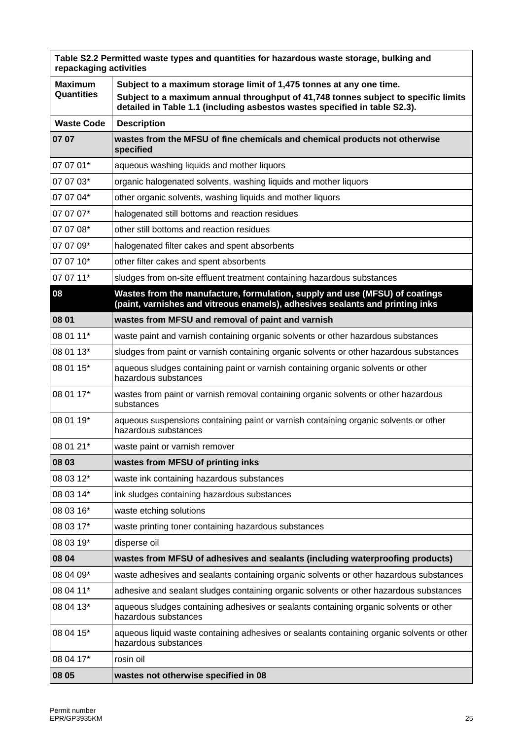| Table S2.2 Permitted waste types and quantities for hazardous waste storage, bulking and<br>repackaging activities |                                                                                                                                                                  |
|--------------------------------------------------------------------------------------------------------------------|------------------------------------------------------------------------------------------------------------------------------------------------------------------|
| <b>Maximum</b>                                                                                                     | Subject to a maximum storage limit of 1,475 tonnes at any one time.                                                                                              |
| Quantities                                                                                                         | Subject to a maximum annual throughput of 41,748 tonnes subject to specific limits<br>detailed in Table 1.1 (including asbestos wastes specified in table S2.3). |
| <b>Waste Code</b>                                                                                                  | <b>Description</b>                                                                                                                                               |
| 07 07                                                                                                              | wastes from the MFSU of fine chemicals and chemical products not otherwise<br>specified                                                                          |
| 07 07 01*                                                                                                          | aqueous washing liquids and mother liquors                                                                                                                       |
| 07 07 03*                                                                                                          | organic halogenated solvents, washing liquids and mother liquors                                                                                                 |
| 07 07 04*                                                                                                          | other organic solvents, washing liquids and mother liquors                                                                                                       |
| 07 07 07*                                                                                                          | halogenated still bottoms and reaction residues                                                                                                                  |
| 07 07 08*                                                                                                          | other still bottoms and reaction residues                                                                                                                        |
| 07 07 09*                                                                                                          | halogenated filter cakes and spent absorbents                                                                                                                    |
| 07 07 10*                                                                                                          | other filter cakes and spent absorbents                                                                                                                          |
| 07 07 11*                                                                                                          | sludges from on-site effluent treatment containing hazardous substances                                                                                          |
| 08                                                                                                                 | Wastes from the manufacture, formulation, supply and use (MFSU) of coatings<br>(paint, varnishes and vitreous enamels), adhesives sealants and printing inks     |
| 08 01                                                                                                              | wastes from MFSU and removal of paint and varnish                                                                                                                |
| 08 01 11*                                                                                                          | waste paint and varnish containing organic solvents or other hazardous substances                                                                                |
| 08 01 13*                                                                                                          | sludges from paint or varnish containing organic solvents or other hazardous substances                                                                          |
| 08 01 15*                                                                                                          | aqueous sludges containing paint or varnish containing organic solvents or other<br>hazardous substances                                                         |
| 08 01 17*                                                                                                          | wastes from paint or varnish removal containing organic solvents or other hazardous<br>substances                                                                |
| 08 01 19*                                                                                                          | aqueous suspensions containing paint or varnish containing organic solvents or other<br>hazardous substances                                                     |
| 08 01 21*                                                                                                          | waste paint or varnish remover                                                                                                                                   |
| 08 03                                                                                                              | wastes from MFSU of printing inks                                                                                                                                |
| 08 03 12*                                                                                                          | waste ink containing hazardous substances                                                                                                                        |
| 08 03 14*                                                                                                          | ink sludges containing hazardous substances                                                                                                                      |
| 08 03 16*                                                                                                          | waste etching solutions                                                                                                                                          |
| 08 03 17*                                                                                                          | waste printing toner containing hazardous substances                                                                                                             |
| 08 03 19*                                                                                                          | disperse oil                                                                                                                                                     |
| 08 04                                                                                                              | wastes from MFSU of adhesives and sealants (including waterproofing products)                                                                                    |
| 08 04 09*                                                                                                          | waste adhesives and sealants containing organic solvents or other hazardous substances                                                                           |
| 08 04 11*                                                                                                          | adhesive and sealant sludges containing organic solvents or other hazardous substances                                                                           |
| 08 04 13*                                                                                                          | aqueous sludges containing adhesives or sealants containing organic solvents or other<br>hazardous substances                                                    |
| 08 04 15*                                                                                                          | aqueous liquid waste containing adhesives or sealants containing organic solvents or other<br>hazardous substances                                               |
| 08 04 17*                                                                                                          | rosin oil                                                                                                                                                        |
| 08 05                                                                                                              | wastes not otherwise specified in 08                                                                                                                             |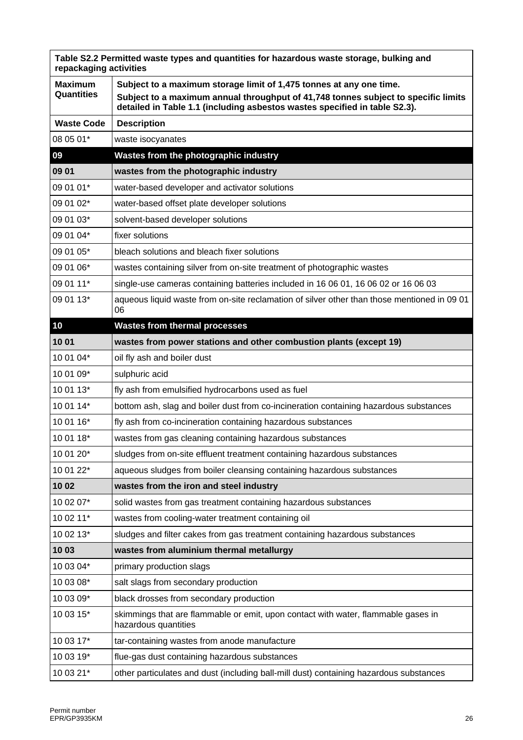| Table S2.2 Permitted waste types and quantities for hazardous waste storage, bulking and<br>repackaging activities |                                                                                                                                                                  |  |
|--------------------------------------------------------------------------------------------------------------------|------------------------------------------------------------------------------------------------------------------------------------------------------------------|--|
| <b>Maximum</b>                                                                                                     | Subject to a maximum storage limit of 1,475 tonnes at any one time.                                                                                              |  |
| Quantities                                                                                                         | Subject to a maximum annual throughput of 41,748 tonnes subject to specific limits<br>detailed in Table 1.1 (including asbestos wastes specified in table S2.3). |  |
| <b>Waste Code</b>                                                                                                  | <b>Description</b>                                                                                                                                               |  |
| 08 05 01*                                                                                                          | waste isocyanates                                                                                                                                                |  |
| 09                                                                                                                 | Wastes from the photographic industry                                                                                                                            |  |
| 09 01                                                                                                              | wastes from the photographic industry                                                                                                                            |  |
| 09 01 01*                                                                                                          | water-based developer and activator solutions                                                                                                                    |  |
| 09 01 02*                                                                                                          | water-based offset plate developer solutions                                                                                                                     |  |
| 09 01 03*                                                                                                          | solvent-based developer solutions                                                                                                                                |  |
| 09 01 04*                                                                                                          | fixer solutions                                                                                                                                                  |  |
| 09 01 05*                                                                                                          | bleach solutions and bleach fixer solutions                                                                                                                      |  |
| 09 01 06*                                                                                                          | wastes containing silver from on-site treatment of photographic wastes                                                                                           |  |
| 09 01 11*                                                                                                          | single-use cameras containing batteries included in 16 06 01, 16 06 02 or 16 06 03                                                                               |  |
| 09 01 13*                                                                                                          | aqueous liquid waste from on-site reclamation of silver other than those mentioned in 09 01<br>06                                                                |  |
| 10                                                                                                                 | <b>Wastes from thermal processes</b>                                                                                                                             |  |
| 1001                                                                                                               | wastes from power stations and other combustion plants (except 19)                                                                                               |  |
| 10 01 04*                                                                                                          | oil fly ash and boiler dust                                                                                                                                      |  |
| 10 01 09*                                                                                                          | sulphuric acid                                                                                                                                                   |  |
| 10 01 13*                                                                                                          | fly ash from emulsified hydrocarbons used as fuel                                                                                                                |  |
| 10 01 14*                                                                                                          | bottom ash, slag and boiler dust from co-incineration containing hazardous substances                                                                            |  |
| 10 01 16*                                                                                                          | fly ash from co-incineration containing hazardous substances                                                                                                     |  |
| 10 01 18*                                                                                                          | wastes from gas cleaning containing hazardous substances                                                                                                         |  |
| 10 01 20*                                                                                                          | sludges from on-site effluent treatment containing hazardous substances                                                                                          |  |
| 10 01 22*                                                                                                          | aqueous sludges from boiler cleansing containing hazardous substances                                                                                            |  |
| 10 02                                                                                                              | wastes from the iron and steel industry                                                                                                                          |  |
| 10 02 07*                                                                                                          | solid wastes from gas treatment containing hazardous substances                                                                                                  |  |
| 10 02 11*                                                                                                          | wastes from cooling-water treatment containing oil                                                                                                               |  |
| 10 02 13*                                                                                                          | sludges and filter cakes from gas treatment containing hazardous substances                                                                                      |  |
| 1003                                                                                                               | wastes from aluminium thermal metallurgy                                                                                                                         |  |
| 10 03 04*                                                                                                          | primary production slags                                                                                                                                         |  |
| 10 03 08*                                                                                                          | salt slags from secondary production                                                                                                                             |  |
| 10 03 09*                                                                                                          | black drosses from secondary production                                                                                                                          |  |
| 10 03 15*                                                                                                          | skimmings that are flammable or emit, upon contact with water, flammable gases in<br>hazardous quantities                                                        |  |
| 10 03 17*                                                                                                          | tar-containing wastes from anode manufacture                                                                                                                     |  |
| 10 03 19*                                                                                                          | flue-gas dust containing hazardous substances                                                                                                                    |  |
| 10 03 21*                                                                                                          | other particulates and dust (including ball-mill dust) containing hazardous substances                                                                           |  |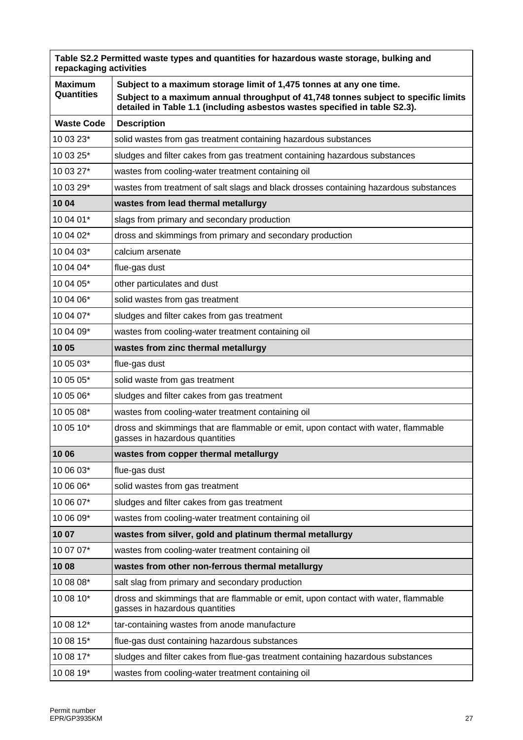| Table S2.2 Permitted waste types and quantities for hazardous waste storage, bulking and<br>repackaging activities |                                                                                                                                                                  |  |
|--------------------------------------------------------------------------------------------------------------------|------------------------------------------------------------------------------------------------------------------------------------------------------------------|--|
| <b>Maximum</b>                                                                                                     | Subject to a maximum storage limit of 1,475 tonnes at any one time.                                                                                              |  |
| <b>Quantities</b>                                                                                                  | Subject to a maximum annual throughput of 41,748 tonnes subject to specific limits<br>detailed in Table 1.1 (including asbestos wastes specified in table S2.3). |  |
| <b>Waste Code</b>                                                                                                  | <b>Description</b>                                                                                                                                               |  |
| 10 03 23*                                                                                                          | solid wastes from gas treatment containing hazardous substances                                                                                                  |  |
| 10 03 25*                                                                                                          | sludges and filter cakes from gas treatment containing hazardous substances                                                                                      |  |
| 10 03 27*                                                                                                          | wastes from cooling-water treatment containing oil                                                                                                               |  |
| 10 03 29*                                                                                                          | wastes from treatment of salt slags and black drosses containing hazardous substances                                                                            |  |
| 10 04                                                                                                              | wastes from lead thermal metallurgy                                                                                                                              |  |
| 10 04 01*                                                                                                          | slags from primary and secondary production                                                                                                                      |  |
| 10 04 02*                                                                                                          | dross and skimmings from primary and secondary production                                                                                                        |  |
| 10 04 03*                                                                                                          | calcium arsenate                                                                                                                                                 |  |
| 10 04 04*                                                                                                          | flue-gas dust                                                                                                                                                    |  |
| 10 04 05*                                                                                                          | other particulates and dust                                                                                                                                      |  |
| 10 04 06*                                                                                                          | solid wastes from gas treatment                                                                                                                                  |  |
| 10 04 07*                                                                                                          | sludges and filter cakes from gas treatment                                                                                                                      |  |
| 10 04 09*                                                                                                          | wastes from cooling-water treatment containing oil                                                                                                               |  |
| 1005                                                                                                               | wastes from zinc thermal metallurgy                                                                                                                              |  |
| 10 05 03*                                                                                                          | flue-gas dust                                                                                                                                                    |  |
| 10 05 05*                                                                                                          | solid waste from gas treatment                                                                                                                                   |  |
| 10 05 06*                                                                                                          | sludges and filter cakes from gas treatment                                                                                                                      |  |
| 10 05 08*                                                                                                          | wastes from cooling-water treatment containing oil                                                                                                               |  |
| 10 05 10*                                                                                                          | dross and skimmings that are flammable or emit, upon contact with water, flammable<br>gasses in hazardous quantities                                             |  |
| 10 06                                                                                                              | wastes from copper thermal metallurgy                                                                                                                            |  |
| 10 06 03*                                                                                                          | flue-gas dust                                                                                                                                                    |  |
| 10 06 06*                                                                                                          | solid wastes from gas treatment                                                                                                                                  |  |
| 10 06 07*                                                                                                          | sludges and filter cakes from gas treatment                                                                                                                      |  |
| 10 06 09*                                                                                                          | wastes from cooling-water treatment containing oil                                                                                                               |  |
| 10 07                                                                                                              | wastes from silver, gold and platinum thermal metallurgy                                                                                                         |  |
| 10 07 07*                                                                                                          | wastes from cooling-water treatment containing oil                                                                                                               |  |
| 1008                                                                                                               | wastes from other non-ferrous thermal metallurgy                                                                                                                 |  |
| 10 08 08*                                                                                                          | salt slag from primary and secondary production                                                                                                                  |  |
| 10 08 10*                                                                                                          | dross and skimmings that are flammable or emit, upon contact with water, flammable<br>gasses in hazardous quantities                                             |  |
| 10 08 12*                                                                                                          | tar-containing wastes from anode manufacture                                                                                                                     |  |
| 10 08 15*                                                                                                          | flue-gas dust containing hazardous substances                                                                                                                    |  |
| 10 08 17*                                                                                                          | sludges and filter cakes from flue-gas treatment containing hazardous substances                                                                                 |  |
| 10 08 19*                                                                                                          | wastes from cooling-water treatment containing oil                                                                                                               |  |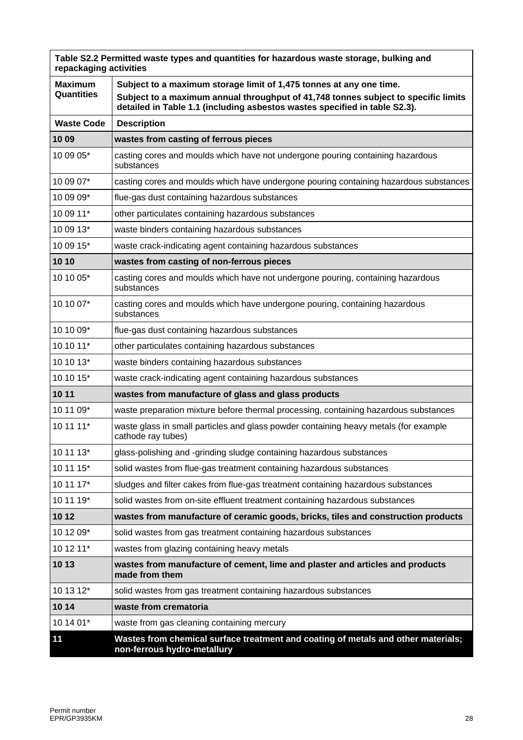| Table S2.2 Permitted waste types and quantities for hazardous waste storage, bulking and<br>repackaging activities |                                                                                                                                                                  |
|--------------------------------------------------------------------------------------------------------------------|------------------------------------------------------------------------------------------------------------------------------------------------------------------|
| <b>Maximum</b>                                                                                                     | Subject to a maximum storage limit of 1,475 tonnes at any one time.                                                                                              |
| Quantities                                                                                                         | Subject to a maximum annual throughput of 41,748 tonnes subject to specific limits<br>detailed in Table 1.1 (including asbestos wastes specified in table S2.3). |
| <b>Waste Code</b>                                                                                                  | <b>Description</b>                                                                                                                                               |
| 10 09                                                                                                              | wastes from casting of ferrous pieces                                                                                                                            |
| 10 09 05*                                                                                                          | casting cores and moulds which have not undergone pouring containing hazardous<br>substances                                                                     |
| 10 09 07*                                                                                                          | casting cores and moulds which have undergone pouring containing hazardous substances                                                                            |
| 10 09 09*                                                                                                          | flue-gas dust containing hazardous substances                                                                                                                    |
| 10 09 11*                                                                                                          | other particulates containing hazardous substances                                                                                                               |
| 10 09 13*                                                                                                          | waste binders containing hazardous substances                                                                                                                    |
| 10 09 15*                                                                                                          | waste crack-indicating agent containing hazardous substances                                                                                                     |
| 10 10                                                                                                              | wastes from casting of non-ferrous pieces                                                                                                                        |
| 10 10 05*                                                                                                          | casting cores and moulds which have not undergone pouring, containing hazardous<br>substances                                                                    |
| 10 10 07*                                                                                                          | casting cores and moulds which have undergone pouring, containing hazardous<br>substances                                                                        |
| 10 10 09*                                                                                                          | flue-gas dust containing hazardous substances                                                                                                                    |
| 10 10 11*                                                                                                          | other particulates containing hazardous substances                                                                                                               |
| 10 10 13*                                                                                                          | waste binders containing hazardous substances                                                                                                                    |
| 10 10 15*                                                                                                          | waste crack-indicating agent containing hazardous substances                                                                                                     |
| 10 11                                                                                                              | wastes from manufacture of glass and glass products                                                                                                              |
| 10 11 09*                                                                                                          | waste preparation mixture before thermal processing, containing hazardous substances                                                                             |
| 10 11 11*                                                                                                          | waste glass in small particles and glass powder containing heavy metals (for example<br>cathode ray tubes)                                                       |
| 10 11 13*                                                                                                          | glass-polishing and -grinding sludge containing hazardous substances                                                                                             |
| 10 11 15*                                                                                                          | solid wastes from flue-gas treatment containing hazardous substances                                                                                             |
| 10 11 17*                                                                                                          | sludges and filter cakes from flue-gas treatment containing hazardous substances                                                                                 |
| 10 11 19*                                                                                                          | solid wastes from on-site effluent treatment containing hazardous substances                                                                                     |
| 10 12                                                                                                              | wastes from manufacture of ceramic goods, bricks, tiles and construction products                                                                                |
| 10 12 09*                                                                                                          | solid wastes from gas treatment containing hazardous substances                                                                                                  |
| 10 12 11*                                                                                                          | wastes from glazing containing heavy metals                                                                                                                      |
| 10 13                                                                                                              | wastes from manufacture of cement, lime and plaster and articles and products<br>made from them                                                                  |
| 10 13 12*                                                                                                          | solid wastes from gas treatment containing hazardous substances                                                                                                  |
| 10 14                                                                                                              | waste from crematoria                                                                                                                                            |
| 10 14 01*                                                                                                          | waste from gas cleaning containing mercury                                                                                                                       |
| 11                                                                                                                 | Wastes from chemical surface treatment and coating of metals and other materials;<br>non-ferrous hydro-metallury                                                 |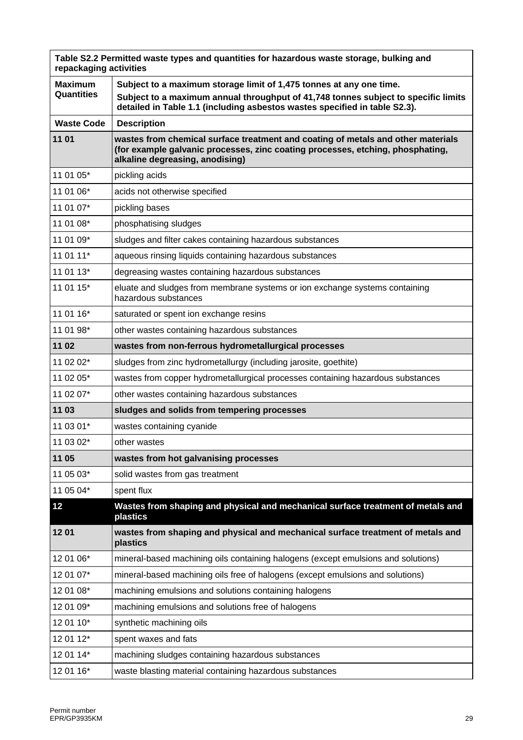| Table S2.2 Permitted waste types and quantities for hazardous waste storage, bulking and<br>repackaging activities |                                                                                                                                                                                                                                         |  |
|--------------------------------------------------------------------------------------------------------------------|-----------------------------------------------------------------------------------------------------------------------------------------------------------------------------------------------------------------------------------------|--|
| <b>Maximum</b><br>Quantities                                                                                       | Subject to a maximum storage limit of 1,475 tonnes at any one time.<br>Subject to a maximum annual throughput of 41,748 tonnes subject to specific limits<br>detailed in Table 1.1 (including asbestos wastes specified in table S2.3). |  |
| <b>Waste Code</b>                                                                                                  | <b>Description</b>                                                                                                                                                                                                                      |  |
| 11 01                                                                                                              | wastes from chemical surface treatment and coating of metals and other materials<br>(for example galvanic processes, zinc coating processes, etching, phosphating,<br>alkaline degreasing, anodising)                                   |  |
| 11 01 05*                                                                                                          | pickling acids                                                                                                                                                                                                                          |  |
| 11 01 06*                                                                                                          | acids not otherwise specified                                                                                                                                                                                                           |  |
| 11 01 07*                                                                                                          | pickling bases                                                                                                                                                                                                                          |  |
| 11 01 08*                                                                                                          | phosphatising sludges                                                                                                                                                                                                                   |  |
| 11 01 09*                                                                                                          | sludges and filter cakes containing hazardous substances                                                                                                                                                                                |  |
| 11 01 11*                                                                                                          | aqueous rinsing liquids containing hazardous substances                                                                                                                                                                                 |  |
| 11 01 13*                                                                                                          | degreasing wastes containing hazardous substances                                                                                                                                                                                       |  |
| 11 01 15*                                                                                                          | eluate and sludges from membrane systems or ion exchange systems containing<br>hazardous substances                                                                                                                                     |  |
| 11 01 16*                                                                                                          | saturated or spent ion exchange resins                                                                                                                                                                                                  |  |
| 11 01 98*                                                                                                          | other wastes containing hazardous substances                                                                                                                                                                                            |  |
| 11 02                                                                                                              | wastes from non-ferrous hydrometallurgical processes                                                                                                                                                                                    |  |
| 11 02 02*                                                                                                          | sludges from zinc hydrometallurgy (including jarosite, goethite)                                                                                                                                                                        |  |
| 11 02 05*                                                                                                          | wastes from copper hydrometallurgical processes containing hazardous substances                                                                                                                                                         |  |
| 11 02 07*                                                                                                          | other wastes containing hazardous substances                                                                                                                                                                                            |  |
| 11 03                                                                                                              | sludges and solids from tempering processes                                                                                                                                                                                             |  |
| 11 03 01*                                                                                                          | wastes containing cyanide                                                                                                                                                                                                               |  |
| 11 03 02*                                                                                                          | other wastes                                                                                                                                                                                                                            |  |
| 11 05                                                                                                              | wastes from hot galvanising processes                                                                                                                                                                                                   |  |
| 11 05 03*                                                                                                          | solid wastes from gas treatment                                                                                                                                                                                                         |  |
| 11 05 04*                                                                                                          | spent flux                                                                                                                                                                                                                              |  |
| 12                                                                                                                 | Wastes from shaping and physical and mechanical surface treatment of metals and<br>plastics                                                                                                                                             |  |
| 1201                                                                                                               | wastes from shaping and physical and mechanical surface treatment of metals and<br>plastics                                                                                                                                             |  |
| 12 01 06*                                                                                                          | mineral-based machining oils containing halogens (except emulsions and solutions)                                                                                                                                                       |  |
| 12 01 07*                                                                                                          | mineral-based machining oils free of halogens (except emulsions and solutions)                                                                                                                                                          |  |
| 12 01 08*                                                                                                          | machining emulsions and solutions containing halogens                                                                                                                                                                                   |  |
| 12 01 09*                                                                                                          | machining emulsions and solutions free of halogens                                                                                                                                                                                      |  |
| 12 01 10*                                                                                                          | synthetic machining oils                                                                                                                                                                                                                |  |
| 12 01 12*                                                                                                          | spent waxes and fats                                                                                                                                                                                                                    |  |
| 12 01 14*                                                                                                          | machining sludges containing hazardous substances                                                                                                                                                                                       |  |
| 12 01 16*                                                                                                          | waste blasting material containing hazardous substances                                                                                                                                                                                 |  |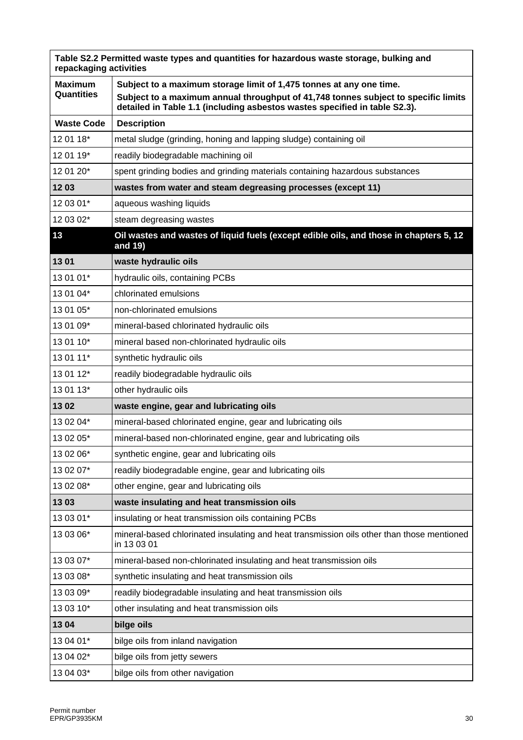| Table S2.2 Permitted waste types and quantities for hazardous waste storage, bulking and<br>repackaging activities |                                                                                                                                                                  |  |
|--------------------------------------------------------------------------------------------------------------------|------------------------------------------------------------------------------------------------------------------------------------------------------------------|--|
| <b>Maximum</b>                                                                                                     | Subject to a maximum storage limit of 1,475 tonnes at any one time.                                                                                              |  |
| Quantities                                                                                                         | Subject to a maximum annual throughput of 41,748 tonnes subject to specific limits<br>detailed in Table 1.1 (including asbestos wastes specified in table S2.3). |  |
| <b>Waste Code</b>                                                                                                  | <b>Description</b>                                                                                                                                               |  |
| 12 01 18*                                                                                                          | metal sludge (grinding, honing and lapping sludge) containing oil                                                                                                |  |
| 12 01 19*                                                                                                          | readily biodegradable machining oil                                                                                                                              |  |
| 12 01 20*                                                                                                          | spent grinding bodies and grinding materials containing hazardous substances                                                                                     |  |
| 1203                                                                                                               | wastes from water and steam degreasing processes (except 11)                                                                                                     |  |
| 12 03 01*                                                                                                          | aqueous washing liquids                                                                                                                                          |  |
| 12 03 02*                                                                                                          | steam degreasing wastes                                                                                                                                          |  |
| 13                                                                                                                 | Oil wastes and wastes of liquid fuels (except edible oils, and those in chapters 5, 12<br>and 19)                                                                |  |
| 1301                                                                                                               | waste hydraulic oils                                                                                                                                             |  |
| 13 01 01*                                                                                                          | hydraulic oils, containing PCBs                                                                                                                                  |  |
| 13 01 04*                                                                                                          | chlorinated emulsions                                                                                                                                            |  |
| 13 01 05*                                                                                                          | non-chlorinated emulsions                                                                                                                                        |  |
| 13 01 09*                                                                                                          | mineral-based chlorinated hydraulic oils                                                                                                                         |  |
| 13 01 10*                                                                                                          | mineral based non-chlorinated hydraulic oils                                                                                                                     |  |
| 13 01 11*                                                                                                          | synthetic hydraulic oils                                                                                                                                         |  |
| 13 01 12*                                                                                                          | readily biodegradable hydraulic oils                                                                                                                             |  |
| 13 01 13*                                                                                                          | other hydraulic oils                                                                                                                                             |  |
| 1302                                                                                                               | waste engine, gear and lubricating oils                                                                                                                          |  |
| 13 02 04*                                                                                                          | mineral-based chlorinated engine, gear and lubricating oils                                                                                                      |  |
| 13 02 05*                                                                                                          | mineral-based non-chlorinated engine, gear and lubricating oils                                                                                                  |  |
| 13 02 06*                                                                                                          | synthetic engine, gear and lubricating oils                                                                                                                      |  |
| 13 02 07*                                                                                                          | readily biodegradable engine, gear and lubricating oils                                                                                                          |  |
| 13 02 08*                                                                                                          | other engine, gear and lubricating oils                                                                                                                          |  |
| 1303                                                                                                               | waste insulating and heat transmission oils                                                                                                                      |  |
| 13 03 01*                                                                                                          | insulating or heat transmission oils containing PCBs                                                                                                             |  |
| 13 03 06*                                                                                                          | mineral-based chlorinated insulating and heat transmission oils other than those mentioned<br>in 13 03 01                                                        |  |
| 13 03 07*                                                                                                          | mineral-based non-chlorinated insulating and heat transmission oils                                                                                              |  |
| 13 03 08*                                                                                                          | synthetic insulating and heat transmission oils                                                                                                                  |  |
| 13 03 09*                                                                                                          | readily biodegradable insulating and heat transmission oils                                                                                                      |  |
| 13 03 10*                                                                                                          | other insulating and heat transmission oils                                                                                                                      |  |
| 1304                                                                                                               | bilge oils                                                                                                                                                       |  |
| 13 04 01*                                                                                                          | bilge oils from inland navigation                                                                                                                                |  |
| 13 04 02*                                                                                                          | bilge oils from jetty sewers                                                                                                                                     |  |
| 13 04 03*                                                                                                          | bilge oils from other navigation                                                                                                                                 |  |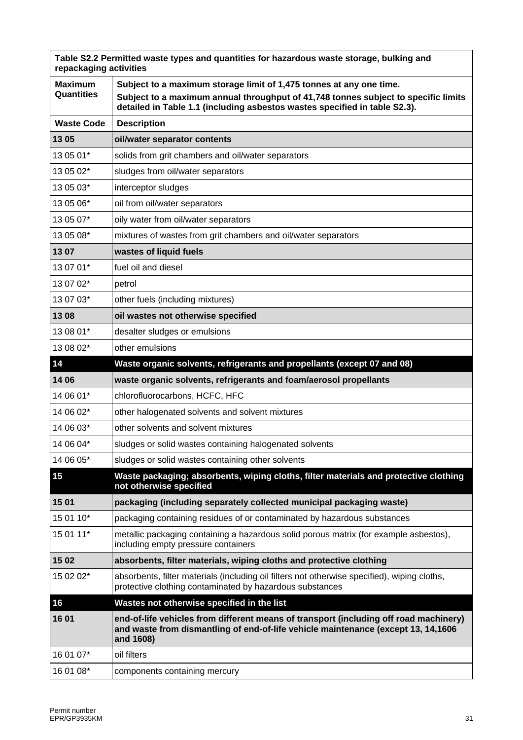| Table S2.2 Permitted waste types and quantities for hazardous waste storage, bulking and<br>repackaging activities |                                                                                                                                                                                                                                         |  |
|--------------------------------------------------------------------------------------------------------------------|-----------------------------------------------------------------------------------------------------------------------------------------------------------------------------------------------------------------------------------------|--|
| <b>Maximum</b><br><b>Quantities</b>                                                                                | Subject to a maximum storage limit of 1,475 tonnes at any one time.<br>Subject to a maximum annual throughput of 41,748 tonnes subject to specific limits<br>detailed in Table 1.1 (including asbestos wastes specified in table S2.3). |  |
| <b>Waste Code</b>                                                                                                  | <b>Description</b>                                                                                                                                                                                                                      |  |
| 13 05                                                                                                              | oil/water separator contents                                                                                                                                                                                                            |  |
| 13 05 01*                                                                                                          | solids from grit chambers and oil/water separators                                                                                                                                                                                      |  |
| 13 05 02*                                                                                                          | sludges from oil/water separators                                                                                                                                                                                                       |  |
| 13 05 03*                                                                                                          | interceptor sludges                                                                                                                                                                                                                     |  |
| 13 05 06*                                                                                                          | oil from oil/water separators                                                                                                                                                                                                           |  |
| 13 05 07*                                                                                                          | oily water from oil/water separators                                                                                                                                                                                                    |  |
| 13 05 08*                                                                                                          | mixtures of wastes from grit chambers and oil/water separators                                                                                                                                                                          |  |
| 1307                                                                                                               | wastes of liquid fuels                                                                                                                                                                                                                  |  |
| 13 07 01*                                                                                                          | fuel oil and diesel                                                                                                                                                                                                                     |  |
| 13 07 02*                                                                                                          | petrol                                                                                                                                                                                                                                  |  |
| 13 07 03*                                                                                                          | other fuels (including mixtures)                                                                                                                                                                                                        |  |
| 13 08                                                                                                              | oil wastes not otherwise specified                                                                                                                                                                                                      |  |
| 13 08 01*                                                                                                          | desalter sludges or emulsions                                                                                                                                                                                                           |  |
| 13 08 02*                                                                                                          | other emulsions                                                                                                                                                                                                                         |  |
| 14                                                                                                                 | Waste organic solvents, refrigerants and propellants (except 07 and 08)                                                                                                                                                                 |  |
| 14 06                                                                                                              | waste organic solvents, refrigerants and foam/aerosol propellants                                                                                                                                                                       |  |
| 14 06 01*                                                                                                          | chlorofluorocarbons, HCFC, HFC                                                                                                                                                                                                          |  |
| 14 06 02*                                                                                                          | other halogenated solvents and solvent mixtures                                                                                                                                                                                         |  |
| 14 06 03*                                                                                                          | other solvents and solvent mixtures                                                                                                                                                                                                     |  |
| 14 06 04*                                                                                                          | sludges or solid wastes containing halogenated solvents                                                                                                                                                                                 |  |
| 14 06 05*                                                                                                          | sludges or solid wastes containing other solvents                                                                                                                                                                                       |  |
| 15                                                                                                                 | Waste packaging; absorbents, wiping cloths, filter materials and protective clothing<br>not otherwise specified                                                                                                                         |  |
| 15 01                                                                                                              | packaging (including separately collected municipal packaging waste)                                                                                                                                                                    |  |
| 15 01 10*                                                                                                          | packaging containing residues of or contaminated by hazardous substances                                                                                                                                                                |  |
| 15 01 11*                                                                                                          | metallic packaging containing a hazardous solid porous matrix (for example asbestos),<br>including empty pressure containers                                                                                                            |  |
| 15 02                                                                                                              | absorbents, filter materials, wiping cloths and protective clothing                                                                                                                                                                     |  |
| 15 02 02*                                                                                                          | absorbents, filter materials (including oil filters not otherwise specified), wiping cloths,<br>protective clothing contaminated by hazardous substances                                                                                |  |
| 16                                                                                                                 | Wastes not otherwise specified in the list                                                                                                                                                                                              |  |
| 16 01                                                                                                              | end-of-life vehicles from different means of transport (including off road machinery)<br>and waste from dismantling of end-of-life vehicle maintenance (except 13, 14,1606<br>and 1608)                                                 |  |
| 16 01 07*                                                                                                          | oil filters                                                                                                                                                                                                                             |  |
| 16 01 08*                                                                                                          | components containing mercury                                                                                                                                                                                                           |  |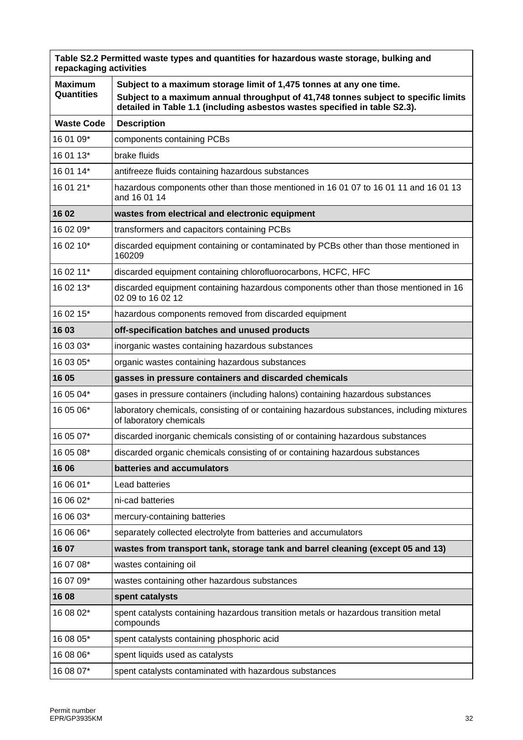| Table S2.2 Permitted waste types and quantities for hazardous waste storage, bulking and<br>repackaging activities |                                                                                                                                                                                                                                         |  |
|--------------------------------------------------------------------------------------------------------------------|-----------------------------------------------------------------------------------------------------------------------------------------------------------------------------------------------------------------------------------------|--|
| <b>Maximum</b><br>Quantities                                                                                       | Subject to a maximum storage limit of 1,475 tonnes at any one time.<br>Subject to a maximum annual throughput of 41,748 tonnes subject to specific limits<br>detailed in Table 1.1 (including asbestos wastes specified in table S2.3). |  |
| <b>Waste Code</b>                                                                                                  | <b>Description</b>                                                                                                                                                                                                                      |  |
| 16 01 09*                                                                                                          | components containing PCBs                                                                                                                                                                                                              |  |
| 16 01 13*                                                                                                          | brake fluids                                                                                                                                                                                                                            |  |
| 16 01 14*                                                                                                          | antifreeze fluids containing hazardous substances                                                                                                                                                                                       |  |
| 16 01 21*                                                                                                          | hazardous components other than those mentioned in 16 01 07 to 16 01 11 and 16 01 13<br>and 16 01 14                                                                                                                                    |  |
| 16 02                                                                                                              | wastes from electrical and electronic equipment                                                                                                                                                                                         |  |
| 16 02 09*                                                                                                          | transformers and capacitors containing PCBs                                                                                                                                                                                             |  |
| 16 02 10*                                                                                                          | discarded equipment containing or contaminated by PCBs other than those mentioned in<br>160209                                                                                                                                          |  |
| 16 02 11*                                                                                                          | discarded equipment containing chlorofluorocarbons, HCFC, HFC                                                                                                                                                                           |  |
| 16 02 13*                                                                                                          | discarded equipment containing hazardous components other than those mentioned in 16<br>02 09 to 16 02 12                                                                                                                               |  |
| 16 02 15*                                                                                                          | hazardous components removed from discarded equipment                                                                                                                                                                                   |  |
| 16 03                                                                                                              | off-specification batches and unused products                                                                                                                                                                                           |  |
| 16 03 03*                                                                                                          | inorganic wastes containing hazardous substances                                                                                                                                                                                        |  |
| 16 03 05*                                                                                                          | organic wastes containing hazardous substances                                                                                                                                                                                          |  |
| 16 05                                                                                                              | gasses in pressure containers and discarded chemicals                                                                                                                                                                                   |  |
| 16 05 04*                                                                                                          | gases in pressure containers (including halons) containing hazardous substances                                                                                                                                                         |  |
| 16 05 06*                                                                                                          | laboratory chemicals, consisting of or containing hazardous substances, including mixtures<br>of laboratory chemicals                                                                                                                   |  |
| 16 05 07*                                                                                                          | discarded inorganic chemicals consisting of or containing hazardous substances                                                                                                                                                          |  |
| 16 05 08*                                                                                                          | discarded organic chemicals consisting of or containing hazardous substances                                                                                                                                                            |  |
| 16 06                                                                                                              | batteries and accumulators                                                                                                                                                                                                              |  |
| 16 06 01*                                                                                                          | Lead batteries                                                                                                                                                                                                                          |  |
| 16 06 02*                                                                                                          | ni-cad batteries                                                                                                                                                                                                                        |  |
| 16 06 03*                                                                                                          | mercury-containing batteries                                                                                                                                                                                                            |  |
| 16 06 06*                                                                                                          | separately collected electrolyte from batteries and accumulators                                                                                                                                                                        |  |
| 1607                                                                                                               | wastes from transport tank, storage tank and barrel cleaning (except 05 and 13)                                                                                                                                                         |  |
| 16 07 08*                                                                                                          | wastes containing oil                                                                                                                                                                                                                   |  |
| 16 07 09*                                                                                                          | wastes containing other hazardous substances                                                                                                                                                                                            |  |
| 16 08                                                                                                              | spent catalysts                                                                                                                                                                                                                         |  |
| 16 08 02*                                                                                                          | spent catalysts containing hazardous transition metals or hazardous transition metal<br>compounds                                                                                                                                       |  |
| 16 08 05*                                                                                                          | spent catalysts containing phosphoric acid                                                                                                                                                                                              |  |
| 16 08 06*                                                                                                          | spent liquids used as catalysts                                                                                                                                                                                                         |  |
| 16 08 07*                                                                                                          | spent catalysts contaminated with hazardous substances                                                                                                                                                                                  |  |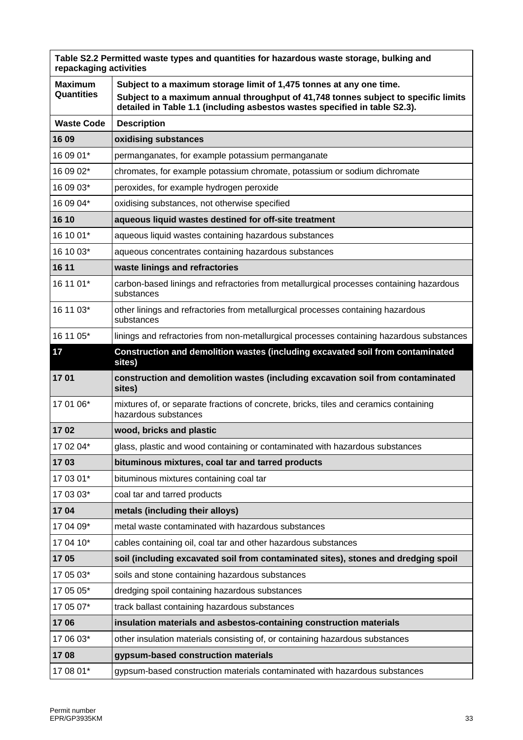| repackaging activities       | Table S2.2 Permitted waste types and quantities for hazardous waste storage, bulking and                                                                                                                                                |
|------------------------------|-----------------------------------------------------------------------------------------------------------------------------------------------------------------------------------------------------------------------------------------|
| <b>Maximum</b><br>Quantities | Subject to a maximum storage limit of 1,475 tonnes at any one time.<br>Subject to a maximum annual throughput of 41,748 tonnes subject to specific limits<br>detailed in Table 1.1 (including asbestos wastes specified in table S2.3). |
| <b>Waste Code</b>            | <b>Description</b>                                                                                                                                                                                                                      |
| 16 09                        | oxidising substances                                                                                                                                                                                                                    |
| 16 09 01*                    | permanganates, for example potassium permanganate                                                                                                                                                                                       |
| 16 09 02*                    | chromates, for example potassium chromate, potassium or sodium dichromate                                                                                                                                                               |
| 16 09 03*                    | peroxides, for example hydrogen peroxide                                                                                                                                                                                                |
| 16 09 04*                    | oxidising substances, not otherwise specified                                                                                                                                                                                           |
| 16 10                        | aqueous liquid wastes destined for off-site treatment                                                                                                                                                                                   |
| 16 10 01*                    | aqueous liquid wastes containing hazardous substances                                                                                                                                                                                   |
| 16 10 03*                    | aqueous concentrates containing hazardous substances                                                                                                                                                                                    |
| 16 11                        | waste linings and refractories                                                                                                                                                                                                          |
| 16 11 01*                    | carbon-based linings and refractories from metallurgical processes containing hazardous<br>substances                                                                                                                                   |
| 16 11 03*                    | other linings and refractories from metallurgical processes containing hazardous<br>substances                                                                                                                                          |
| 16 11 05*                    | linings and refractories from non-metallurgical processes containing hazardous substances                                                                                                                                               |
| 17                           | Construction and demolition wastes (including excavated soil from contaminated<br>sites)                                                                                                                                                |
| 1701                         | construction and demolition wastes (including excavation soil from contaminated<br>sites)                                                                                                                                               |
| 17 01 06*                    | mixtures of, or separate fractions of concrete, bricks, tiles and ceramics containing<br>hazardous substances                                                                                                                           |
| 1702                         | wood, bricks and plastic                                                                                                                                                                                                                |
| 17 02 04*                    | glass, plastic and wood containing or contaminated with hazardous substances                                                                                                                                                            |
| 1703                         | bituminous mixtures, coal tar and tarred products                                                                                                                                                                                       |
| 17 03 01*                    | bituminous mixtures containing coal tar                                                                                                                                                                                                 |
| 17 03 03*                    | coal tar and tarred products                                                                                                                                                                                                            |
| 1704                         | metals (including their alloys)                                                                                                                                                                                                         |
| 17 04 09*                    | metal waste contaminated with hazardous substances                                                                                                                                                                                      |
| 17 04 10*                    | cables containing oil, coal tar and other hazardous substances                                                                                                                                                                          |
| 1705                         | soil (including excavated soil from contaminated sites), stones and dredging spoil                                                                                                                                                      |
| 17 05 03*                    | soils and stone containing hazardous substances                                                                                                                                                                                         |
| 17 05 05*                    | dredging spoil containing hazardous substances                                                                                                                                                                                          |
| 17 05 07*                    | track ballast containing hazardous substances                                                                                                                                                                                           |
| 1706                         | insulation materials and asbestos-containing construction materials                                                                                                                                                                     |
| 17 06 03*                    | other insulation materials consisting of, or containing hazardous substances                                                                                                                                                            |
| 1708                         | gypsum-based construction materials                                                                                                                                                                                                     |
| 17 08 01*                    | gypsum-based construction materials contaminated with hazardous substances                                                                                                                                                              |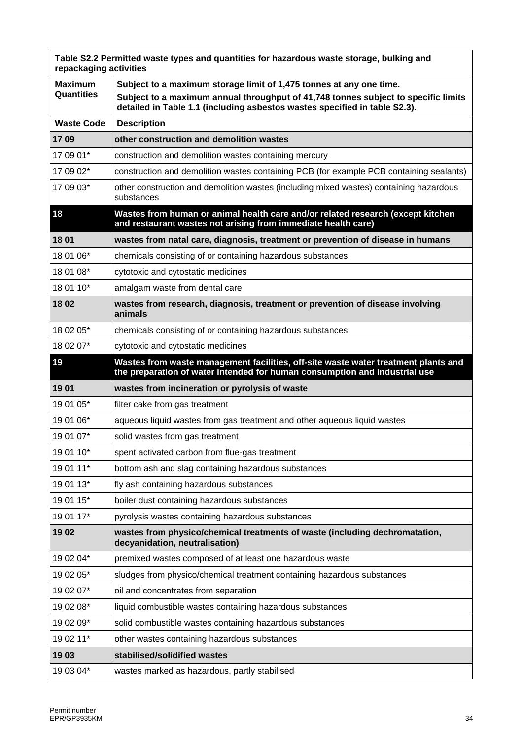| repackaging activities       | Table S2.2 Permitted waste types and quantities for hazardous waste storage, bulking and                                                                                                                                                |
|------------------------------|-----------------------------------------------------------------------------------------------------------------------------------------------------------------------------------------------------------------------------------------|
| <b>Maximum</b><br>Quantities | Subject to a maximum storage limit of 1,475 tonnes at any one time.<br>Subject to a maximum annual throughput of 41,748 tonnes subject to specific limits<br>detailed in Table 1.1 (including asbestos wastes specified in table S2.3). |
| <b>Waste Code</b>            | <b>Description</b>                                                                                                                                                                                                                      |
| 1709                         | other construction and demolition wastes                                                                                                                                                                                                |
| 17 09 01*                    | construction and demolition wastes containing mercury                                                                                                                                                                                   |
| 17 09 02*                    | construction and demolition wastes containing PCB (for example PCB containing sealants)                                                                                                                                                 |
| 17 09 03*                    | other construction and demolition wastes (including mixed wastes) containing hazardous<br>substances                                                                                                                                    |
| 18                           | Wastes from human or animal health care and/or related research (except kitchen<br>and restaurant wastes not arising from immediate health care)                                                                                        |
| 18 01                        | wastes from natal care, diagnosis, treatment or prevention of disease in humans                                                                                                                                                         |
| 18 01 06*                    | chemicals consisting of or containing hazardous substances                                                                                                                                                                              |
| 18 01 08*                    | cytotoxic and cytostatic medicines                                                                                                                                                                                                      |
| 18 01 10*                    | amalgam waste from dental care                                                                                                                                                                                                          |
| 18 02                        | wastes from research, diagnosis, treatment or prevention of disease involving<br>animals                                                                                                                                                |
| 18 02 05*                    | chemicals consisting of or containing hazardous substances                                                                                                                                                                              |
| 18 02 07*                    | cytotoxic and cytostatic medicines                                                                                                                                                                                                      |
| 19                           | Wastes from waste management facilities, off-site waste water treatment plants and<br>the preparation of water intended for human consumption and industrial use                                                                        |
| 1901                         | wastes from incineration or pyrolysis of waste                                                                                                                                                                                          |
| 19 01 05*                    | filter cake from gas treatment                                                                                                                                                                                                          |
| 19 01 06*                    | aqueous liquid wastes from gas treatment and other aqueous liquid wastes                                                                                                                                                                |
| 19 01 07*                    | solid wastes from gas treatment                                                                                                                                                                                                         |
| 19 01 10*                    | spent activated carbon from flue-gas treatment                                                                                                                                                                                          |
| 19 01 11*                    | bottom ash and slag containing hazardous substances                                                                                                                                                                                     |
| 19 01 13*                    | fly ash containing hazardous substances                                                                                                                                                                                                 |
| 19 01 15*                    | boiler dust containing hazardous substances                                                                                                                                                                                             |
| 19 01 17*                    | pyrolysis wastes containing hazardous substances                                                                                                                                                                                        |
| 1902                         | wastes from physico/chemical treatments of waste (including dechromatation,<br>decyanidation, neutralisation)                                                                                                                           |
| 19 02 04*                    | premixed wastes composed of at least one hazardous waste                                                                                                                                                                                |
| 19 02 05*                    | sludges from physico/chemical treatment containing hazardous substances                                                                                                                                                                 |
| 19 02 07*                    | oil and concentrates from separation                                                                                                                                                                                                    |
| 19 02 08*                    | liquid combustible wastes containing hazardous substances                                                                                                                                                                               |
| 19 02 09*                    | solid combustible wastes containing hazardous substances                                                                                                                                                                                |
| 19 02 11*                    | other wastes containing hazardous substances                                                                                                                                                                                            |
| 1903                         | stabilised/solidified wastes                                                                                                                                                                                                            |
| 19 03 04*                    | wastes marked as hazardous, partly stabilised                                                                                                                                                                                           |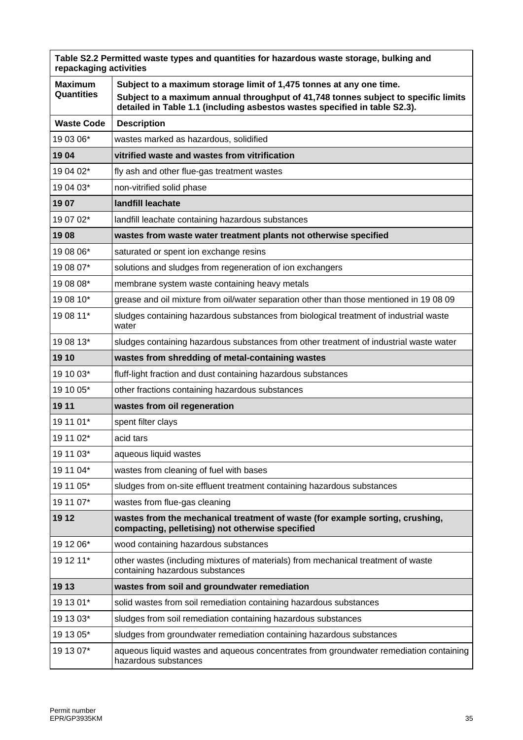| repackaging activities              | Table S2.2 Permitted waste types and quantities for hazardous waste storage, bulking and                                                                         |
|-------------------------------------|------------------------------------------------------------------------------------------------------------------------------------------------------------------|
| <b>Maximum</b><br><b>Quantities</b> | Subject to a maximum storage limit of 1,475 tonnes at any one time.                                                                                              |
|                                     | Subject to a maximum annual throughput of 41,748 tonnes subject to specific limits<br>detailed in Table 1.1 (including asbestos wastes specified in table S2.3). |
| <b>Waste Code</b>                   | <b>Description</b>                                                                                                                                               |
| 19 03 06*                           | wastes marked as hazardous, solidified                                                                                                                           |
| 1904                                | vitrified waste and wastes from vitrification                                                                                                                    |
| 19 04 02*                           | fly ash and other flue-gas treatment wastes                                                                                                                      |
| 19 04 03*                           | non-vitrified solid phase                                                                                                                                        |
| 1907                                | landfill leachate                                                                                                                                                |
| 19 07 02*                           | landfill leachate containing hazardous substances                                                                                                                |
| 1908                                | wastes from waste water treatment plants not otherwise specified                                                                                                 |
| 19 08 06*                           | saturated or spent ion exchange resins                                                                                                                           |
| 19 08 07*                           | solutions and sludges from regeneration of ion exchangers                                                                                                        |
| 19 08 08*                           | membrane system waste containing heavy metals                                                                                                                    |
| 19 08 10*                           | grease and oil mixture from oil/water separation other than those mentioned in 19 08 09                                                                          |
| 19 08 11*                           | sludges containing hazardous substances from biological treatment of industrial waste<br>water                                                                   |
| 19 08 13*                           | sludges containing hazardous substances from other treatment of industrial waste water                                                                           |
| 19 10                               | wastes from shredding of metal-containing wastes                                                                                                                 |
| 19 10 03*                           | fluff-light fraction and dust containing hazardous substances                                                                                                    |
| 19 10 05*                           | other fractions containing hazardous substances                                                                                                                  |
| 19 11                               | wastes from oil regeneration                                                                                                                                     |
| 19 11 01*                           | spent filter clays                                                                                                                                               |
| 19 11 02*                           | acid tars                                                                                                                                                        |
| 19 11 03*                           | aqueous liquid wastes                                                                                                                                            |
| 19 11 04*                           | wastes from cleaning of fuel with bases                                                                                                                          |
| 19 11 05*                           | sludges from on-site effluent treatment containing hazardous substances                                                                                          |
| 19 11 07*                           | wastes from flue-gas cleaning                                                                                                                                    |
| 19 12                               | wastes from the mechanical treatment of waste (for example sorting, crushing,<br>compacting, pelletising) not otherwise specified                                |
| 19 12 06*                           | wood containing hazardous substances                                                                                                                             |
| 19 12 11*                           | other wastes (including mixtures of materials) from mechanical treatment of waste<br>containing hazardous substances                                             |
| 19 13                               | wastes from soil and groundwater remediation                                                                                                                     |
| 19 13 01*                           | solid wastes from soil remediation containing hazardous substances                                                                                               |
| 19 13 03*                           | sludges from soil remediation containing hazardous substances                                                                                                    |
| 19 13 05*                           | sludges from groundwater remediation containing hazardous substances                                                                                             |
| 19 13 07*                           | aqueous liquid wastes and aqueous concentrates from groundwater remediation containing<br>hazardous substances                                                   |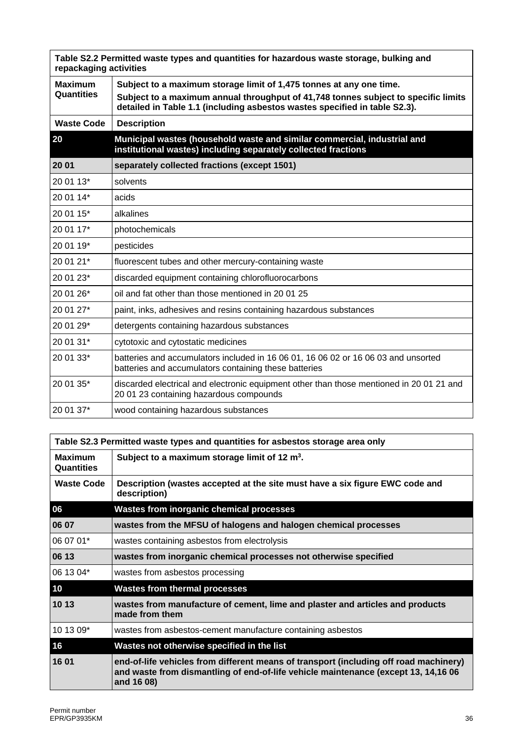| repackaging activities | Table S2.2 Permitted waste types and quantities for hazardous waste storage, bulking and                                                                         |
|------------------------|------------------------------------------------------------------------------------------------------------------------------------------------------------------|
| <b>Maximum</b>         | Subject to a maximum storage limit of 1,475 tonnes at any one time.                                                                                              |
| Quantities             | Subject to a maximum annual throughput of 41,748 tonnes subject to specific limits<br>detailed in Table 1.1 (including asbestos wastes specified in table S2.3). |
| <b>Waste Code</b>      | <b>Description</b>                                                                                                                                               |
| 20                     | Municipal wastes (household waste and similar commercial, industrial and<br>institutional wastes) including separately collected fractions                       |
| 20 01                  | separately collected fractions (except 1501)                                                                                                                     |
| 20 01 13*              | solvents                                                                                                                                                         |
| 20 01 14*              | acids                                                                                                                                                            |
| 20 01 15*              | alkalines                                                                                                                                                        |
| 20 01 17*              | photochemicals                                                                                                                                                   |
| 20 01 19*              | pesticides                                                                                                                                                       |
| 20 01 21*              | fluorescent tubes and other mercury-containing waste                                                                                                             |
| 20 01 23*              | discarded equipment containing chlorofluorocarbons                                                                                                               |
| 20 01 26*              | oil and fat other than those mentioned in 20 01 25                                                                                                               |
| 20 01 27*              | paint, inks, adhesives and resins containing hazardous substances                                                                                                |
| 20 01 29*              | detergents containing hazardous substances                                                                                                                       |
| 20 01 31*              | cytotoxic and cytostatic medicines                                                                                                                               |
| 20 01 33*              | batteries and accumulators included in 16 06 01, 16 06 02 or 16 06 03 and unsorted<br>batteries and accumulators containing these batteries                      |
| 20 01 35*              | discarded electrical and electronic equipment other than those mentioned in 20 01 21 and<br>20 01 23 containing hazardous compounds                              |
| 20 01 37*              | wood containing hazardous substances                                                                                                                             |

|                                     | Table S2.3 Permitted waste types and quantities for asbestos storage area only                                                                                                            |
|-------------------------------------|-------------------------------------------------------------------------------------------------------------------------------------------------------------------------------------------|
| <b>Maximum</b><br><b>Quantities</b> | Subject to a maximum storage limit of 12 $m3$ .                                                                                                                                           |
| <b>Waste Code</b>                   | Description (wastes accepted at the site must have a six figure EWC code and<br>description)                                                                                              |
| 06                                  | <b>Wastes from inorganic chemical processes</b>                                                                                                                                           |
| 06 07                               | wastes from the MFSU of halogens and halogen chemical processes                                                                                                                           |
| 06 07 01*                           | wastes containing asbestos from electrolysis                                                                                                                                              |
| 06 13                               | wastes from inorganic chemical processes not otherwise specified                                                                                                                          |
| 06 13 04*                           | wastes from asbestos processing                                                                                                                                                           |
| 10                                  | <b>Wastes from thermal processes</b>                                                                                                                                                      |
| 10 13                               | wastes from manufacture of cement, lime and plaster and articles and products<br>made from them                                                                                           |
| 10 13 09*                           | wastes from asbestos-cement manufacture containing asbestos                                                                                                                               |
| 16                                  | Wastes not otherwise specified in the list                                                                                                                                                |
| 16 01                               | end-of-life vehicles from different means of transport (including off road machinery)<br>and waste from dismantling of end-of-life vehicle maintenance (except 13, 14,16 06<br>and 16 08) |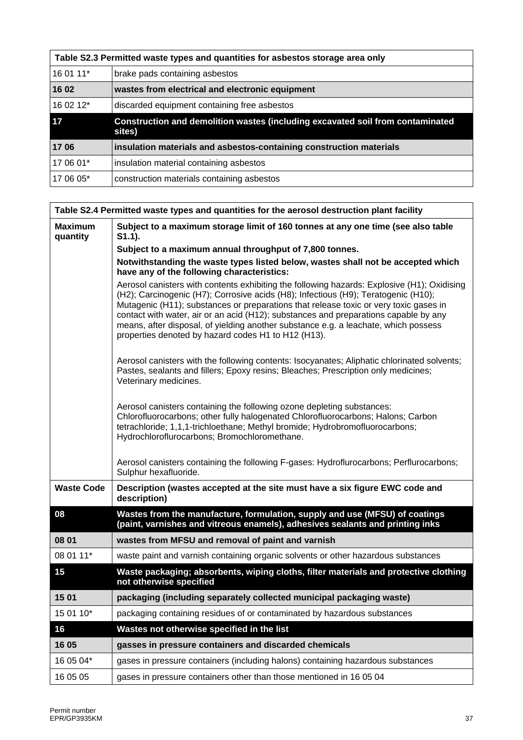|           | Table S2.3 Permitted waste types and quantities for asbestos storage area only                  |
|-----------|-------------------------------------------------------------------------------------------------|
| 16 01 11* | brake pads containing asbestos                                                                  |
| 16 02     | wastes from electrical and electronic equipment                                                 |
| 16 02 12* | discarded equipment containing free asbestos                                                    |
| 17        | <b>Construction and demolition wastes (including excavated soil from contaminated</b><br>sites) |
| 1706      | insulation materials and asbestos-containing construction materials                             |
| 17 06 01* | insulation material containing asbestos                                                         |
| 17 06 05* | construction materials containing asbestos                                                      |

|                            | Table S2.4 Permitted waste types and quantities for the aerosol destruction plant facility                                                                                                                                                                                                                                                                                                                                                                                                                       |
|----------------------------|------------------------------------------------------------------------------------------------------------------------------------------------------------------------------------------------------------------------------------------------------------------------------------------------------------------------------------------------------------------------------------------------------------------------------------------------------------------------------------------------------------------|
| <b>Maximum</b><br>quantity | Subject to a maximum storage limit of 160 tonnes at any one time (see also table<br>$S1.1$ ).                                                                                                                                                                                                                                                                                                                                                                                                                    |
|                            | Subject to a maximum annual throughput of 7,800 tonnes.                                                                                                                                                                                                                                                                                                                                                                                                                                                          |
|                            | Notwithstanding the waste types listed below, wastes shall not be accepted which<br>have any of the following characteristics:                                                                                                                                                                                                                                                                                                                                                                                   |
|                            | Aerosol canisters with contents exhibiting the following hazards: Explosive (H1); Oxidising<br>(H2); Carcinogenic (H7); Corrosive acids (H8); Infectious (H9); Teratogenic (H10);<br>Mutagenic (H11); substances or preparations that release toxic or very toxic gases in<br>contact with water, air or an acid (H12); substances and preparations capable by any<br>means, after disposal, of yielding another substance e.g. a leachate, which possess<br>properties denoted by hazard codes H1 to H12 (H13). |
|                            | Aerosol canisters with the following contents: Isocyanates; Aliphatic chlorinated solvents;<br>Pastes, sealants and fillers; Epoxy resins; Bleaches; Prescription only medicines;<br>Veterinary medicines.                                                                                                                                                                                                                                                                                                       |
|                            | Aerosol canisters containing the following ozone depleting substances:<br>Chlorofluorocarbons; other fully halogenated Chlorofluorocarbons; Halons; Carbon<br>tetrachloride; 1,1,1-trichloethane; Methyl bromide; Hydrobromofluorocarbons;<br>Hydrochloroflurocarbons; Bromochloromethane.                                                                                                                                                                                                                       |
|                            | Aerosol canisters containing the following F-gases: Hydroflurocarbons; Perflurocarbons;<br>Sulphur hexafluoride.                                                                                                                                                                                                                                                                                                                                                                                                 |
| <b>Waste Code</b>          | Description (wastes accepted at the site must have a six figure EWC code and<br>description)                                                                                                                                                                                                                                                                                                                                                                                                                     |
| 08                         | Wastes from the manufacture, formulation, supply and use (MFSU) of coatings<br>(paint, varnishes and vitreous enamels), adhesives sealants and printing inks                                                                                                                                                                                                                                                                                                                                                     |
| 08 01                      | wastes from MFSU and removal of paint and varnish                                                                                                                                                                                                                                                                                                                                                                                                                                                                |
| 08 01 11*                  | waste paint and varnish containing organic solvents or other hazardous substances                                                                                                                                                                                                                                                                                                                                                                                                                                |
| 15                         | Waste packaging; absorbents, wiping cloths, filter materials and protective clothing<br>not otherwise specified                                                                                                                                                                                                                                                                                                                                                                                                  |
| 1501                       | packaging (including separately collected municipal packaging waste)                                                                                                                                                                                                                                                                                                                                                                                                                                             |
| 15 01 10*                  | packaging containing residues of or contaminated by hazardous substances                                                                                                                                                                                                                                                                                                                                                                                                                                         |
| 16                         | Wastes not otherwise specified in the list                                                                                                                                                                                                                                                                                                                                                                                                                                                                       |
| 16 05                      | gasses in pressure containers and discarded chemicals                                                                                                                                                                                                                                                                                                                                                                                                                                                            |
| 16 05 04*                  | gases in pressure containers (including halons) containing hazardous substances                                                                                                                                                                                                                                                                                                                                                                                                                                  |
| 16 05 05                   | gases in pressure containers other than those mentioned in 16 05 04                                                                                                                                                                                                                                                                                                                                                                                                                                              |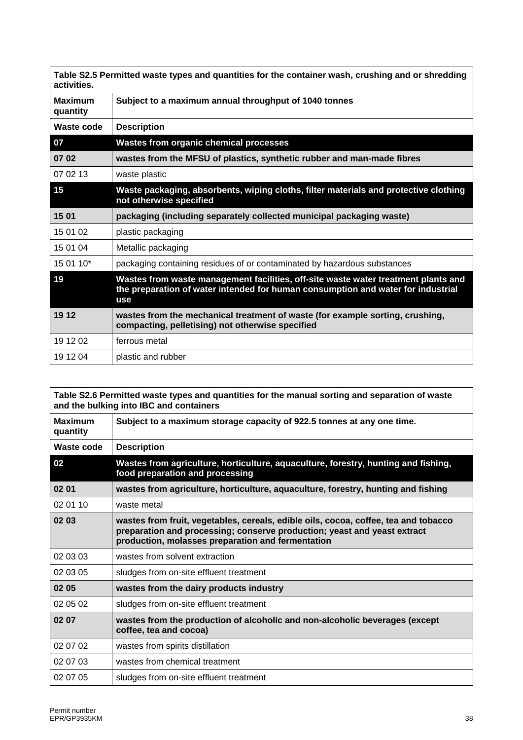| activities.                | Table S2.5 Permitted waste types and quantities for the container wash, crushing and or shredding                                                                             |
|----------------------------|-------------------------------------------------------------------------------------------------------------------------------------------------------------------------------|
| <b>Maximum</b><br>quantity | Subject to a maximum annual throughput of 1040 tonnes                                                                                                                         |
| Waste code                 | <b>Description</b>                                                                                                                                                            |
| 07                         | <b>Wastes from organic chemical processes</b>                                                                                                                                 |
| 07 02                      | wastes from the MFSU of plastics, synthetic rubber and man-made fibres                                                                                                        |
| 07 02 13                   | waste plastic                                                                                                                                                                 |
| 15                         | Waste packaging, absorbents, wiping cloths, filter materials and protective clothing<br>not otherwise specified                                                               |
| 15 01                      | packaging (including separately collected municipal packaging waste)                                                                                                          |
| 15 01 02                   | plastic packaging                                                                                                                                                             |
| 15 01 04                   | Metallic packaging                                                                                                                                                            |
| 15 01 10*                  | packaging containing residues of or contaminated by hazardous substances                                                                                                      |
| 19                         | Wastes from waste management facilities, off-site waste water treatment plants and<br>the preparation of water intended for human consumption and water for industrial<br>use |
| 19 12                      | wastes from the mechanical treatment of waste (for example sorting, crushing,<br>compacting, pelletising) not otherwise specified                                             |
| 19 12 02                   | ferrous metal                                                                                                                                                                 |
| 19 12 04                   | plastic and rubber                                                                                                                                                            |

|                            | Table S2.6 Permitted waste types and quantities for the manual sorting and separation of waste<br>and the bulking into IBC and containers                                                                            |
|----------------------------|----------------------------------------------------------------------------------------------------------------------------------------------------------------------------------------------------------------------|
| <b>Maximum</b><br>quantity | Subject to a maximum storage capacity of 922.5 tonnes at any one time.                                                                                                                                               |
| Waste code                 | <b>Description</b>                                                                                                                                                                                                   |
| 02                         | Wastes from agriculture, horticulture, aquaculture, forestry, hunting and fishing,<br>food preparation and processing                                                                                                |
| 02 01                      | wastes from agriculture, horticulture, aquaculture, forestry, hunting and fishing                                                                                                                                    |
| 02 01 10                   | waste metal                                                                                                                                                                                                          |
| 02 03                      | wastes from fruit, vegetables, cereals, edible oils, cocoa, coffee, tea and tobacco<br>preparation and processing; conserve production; yeast and yeast extract<br>production, molasses preparation and fermentation |
| 02 03 03                   | wastes from solvent extraction                                                                                                                                                                                       |
| 02 03 05                   | sludges from on-site effluent treatment                                                                                                                                                                              |
| 02 05                      | wastes from the dairy products industry                                                                                                                                                                              |
| 02 05 02                   | sludges from on-site effluent treatment                                                                                                                                                                              |
| 02 07                      | wastes from the production of alcoholic and non-alcoholic beverages (except<br>coffee, tea and cocoa)                                                                                                                |
| 02 07 02                   | wastes from spirits distillation                                                                                                                                                                                     |
| 02 07 03                   | wastes from chemical treatment                                                                                                                                                                                       |
| 02 07 05                   | sludges from on-site effluent treatment                                                                                                                                                                              |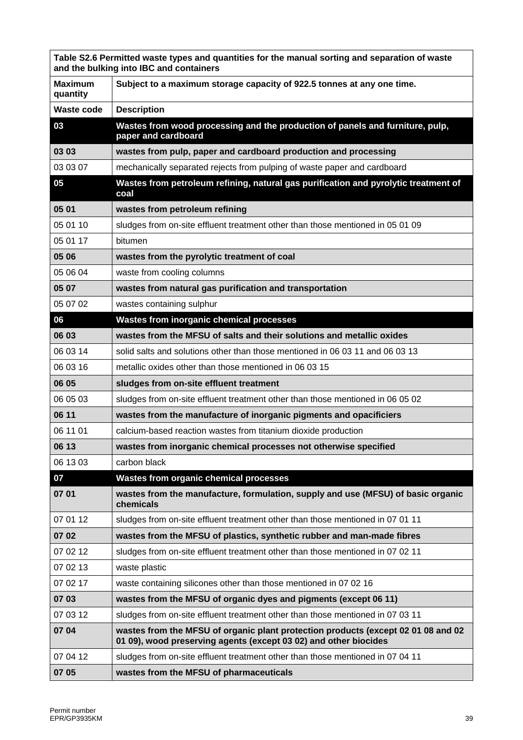|                            | Table S2.6 Permitted waste types and quantities for the manual sorting and separation of waste<br>and the bulking into IBC and containers             |
|----------------------------|-------------------------------------------------------------------------------------------------------------------------------------------------------|
| <b>Maximum</b><br>quantity | Subject to a maximum storage capacity of 922.5 tonnes at any one time.                                                                                |
| <b>Waste code</b>          | <b>Description</b>                                                                                                                                    |
| 03                         | Wastes from wood processing and the production of panels and furniture, pulp,<br>paper and cardboard                                                  |
| 03 03                      | wastes from pulp, paper and cardboard production and processing                                                                                       |
| 03 03 07                   | mechanically separated rejects from pulping of waste paper and cardboard                                                                              |
| 05                         | Wastes from petroleum refining, natural gas purification and pyrolytic treatment of<br>coal                                                           |
| 05 01                      | wastes from petroleum refining                                                                                                                        |
| 05 01 10                   | sludges from on-site effluent treatment other than those mentioned in 05 01 09                                                                        |
| 05 01 17                   | bitumen                                                                                                                                               |
| 05 06                      | wastes from the pyrolytic treatment of coal                                                                                                           |
| 05 06 04                   | waste from cooling columns                                                                                                                            |
| 05 07                      | wastes from natural gas purification and transportation                                                                                               |
| 05 07 02                   | wastes containing sulphur                                                                                                                             |
| 06                         | Wastes from inorganic chemical processes                                                                                                              |
| 06 03                      | wastes from the MFSU of salts and their solutions and metallic oxides                                                                                 |
| 06 03 14                   | solid salts and solutions other than those mentioned in 06 03 11 and 06 03 13                                                                         |
| 06 03 16                   | metallic oxides other than those mentioned in 06 03 15                                                                                                |
| 06 05                      | sludges from on-site effluent treatment                                                                                                               |
| 06 05 03                   | sludges from on-site effluent treatment other than those mentioned in 06 05 02                                                                        |
| 06 11                      | wastes from the manufacture of inorganic pigments and opacificiers                                                                                    |
| 06 11 01                   | calcium-based reaction wastes from titanium dioxide production                                                                                        |
| 06 13                      | wastes from inorganic chemical processes not otherwise specified                                                                                      |
| 06 13 03                   | carbon black                                                                                                                                          |
| 07                         | <b>Wastes from organic chemical processes</b>                                                                                                         |
| 07 01                      | wastes from the manufacture, formulation, supply and use (MFSU) of basic organic<br>chemicals                                                         |
| 07 01 12                   | sludges from on-site effluent treatment other than those mentioned in 07 01 11                                                                        |
| 07 02                      | wastes from the MFSU of plastics, synthetic rubber and man-made fibres                                                                                |
| 07 02 12                   | sludges from on-site effluent treatment other than those mentioned in 07 02 11                                                                        |
| 07 02 13                   | waste plastic                                                                                                                                         |
| 07 02 17                   | waste containing silicones other than those mentioned in 07 02 16                                                                                     |
| 07 03                      | wastes from the MFSU of organic dyes and pigments (except 06 11)                                                                                      |
| 07 03 12                   | sludges from on-site effluent treatment other than those mentioned in 07 03 11                                                                        |
| 07 04                      | wastes from the MFSU of organic plant protection products (except 02 01 08 and 02<br>01 09), wood preserving agents (except 03 02) and other biocides |
| 07 04 12                   | sludges from on-site effluent treatment other than those mentioned in 07 04 11                                                                        |
| 07 05                      | wastes from the MFSU of pharmaceuticals                                                                                                               |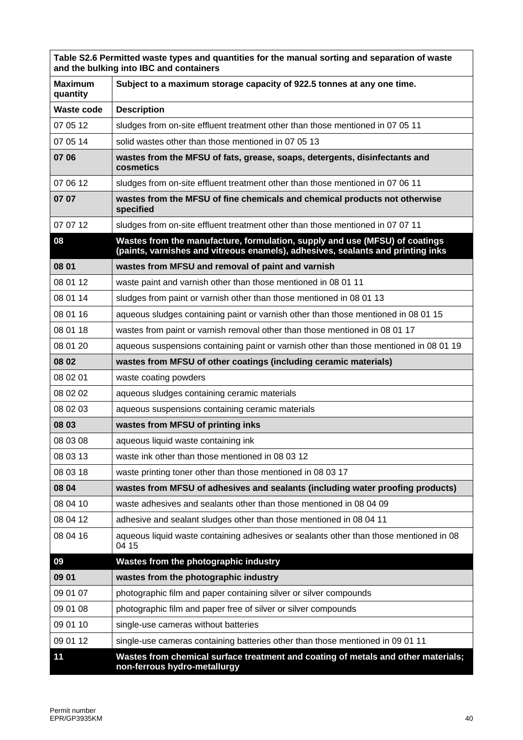|                            | Table S2.6 Permitted waste types and quantities for the manual sorting and separation of waste<br>and the bulking into IBC and containers                      |
|----------------------------|----------------------------------------------------------------------------------------------------------------------------------------------------------------|
| <b>Maximum</b><br>quantity | Subject to a maximum storage capacity of 922.5 tonnes at any one time.                                                                                         |
| <b>Waste code</b>          | <b>Description</b>                                                                                                                                             |
| 07 05 12                   | sludges from on-site effluent treatment other than those mentioned in 07 05 11                                                                                 |
| 07 05 14                   | solid wastes other than those mentioned in 07 05 13                                                                                                            |
| 07 06                      | wastes from the MFSU of fats, grease, soaps, detergents, disinfectants and<br>cosmetics                                                                        |
| 07 06 12                   | sludges from on-site effluent treatment other than those mentioned in 07 06 11                                                                                 |
| 07 07                      | wastes from the MFSU of fine chemicals and chemical products not otherwise<br>specified                                                                        |
| 07 07 12                   | sludges from on-site effluent treatment other than those mentioned in 07 07 11                                                                                 |
| 08                         | Wastes from the manufacture, formulation, supply and use (MFSU) of coatings<br>(paints, varnishes and vitreous enamels), adhesives, sealants and printing inks |
| 08 01                      | wastes from MFSU and removal of paint and varnish                                                                                                              |
| 08 01 12                   | waste paint and varnish other than those mentioned in 08 01 11                                                                                                 |
| 08 01 14                   | sludges from paint or varnish other than those mentioned in 08 01 13                                                                                           |
| 08 01 16                   | aqueous sludges containing paint or varnish other than those mentioned in 08 01 15                                                                             |
| 08 01 18                   | wastes from paint or varnish removal other than those mentioned in 08 01 17                                                                                    |
| 08 01 20                   | aqueous suspensions containing paint or varnish other than those mentioned in 08 01 19                                                                         |
| 08 02                      | wastes from MFSU of other coatings (including ceramic materials)                                                                                               |
| 08 02 01                   | waste coating powders                                                                                                                                          |
| 08 02 02                   | aqueous sludges containing ceramic materials                                                                                                                   |
| 08 02 03                   | aqueous suspensions containing ceramic materials                                                                                                               |
| 08 03                      | wastes from MFSU of printing inks                                                                                                                              |
| 08 03 08                   | aqueous liquid waste containing ink                                                                                                                            |
| 08 03 13                   | waste ink other than those mentioned in 08 03 12                                                                                                               |
| 08 03 18                   | waste printing toner other than those mentioned in 08 03 17                                                                                                    |
| 08 04                      | wastes from MFSU of adhesives and sealants (including water proofing products)                                                                                 |
| 08 04 10                   | waste adhesives and sealants other than those mentioned in 08 04 09                                                                                            |
| 08 04 12                   | adhesive and sealant sludges other than those mentioned in 08 04 11                                                                                            |
| 08 04 16                   | aqueous liquid waste containing adhesives or sealants other than those mentioned in 08<br>04 15                                                                |
| 09                         | Wastes from the photographic industry                                                                                                                          |
| 09 01                      | wastes from the photographic industry                                                                                                                          |
| 09 01 07                   | photographic film and paper containing silver or silver compounds                                                                                              |
| 09 01 08                   | photographic film and paper free of silver or silver compounds                                                                                                 |
| 09 01 10                   | single-use cameras without batteries                                                                                                                           |
| 09 01 12                   | single-use cameras containing batteries other than those mentioned in 09 01 11                                                                                 |
| 11                         | Wastes from chemical surface treatment and coating of metals and other materials;<br>non-ferrous hydro-metallurgy                                              |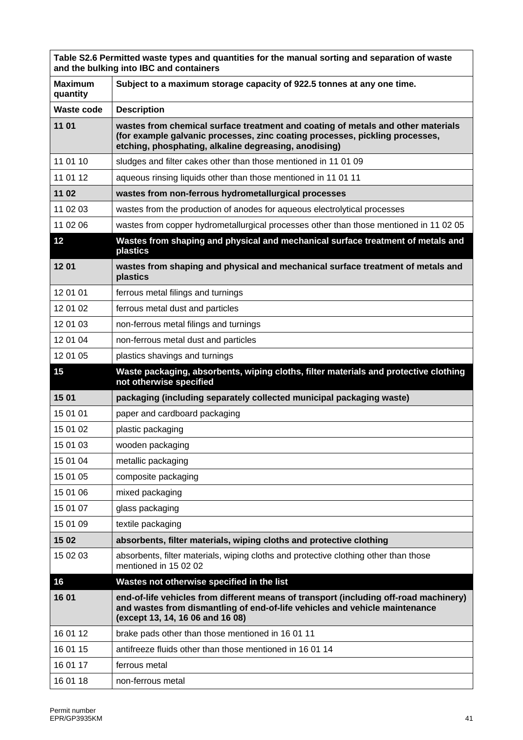|                            | Table S2.6 Permitted waste types and quantities for the manual sorting and separation of waste<br>and the bulking into IBC and containers                                                                                 |
|----------------------------|---------------------------------------------------------------------------------------------------------------------------------------------------------------------------------------------------------------------------|
| <b>Maximum</b><br>quantity | Subject to a maximum storage capacity of 922.5 tonnes at any one time.                                                                                                                                                    |
| <b>Waste code</b>          | <b>Description</b>                                                                                                                                                                                                        |
| 11 01                      | wastes from chemical surface treatment and coating of metals and other materials<br>(for example galvanic processes, zinc coating processes, pickling processes,<br>etching, phosphating, alkaline degreasing, anodising) |
| 11 01 10                   | sludges and filter cakes other than those mentioned in 11 01 09                                                                                                                                                           |
| 11 01 12                   | aqueous rinsing liquids other than those mentioned in 11 01 11                                                                                                                                                            |
| 11 02                      | wastes from non-ferrous hydrometallurgical processes                                                                                                                                                                      |
| 11 02 03                   | wastes from the production of anodes for aqueous electrolytical processes                                                                                                                                                 |
| 11 02 06                   | wastes from copper hydrometallurgical processes other than those mentioned in 11 02 05                                                                                                                                    |
| 12                         | Wastes from shaping and physical and mechanical surface treatment of metals and<br>plastics                                                                                                                               |
| 1201                       | wastes from shaping and physical and mechanical surface treatment of metals and<br>plastics                                                                                                                               |
| 12 01 01                   | ferrous metal filings and turnings                                                                                                                                                                                        |
| 12 01 02                   | ferrous metal dust and particles                                                                                                                                                                                          |
| 12 01 03                   | non-ferrous metal filings and turnings                                                                                                                                                                                    |
| 12 01 04                   | non-ferrous metal dust and particles                                                                                                                                                                                      |
| 12 01 05                   | plastics shavings and turnings                                                                                                                                                                                            |
| 15                         | Waste packaging, absorbents, wiping cloths, filter materials and protective clothing                                                                                                                                      |
|                            | not otherwise specified                                                                                                                                                                                                   |
| 15 01                      | packaging (including separately collected municipal packaging waste)                                                                                                                                                      |
| 15 01 01                   | paper and cardboard packaging                                                                                                                                                                                             |
| 15 01 02                   | plastic packaging                                                                                                                                                                                                         |
| 15 01 03                   | wooden packaging                                                                                                                                                                                                          |
| 15 01 04                   | metallic packaging                                                                                                                                                                                                        |
| 15 01 05                   | composite packaging                                                                                                                                                                                                       |
| 15 01 06                   | mixed packaging                                                                                                                                                                                                           |
| 15 01 07                   | glass packaging                                                                                                                                                                                                           |
| 15 01 09                   | textile packaging                                                                                                                                                                                                         |
| 15 02                      | absorbents, filter materials, wiping cloths and protective clothing                                                                                                                                                       |
| 15 02 03                   | absorbents, filter materials, wiping cloths and protective clothing other than those<br>mentioned in 15 02 02                                                                                                             |
| 16                         | Wastes not otherwise specified in the list                                                                                                                                                                                |
| 16 01                      | end-of-life vehicles from different means of transport (including off-road machinery)<br>and wastes from dismantling of end-of-life vehicles and vehicle maintenance<br>(except 13, 14, 16 06 and 16 08)                  |
| 16 01 12                   | brake pads other than those mentioned in 16 01 11                                                                                                                                                                         |
| 16 01 15                   | antifreeze fluids other than those mentioned in 16 01 14                                                                                                                                                                  |
| 16 01 17                   | ferrous metal                                                                                                                                                                                                             |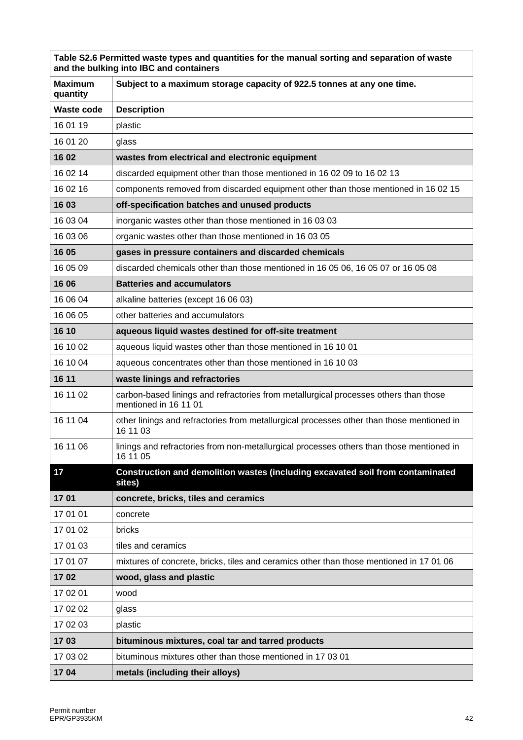| Table S2.6 Permitted waste types and quantities for the manual sorting and separation of waste<br>and the bulking into IBC and containers |                                                                                                               |  |
|-------------------------------------------------------------------------------------------------------------------------------------------|---------------------------------------------------------------------------------------------------------------|--|
| <b>Maximum</b><br>quantity                                                                                                                | Subject to a maximum storage capacity of 922.5 tonnes at any one time.                                        |  |
| <b>Waste code</b>                                                                                                                         | <b>Description</b>                                                                                            |  |
| 16 01 19                                                                                                                                  | plastic                                                                                                       |  |
| 16 01 20                                                                                                                                  | glass                                                                                                         |  |
| 16 02                                                                                                                                     | wastes from electrical and electronic equipment                                                               |  |
| 16 02 14                                                                                                                                  | discarded equipment other than those mentioned in 16 02 09 to 16 02 13                                        |  |
| 16 02 16                                                                                                                                  | components removed from discarded equipment other than those mentioned in 16 02 15                            |  |
| 16 03                                                                                                                                     | off-specification batches and unused products                                                                 |  |
| 16 03 04                                                                                                                                  | inorganic wastes other than those mentioned in 16 03 03                                                       |  |
| 16 03 06                                                                                                                                  | organic wastes other than those mentioned in 16 03 05                                                         |  |
| 16 05                                                                                                                                     | gases in pressure containers and discarded chemicals                                                          |  |
| 16 05 09                                                                                                                                  | discarded chemicals other than those mentioned in 16 05 06, 16 05 07 or 16 05 08                              |  |
| 16 06                                                                                                                                     | <b>Batteries and accumulators</b>                                                                             |  |
| 16 06 04                                                                                                                                  | alkaline batteries (except 16 06 03)                                                                          |  |
| 16 06 05                                                                                                                                  | other batteries and accumulators                                                                              |  |
| 16 10                                                                                                                                     | aqueous liquid wastes destined for off-site treatment                                                         |  |
| 16 10 02                                                                                                                                  | aqueous liquid wastes other than those mentioned in 16 10 01                                                  |  |
| 16 10 04                                                                                                                                  | aqueous concentrates other than those mentioned in 16 10 03                                                   |  |
| 16 11                                                                                                                                     | waste linings and refractories                                                                                |  |
| 16 11 02                                                                                                                                  | carbon-based linings and refractories from metallurgical processes others than those<br>mentioned in 16 11 01 |  |
| 16 11 04                                                                                                                                  | other linings and refractories from metallurgical processes other than those mentioned in<br>16 11 03         |  |
| 16 11 06                                                                                                                                  | linings and refractories from non-metallurgical processes others than those mentioned in<br>16 11 05          |  |
| 17                                                                                                                                        | Construction and demolition wastes (including excavated soil from contaminated<br>sites)                      |  |
| 1701                                                                                                                                      | concrete, bricks, tiles and ceramics                                                                          |  |
| 17 01 01                                                                                                                                  | concrete                                                                                                      |  |
| 17 01 02                                                                                                                                  | bricks                                                                                                        |  |
| 17 01 03                                                                                                                                  | tiles and ceramics                                                                                            |  |
| 17 01 07                                                                                                                                  | mixtures of concrete, bricks, tiles and ceramics other than those mentioned in 17 01 06                       |  |
| 1702                                                                                                                                      | wood, glass and plastic                                                                                       |  |
| 17 02 01                                                                                                                                  | wood                                                                                                          |  |
| 17 02 02                                                                                                                                  | glass                                                                                                         |  |
| 17 02 03                                                                                                                                  | plastic                                                                                                       |  |
| 1703                                                                                                                                      | bituminous mixtures, coal tar and tarred products                                                             |  |
| 17 03 02                                                                                                                                  | bituminous mixtures other than those mentioned in 17 03 01                                                    |  |
| 1704                                                                                                                                      | metals (including their alloys)                                                                               |  |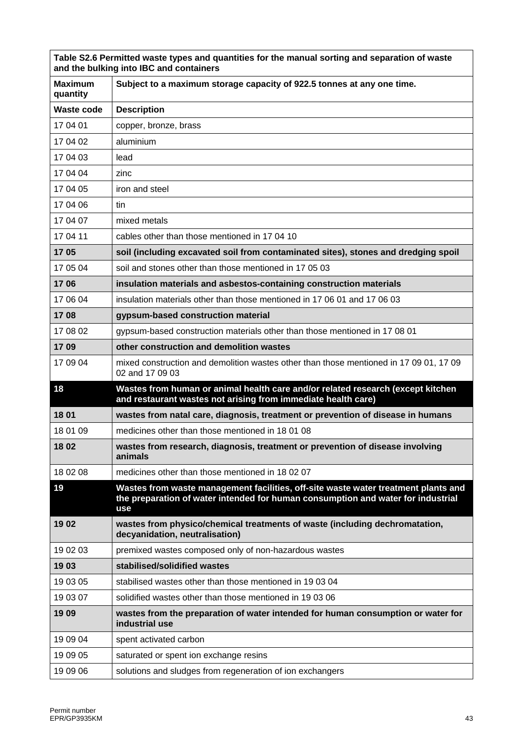| Table S2.6 Permitted waste types and quantities for the manual sorting and separation of waste<br>and the bulking into IBC and containers |                                                                                                                                                                                      |  |
|-------------------------------------------------------------------------------------------------------------------------------------------|--------------------------------------------------------------------------------------------------------------------------------------------------------------------------------------|--|
| <b>Maximum</b><br>quantity                                                                                                                | Subject to a maximum storage capacity of 922.5 tonnes at any one time.                                                                                                               |  |
| <b>Waste code</b>                                                                                                                         | <b>Description</b>                                                                                                                                                                   |  |
| 17 04 01                                                                                                                                  | copper, bronze, brass                                                                                                                                                                |  |
| 17 04 02                                                                                                                                  | aluminium                                                                                                                                                                            |  |
| 17 04 03                                                                                                                                  | lead                                                                                                                                                                                 |  |
| 17 04 04                                                                                                                                  | zinc                                                                                                                                                                                 |  |
| 17 04 05                                                                                                                                  | iron and steel                                                                                                                                                                       |  |
| 17 04 06                                                                                                                                  | tin                                                                                                                                                                                  |  |
| 17 04 07                                                                                                                                  | mixed metals                                                                                                                                                                         |  |
| 17 04 11                                                                                                                                  | cables other than those mentioned in 17 04 10                                                                                                                                        |  |
| 1705                                                                                                                                      | soil (including excavated soil from contaminated sites), stones and dredging spoil                                                                                                   |  |
| 17 05 04                                                                                                                                  | soil and stones other than those mentioned in 17 05 03                                                                                                                               |  |
| 1706                                                                                                                                      | insulation materials and asbestos-containing construction materials                                                                                                                  |  |
| 17 06 04                                                                                                                                  | insulation materials other than those mentioned in 17 06 01 and 17 06 03                                                                                                             |  |
| 1708                                                                                                                                      | gypsum-based construction material                                                                                                                                                   |  |
| 17 08 02                                                                                                                                  | gypsum-based construction materials other than those mentioned in 17 08 01                                                                                                           |  |
| 1709                                                                                                                                      | other construction and demolition wastes                                                                                                                                             |  |
| 17 09 04                                                                                                                                  | mixed construction and demolition wastes other than those mentioned in 17 09 01, 17 09<br>02 and 17 09 03                                                                            |  |
| 18                                                                                                                                        | Wastes from human or animal health care and/or related research (except kitchen<br>and restaurant wastes not arising from immediate health care)                                     |  |
| 18 01                                                                                                                                     | wastes from natal care, diagnosis, treatment or prevention of disease in humans                                                                                                      |  |
| 18 01 09                                                                                                                                  | medicines other than those mentioned in 18 01 08                                                                                                                                     |  |
| 1802                                                                                                                                      | wastes from research, diagnosis, treatment or prevention of disease involving<br>animals                                                                                             |  |
| 18 02 08                                                                                                                                  | medicines other than those mentioned in 18 02 07                                                                                                                                     |  |
| 19                                                                                                                                        | Wastes from waste management facilities, off-site waste water treatment plants and<br>the preparation of water intended for human consumption and water for industrial<br><b>use</b> |  |
| 1902                                                                                                                                      | wastes from physico/chemical treatments of waste (including dechromatation,<br>decyanidation, neutralisation)                                                                        |  |
| 19 02 03                                                                                                                                  | premixed wastes composed only of non-hazardous wastes                                                                                                                                |  |
| 1903                                                                                                                                      | stabilised/solidified wastes                                                                                                                                                         |  |
| 19 03 05                                                                                                                                  | stabilised wastes other than those mentioned in 19 03 04                                                                                                                             |  |
| 19 03 07                                                                                                                                  | solidified wastes other than those mentioned in 19 03 06                                                                                                                             |  |
| 1909                                                                                                                                      | wastes from the preparation of water intended for human consumption or water for<br>industrial use                                                                                   |  |
| 19 09 04                                                                                                                                  | spent activated carbon                                                                                                                                                               |  |
| 19 09 05                                                                                                                                  | saturated or spent ion exchange resins                                                                                                                                               |  |
| 19 09 06                                                                                                                                  | solutions and sludges from regeneration of ion exchangers                                                                                                                            |  |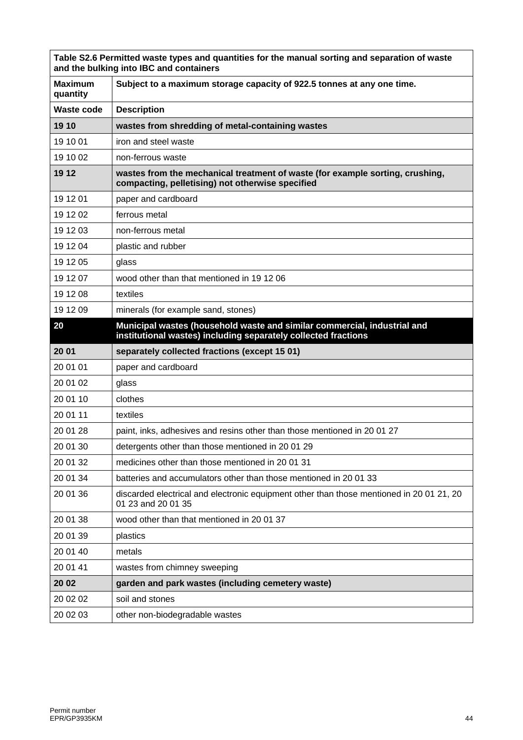| Table S2.6 Permitted waste types and quantities for the manual sorting and separation of waste<br>and the bulking into IBC and containers |                                                                                                                                            |  |
|-------------------------------------------------------------------------------------------------------------------------------------------|--------------------------------------------------------------------------------------------------------------------------------------------|--|
| <b>Maximum</b><br>quantity                                                                                                                | Subject to a maximum storage capacity of 922.5 tonnes at any one time.                                                                     |  |
| <b>Waste code</b>                                                                                                                         | <b>Description</b>                                                                                                                         |  |
| 19 10                                                                                                                                     | wastes from shredding of metal-containing wastes                                                                                           |  |
| 19 10 01                                                                                                                                  | iron and steel waste                                                                                                                       |  |
| 19 10 02                                                                                                                                  | non-ferrous waste                                                                                                                          |  |
| 19 12                                                                                                                                     | wastes from the mechanical treatment of waste (for example sorting, crushing,<br>compacting, pelletising) not otherwise specified          |  |
| 19 12 01                                                                                                                                  | paper and cardboard                                                                                                                        |  |
| 19 12 02                                                                                                                                  | ferrous metal                                                                                                                              |  |
| 19 12 03                                                                                                                                  | non-ferrous metal                                                                                                                          |  |
| 19 12 04                                                                                                                                  | plastic and rubber                                                                                                                         |  |
| 19 12 05                                                                                                                                  | glass                                                                                                                                      |  |
| 19 12 07                                                                                                                                  | wood other than that mentioned in 19 12 06                                                                                                 |  |
| 19 12 08                                                                                                                                  | textiles                                                                                                                                   |  |
| 19 12 09                                                                                                                                  | minerals (for example sand, stones)                                                                                                        |  |
| 20                                                                                                                                        | Municipal wastes (household waste and similar commercial, industrial and<br>institutional wastes) including separately collected fractions |  |
| 20 01                                                                                                                                     | separately collected fractions (except 15 01)                                                                                              |  |
| 20 01 01                                                                                                                                  | paper and cardboard                                                                                                                        |  |
| 20 01 02                                                                                                                                  | glass                                                                                                                                      |  |
| 20 01 10                                                                                                                                  | clothes                                                                                                                                    |  |
| 20 01 11                                                                                                                                  | textiles                                                                                                                                   |  |
| 20 01 28                                                                                                                                  | paint, inks, adhesives and resins other than those mentioned in 20 01 27                                                                   |  |
| 20 01 30                                                                                                                                  | detergents other than those mentioned in 20 01 29                                                                                          |  |
| 20 01 32                                                                                                                                  | medicines other than those mentioned in 2001 31                                                                                            |  |
| 20 01 34                                                                                                                                  | batteries and accumulators other than those mentioned in 2001 33                                                                           |  |
| 20 01 36                                                                                                                                  | discarded electrical and electronic equipment other than those mentioned in 2001 21, 20<br>01 23 and 20 01 35                              |  |
| 20 01 38                                                                                                                                  | wood other than that mentioned in 20 01 37                                                                                                 |  |
| 20 01 39                                                                                                                                  | plastics                                                                                                                                   |  |
| 20 01 40                                                                                                                                  | metals                                                                                                                                     |  |
| 20 01 41                                                                                                                                  | wastes from chimney sweeping                                                                                                               |  |
| 20 02                                                                                                                                     | garden and park wastes (including cemetery waste)                                                                                          |  |
| 20 02 02                                                                                                                                  | soil and stones                                                                                                                            |  |
| 20 02 03                                                                                                                                  | other non-biodegradable wastes                                                                                                             |  |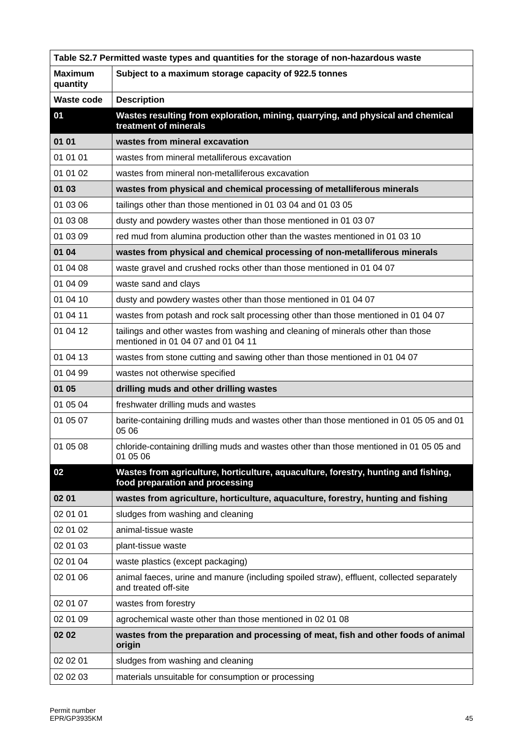| Table S2.7 Permitted waste types and quantities for the storage of non-hazardous waste |                                                                                                                        |  |
|----------------------------------------------------------------------------------------|------------------------------------------------------------------------------------------------------------------------|--|
| <b>Maximum</b><br>quantity                                                             | Subject to a maximum storage capacity of 922.5 tonnes                                                                  |  |
| <b>Waste code</b>                                                                      | <b>Description</b>                                                                                                     |  |
| 01                                                                                     | Wastes resulting from exploration, mining, quarrying, and physical and chemical<br>treatment of minerals               |  |
| 01 01                                                                                  | wastes from mineral excavation                                                                                         |  |
| 01 01 01                                                                               | wastes from mineral metalliferous excavation                                                                           |  |
| 01 01 02                                                                               | wastes from mineral non-metalliferous excavation                                                                       |  |
| 01 03                                                                                  | wastes from physical and chemical processing of metalliferous minerals                                                 |  |
| 01 03 06                                                                               | tailings other than those mentioned in 01 03 04 and 01 03 05                                                           |  |
| 01 03 08                                                                               | dusty and powdery wastes other than those mentioned in 01 03 07                                                        |  |
| 01 03 09                                                                               | red mud from alumina production other than the wastes mentioned in 01 03 10                                            |  |
| 01 04                                                                                  | wastes from physical and chemical processing of non-metalliferous minerals                                             |  |
| 01 04 08                                                                               | waste gravel and crushed rocks other than those mentioned in 01 04 07                                                  |  |
| 01 04 09                                                                               | waste sand and clays                                                                                                   |  |
| 01 04 10                                                                               | dusty and powdery wastes other than those mentioned in 01 04 07                                                        |  |
| 01 04 11                                                                               | wastes from potash and rock salt processing other than those mentioned in 01 04 07                                     |  |
| 01 04 12                                                                               | tailings and other wastes from washing and cleaning of minerals other than those<br>mentioned in 01 04 07 and 01 04 11 |  |
| 01 04 13                                                                               | wastes from stone cutting and sawing other than those mentioned in 01 04 07                                            |  |
| 01 04 99                                                                               | wastes not otherwise specified                                                                                         |  |
| 01 05                                                                                  | drilling muds and other drilling wastes                                                                                |  |
| 01 05 04                                                                               | freshwater drilling muds and wastes                                                                                    |  |
| 01 05 07                                                                               | barite-containing drilling muds and wastes other than those mentioned in 01 05 05 and 01<br>05 06                      |  |
| 01 05 08                                                                               | chloride-containing drilling muds and wastes other than those mentioned in 01 05 05 and<br>01 05 06                    |  |
| 02                                                                                     | Wastes from agriculture, horticulture, aquaculture, forestry, hunting and fishing,<br>food preparation and processing  |  |
| 02 01                                                                                  | wastes from agriculture, horticulture, aquaculture, forestry, hunting and fishing                                      |  |
| 02 01 01                                                                               | sludges from washing and cleaning                                                                                      |  |
| 02 01 02                                                                               | animal-tissue waste                                                                                                    |  |
| 02 01 03                                                                               | plant-tissue waste                                                                                                     |  |
| 02 01 04                                                                               |                                                                                                                        |  |
|                                                                                        | waste plastics (except packaging)                                                                                      |  |
| 02 01 06                                                                               | animal faeces, urine and manure (including spoiled straw), effluent, collected separately<br>and treated off-site      |  |
| 02 01 07                                                                               | wastes from forestry                                                                                                   |  |
| 02 01 09                                                                               | agrochemical waste other than those mentioned in 02 01 08                                                              |  |
| 02 02                                                                                  | wastes from the preparation and processing of meat, fish and other foods of animal<br>origin                           |  |
| 02 02 01                                                                               | sludges from washing and cleaning                                                                                      |  |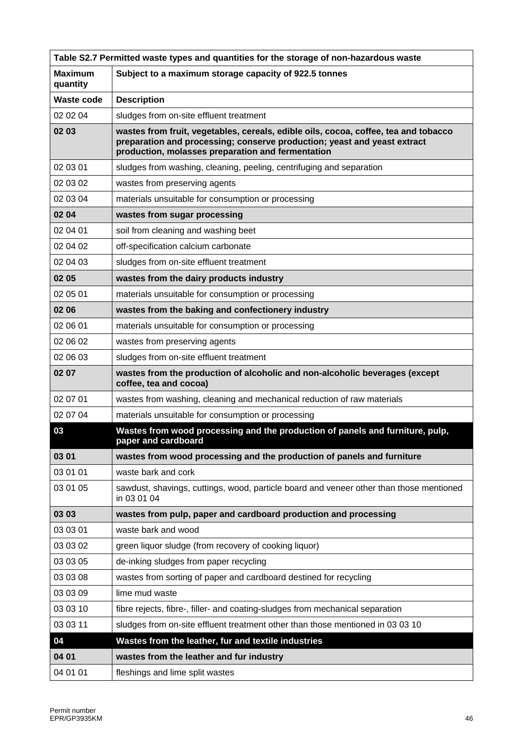| Table S2.7 Permitted waste types and quantities for the storage of non-hazardous waste |                                                                                                                                                                                                                      |  |
|----------------------------------------------------------------------------------------|----------------------------------------------------------------------------------------------------------------------------------------------------------------------------------------------------------------------|--|
| <b>Maximum</b><br>quantity                                                             | Subject to a maximum storage capacity of 922.5 tonnes                                                                                                                                                                |  |
| <b>Waste code</b>                                                                      | <b>Description</b>                                                                                                                                                                                                   |  |
| 02 02 04                                                                               | sludges from on-site effluent treatment                                                                                                                                                                              |  |
| 02 03                                                                                  | wastes from fruit, vegetables, cereals, edible oils, cocoa, coffee, tea and tobacco<br>preparation and processing; conserve production; yeast and yeast extract<br>production, molasses preparation and fermentation |  |
| 02 03 01                                                                               | sludges from washing, cleaning, peeling, centrifuging and separation                                                                                                                                                 |  |
| 02 03 02                                                                               | wastes from preserving agents                                                                                                                                                                                        |  |
| 02 03 04                                                                               | materials unsuitable for consumption or processing                                                                                                                                                                   |  |
| 02 04                                                                                  | wastes from sugar processing                                                                                                                                                                                         |  |
| 02 04 01                                                                               | soil from cleaning and washing beet                                                                                                                                                                                  |  |
| 02 04 02                                                                               | off-specification calcium carbonate                                                                                                                                                                                  |  |
| 02 04 03                                                                               | sludges from on-site effluent treatment                                                                                                                                                                              |  |
| 02 05                                                                                  | wastes from the dairy products industry                                                                                                                                                                              |  |
| 02 05 01                                                                               | materials unsuitable for consumption or processing                                                                                                                                                                   |  |
| 02 06                                                                                  | wastes from the baking and confectionery industry                                                                                                                                                                    |  |
| 02 06 01                                                                               | materials unsuitable for consumption or processing                                                                                                                                                                   |  |
| 02 06 02                                                                               | wastes from preserving agents                                                                                                                                                                                        |  |
| 02 06 03                                                                               | sludges from on-site effluent treatment                                                                                                                                                                              |  |
| 02 07                                                                                  | wastes from the production of alcoholic and non-alcoholic beverages (except<br>coffee, tea and cocoa)                                                                                                                |  |
| 02 07 01                                                                               | wastes from washing, cleaning and mechanical reduction of raw materials                                                                                                                                              |  |
| 02 07 04                                                                               | materials unsuitable for consumption or processing                                                                                                                                                                   |  |
| 03                                                                                     | Wastes from wood processing and the production of panels and furniture, pulp,<br>paper and cardboard                                                                                                                 |  |
| 03 01                                                                                  | wastes from wood processing and the production of panels and furniture                                                                                                                                               |  |
| 03 01 01                                                                               | waste bark and cork                                                                                                                                                                                                  |  |
| 03 01 05                                                                               | sawdust, shavings, cuttings, wood, particle board and veneer other than those mentioned<br>in 03 01 04                                                                                                               |  |
| 03 03                                                                                  | wastes from pulp, paper and cardboard production and processing                                                                                                                                                      |  |
| 03 03 01                                                                               | waste bark and wood                                                                                                                                                                                                  |  |
| 03 03 02                                                                               | green liquor sludge (from recovery of cooking liquor)                                                                                                                                                                |  |
| 03 03 05                                                                               | de-inking sludges from paper recycling                                                                                                                                                                               |  |
| 03 03 08                                                                               | wastes from sorting of paper and cardboard destined for recycling                                                                                                                                                    |  |
| 03 03 09                                                                               | lime mud waste                                                                                                                                                                                                       |  |
| 03 03 10                                                                               | fibre rejects, fibre-, filler- and coating-sludges from mechanical separation                                                                                                                                        |  |
| 03 03 11                                                                               | sludges from on-site effluent treatment other than those mentioned in 03 03 10                                                                                                                                       |  |
| 04                                                                                     | Wastes from the leather, fur and textile industries                                                                                                                                                                  |  |
| 04 01                                                                                  | wastes from the leather and fur industry                                                                                                                                                                             |  |
| 04 01 01                                                                               | fleshings and lime split wastes                                                                                                                                                                                      |  |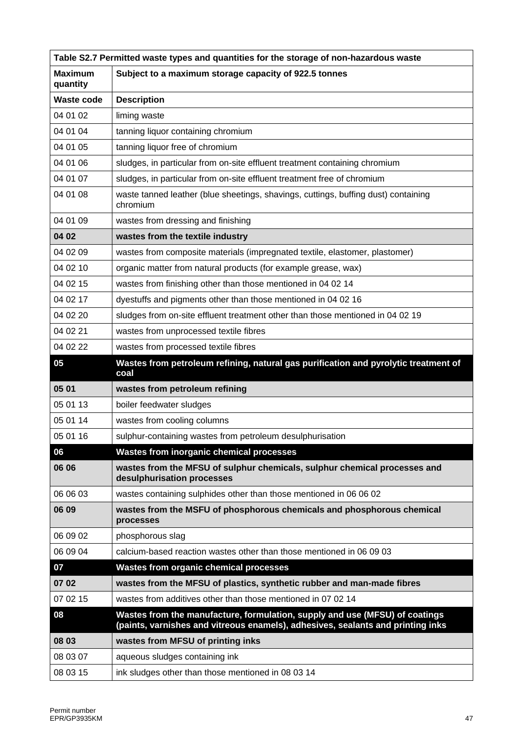| Table S2.7 Permitted waste types and quantities for the storage of non-hazardous waste |                                                                                                                                                                |  |
|----------------------------------------------------------------------------------------|----------------------------------------------------------------------------------------------------------------------------------------------------------------|--|
| <b>Maximum</b><br>quantity                                                             | Subject to a maximum storage capacity of 922.5 tonnes                                                                                                          |  |
| <b>Waste code</b>                                                                      | <b>Description</b>                                                                                                                                             |  |
| 04 01 02                                                                               | liming waste                                                                                                                                                   |  |
| 04 01 04                                                                               | tanning liquor containing chromium                                                                                                                             |  |
| 04 01 05                                                                               | tanning liquor free of chromium                                                                                                                                |  |
| 04 01 06                                                                               | sludges, in particular from on-site effluent treatment containing chromium                                                                                     |  |
| 04 01 07                                                                               | sludges, in particular from on-site effluent treatment free of chromium                                                                                        |  |
| 04 01 08                                                                               | waste tanned leather (blue sheetings, shavings, cuttings, buffing dust) containing<br>chromium                                                                 |  |
| 04 01 09                                                                               | wastes from dressing and finishing                                                                                                                             |  |
| 04 02                                                                                  | wastes from the textile industry                                                                                                                               |  |
| 04 02 09                                                                               | wastes from composite materials (impregnated textile, elastomer, plastomer)                                                                                    |  |
| 04 02 10                                                                               | organic matter from natural products (for example grease, wax)                                                                                                 |  |
| 04 02 15                                                                               | wastes from finishing other than those mentioned in 04 02 14                                                                                                   |  |
| 04 02 17                                                                               | dyestuffs and pigments other than those mentioned in 04 02 16                                                                                                  |  |
| 04 02 20                                                                               | sludges from on-site effluent treatment other than those mentioned in 04 02 19                                                                                 |  |
| 04 02 21                                                                               | wastes from unprocessed textile fibres                                                                                                                         |  |
| 04 02 22                                                                               | wastes from processed textile fibres                                                                                                                           |  |
| 05                                                                                     | Wastes from petroleum refining, natural gas purification and pyrolytic treatment of<br>coal                                                                    |  |
| 05 01                                                                                  | wastes from petroleum refining                                                                                                                                 |  |
| 05 01 13                                                                               | boiler feedwater sludges                                                                                                                                       |  |
| 05 01 14                                                                               | wastes from cooling columns                                                                                                                                    |  |
| 05 01 16                                                                               | sulphur-containing wastes from petroleum desulphurisation                                                                                                      |  |
| 06                                                                                     | Wastes from inorganic chemical processes                                                                                                                       |  |
| 06 06                                                                                  | wastes from the MFSU of sulphur chemicals, sulphur chemical processes and<br>desulphurisation processes                                                        |  |
| 06 06 03                                                                               | wastes containing sulphides other than those mentioned in 06 06 02                                                                                             |  |
| 06 09                                                                                  | wastes from the MSFU of phosphorous chemicals and phosphorous chemical<br>processes                                                                            |  |
| 06 09 02                                                                               | phosphorous slag                                                                                                                                               |  |
| 06 09 04                                                                               | calcium-based reaction wastes other than those mentioned in 06 09 03                                                                                           |  |
| 07                                                                                     | <b>Wastes from organic chemical processes</b>                                                                                                                  |  |
| 07 02                                                                                  | wastes from the MFSU of plastics, synthetic rubber and man-made fibres                                                                                         |  |
| 07 02 15                                                                               | wastes from additives other than those mentioned in 07 02 14                                                                                                   |  |
| 08                                                                                     | Wastes from the manufacture, formulation, supply and use (MFSU) of coatings<br>(paints, varnishes and vitreous enamels), adhesives, sealants and printing inks |  |
| 08 03                                                                                  | wastes from MFSU of printing inks                                                                                                                              |  |
| 08 03 07                                                                               | aqueous sludges containing ink                                                                                                                                 |  |
| 08 03 15                                                                               | ink sludges other than those mentioned in 08 03 14                                                                                                             |  |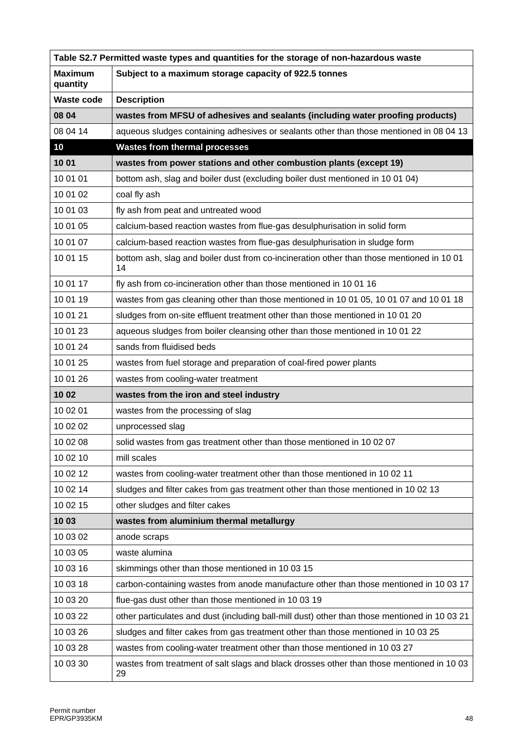| Table S2.7 Permitted waste types and quantities for the storage of non-hazardous waste |                                                                                                 |  |
|----------------------------------------------------------------------------------------|-------------------------------------------------------------------------------------------------|--|
| <b>Maximum</b><br>quantity                                                             | Subject to a maximum storage capacity of 922.5 tonnes                                           |  |
| <b>Waste code</b>                                                                      | <b>Description</b>                                                                              |  |
| 08 04                                                                                  | wastes from MFSU of adhesives and sealants (including water proofing products)                  |  |
| 08 04 14                                                                               | aqueous sludges containing adhesives or sealants other than those mentioned in 08 04 13         |  |
| 10                                                                                     | <b>Wastes from thermal processes</b>                                                            |  |
| 1001                                                                                   | wastes from power stations and other combustion plants (except 19)                              |  |
| 10 01 01                                                                               | bottom ash, slag and boiler dust (excluding boiler dust mentioned in 10 01 04)                  |  |
| 10 01 02                                                                               | coal fly ash                                                                                    |  |
| 10 01 03                                                                               | fly ash from peat and untreated wood                                                            |  |
| 10 01 05                                                                               | calcium-based reaction wastes from flue-gas desulphurisation in solid form                      |  |
| 10 01 07                                                                               | calcium-based reaction wastes from flue-gas desulphurisation in sludge form                     |  |
| 10 01 15                                                                               | bottom ash, slag and boiler dust from co-incineration other than those mentioned in 10 01<br>14 |  |
| 10 01 17                                                                               | fly ash from co-incineration other than those mentioned in 10 01 16                             |  |
| 10 01 19                                                                               | wastes from gas cleaning other than those mentioned in 10 01 05, 10 01 07 and 10 01 18          |  |
| 10 01 21                                                                               | sludges from on-site effluent treatment other than those mentioned in 10 01 20                  |  |
| 10 01 23                                                                               | aqueous sludges from boiler cleansing other than those mentioned in 10 01 22                    |  |
| 10 01 24                                                                               | sands from fluidised beds                                                                       |  |
| 10 01 25                                                                               | wastes from fuel storage and preparation of coal-fired power plants                             |  |
| 10 01 26                                                                               | wastes from cooling-water treatment                                                             |  |
| 10 02                                                                                  | wastes from the iron and steel industry                                                         |  |
| 10 02 01                                                                               | wastes from the processing of slag                                                              |  |
| 10 02 02                                                                               | unprocessed slag                                                                                |  |
| 10 02 08                                                                               | solid wastes from gas treatment other than those mentioned in 10 02 07                          |  |
| 10 02 10                                                                               | mill scales                                                                                     |  |
| 10 02 12                                                                               | wastes from cooling-water treatment other than those mentioned in 10 02 11                      |  |
| 10 02 14                                                                               | sludges and filter cakes from gas treatment other than those mentioned in 10 02 13              |  |
| 10 02 15                                                                               | other sludges and filter cakes                                                                  |  |
| 1003                                                                                   | wastes from aluminium thermal metallurgy                                                        |  |
| 10 03 02                                                                               | anode scraps                                                                                    |  |
| 10 03 05                                                                               | waste alumina                                                                                   |  |
| 10 03 16                                                                               | skimmings other than those mentioned in 10 03 15                                                |  |
| 10 03 18                                                                               | carbon-containing wastes from anode manufacture other than those mentioned in 10 03 17          |  |
| 10 03 20                                                                               | flue-gas dust other than those mentioned in 10 03 19                                            |  |
| 10 03 22                                                                               | other particulates and dust (including ball-mill dust) other than those mentioned in 10 03 21   |  |
| 10 03 26                                                                               | sludges and filter cakes from gas treatment other than those mentioned in 10 03 25              |  |
| 10 03 28                                                                               | wastes from cooling-water treatment other than those mentioned in 10 03 27                      |  |
| 10 03 30                                                                               | wastes from treatment of salt slags and black drosses other than those mentioned in 10 03<br>29 |  |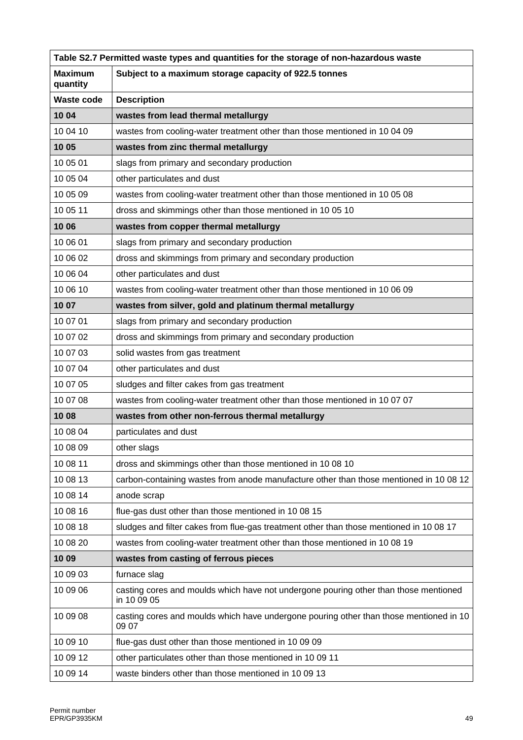| Table S2.7 Permitted waste types and quantities for the storage of non-hazardous waste |                                                                                                     |  |
|----------------------------------------------------------------------------------------|-----------------------------------------------------------------------------------------------------|--|
| <b>Maximum</b><br>quantity                                                             | Subject to a maximum storage capacity of 922.5 tonnes                                               |  |
| <b>Waste code</b>                                                                      | <b>Description</b>                                                                                  |  |
| 10 04                                                                                  | wastes from lead thermal metallurgy                                                                 |  |
| 10 04 10                                                                               | wastes from cooling-water treatment other than those mentioned in 10 04 09                          |  |
| 10 05                                                                                  | wastes from zinc thermal metallurgy                                                                 |  |
| 10 05 01                                                                               | slags from primary and secondary production                                                         |  |
| 10 05 04                                                                               | other particulates and dust                                                                         |  |
| 10 05 09                                                                               | wastes from cooling-water treatment other than those mentioned in 10 05 08                          |  |
| 10 05 11                                                                               | dross and skimmings other than those mentioned in 10 05 10                                          |  |
| 10 06                                                                                  | wastes from copper thermal metallurgy                                                               |  |
| 10 06 01                                                                               | slags from primary and secondary production                                                         |  |
| 10 06 02                                                                               | dross and skimmings from primary and secondary production                                           |  |
| 10 06 04                                                                               | other particulates and dust                                                                         |  |
| 10 06 10                                                                               | wastes from cooling-water treatment other than those mentioned in 10 06 09                          |  |
| 10 07                                                                                  | wastes from silver, gold and platinum thermal metallurgy                                            |  |
| 10 07 01                                                                               | slags from primary and secondary production                                                         |  |
| 10 07 02                                                                               | dross and skimmings from primary and secondary production                                           |  |
| 10 07 03                                                                               | solid wastes from gas treatment                                                                     |  |
| 10 07 04                                                                               | other particulates and dust                                                                         |  |
| 10 07 05                                                                               | sludges and filter cakes from gas treatment                                                         |  |
| 10 07 08                                                                               | wastes from cooling-water treatment other than those mentioned in 10 07 07                          |  |
| 1008                                                                                   | wastes from other non-ferrous thermal metallurgy                                                    |  |
| 10 08 04                                                                               | particulates and dust                                                                               |  |
| 10 08 09                                                                               | other slags                                                                                         |  |
| 10 08 11                                                                               | dross and skimmings other than those mentioned in 10 08 10                                          |  |
| 10 08 13                                                                               | carbon-containing wastes from anode manufacture other than those mentioned in 10 08 12              |  |
| 10 08 14                                                                               | anode scrap                                                                                         |  |
| 10 08 16                                                                               | flue-gas dust other than those mentioned in 10 08 15                                                |  |
| 10 08 18                                                                               | sludges and filter cakes from flue-gas treatment other than those mentioned in 10 08 17             |  |
| 10 08 20                                                                               | wastes from cooling-water treatment other than those mentioned in 10 08 19                          |  |
| 1009                                                                                   | wastes from casting of ferrous pieces                                                               |  |
| 10 09 03                                                                               | furnace slag                                                                                        |  |
| 10 09 06                                                                               | casting cores and moulds which have not undergone pouring other than those mentioned<br>in 10 09 05 |  |
| 10 09 08                                                                               | casting cores and moulds which have undergone pouring other than those mentioned in 10<br>09 07     |  |
| 10 09 10                                                                               | flue-gas dust other than those mentioned in 10 09 09                                                |  |
| 10 09 12                                                                               | other particulates other than those mentioned in 10 09 11                                           |  |
| 10 09 14                                                                               | waste binders other than those mentioned in 10 09 13                                                |  |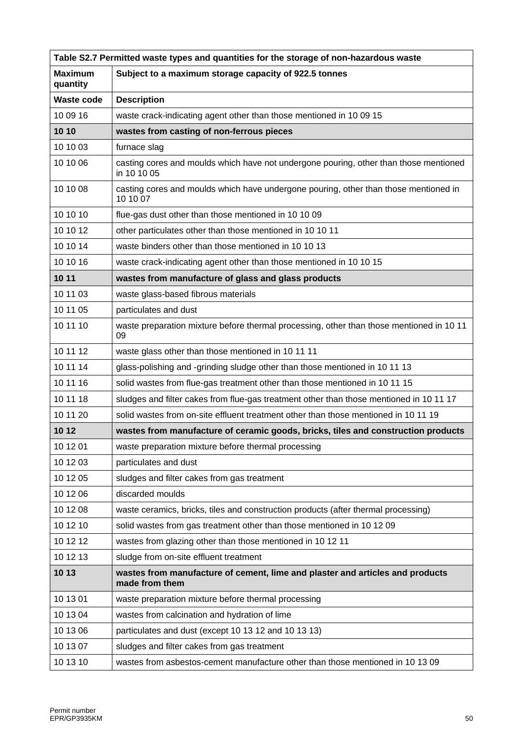| Table S2.7 Permitted waste types and quantities for the storage of non-hazardous waste |                                                                                                      |  |
|----------------------------------------------------------------------------------------|------------------------------------------------------------------------------------------------------|--|
| <b>Maximum</b><br>quantity                                                             | Subject to a maximum storage capacity of 922.5 tonnes                                                |  |
| <b>Waste code</b>                                                                      | <b>Description</b>                                                                                   |  |
| 10 09 16                                                                               | waste crack-indicating agent other than those mentioned in 10 09 15                                  |  |
| 10 10                                                                                  | wastes from casting of non-ferrous pieces                                                            |  |
| 10 10 03                                                                               | furnace slag                                                                                         |  |
| 10 10 06                                                                               | casting cores and moulds which have not undergone pouring, other than those mentioned<br>in 10 10 05 |  |
| 10 10 08                                                                               | casting cores and moulds which have undergone pouring, other than those mentioned in<br>10 10 07     |  |
| 10 10 10                                                                               | flue-gas dust other than those mentioned in 10 10 09                                                 |  |
| 10 10 12                                                                               | other particulates other than those mentioned in 10 10 11                                            |  |
| 10 10 14                                                                               | waste binders other than those mentioned in 10 10 13                                                 |  |
| 10 10 16                                                                               | waste crack-indicating agent other than those mentioned in 10 10 15                                  |  |
| 10 11                                                                                  | wastes from manufacture of glass and glass products                                                  |  |
| 10 11 03                                                                               | waste glass-based fibrous materials                                                                  |  |
| 10 11 05                                                                               | particulates and dust                                                                                |  |
| 10 11 10                                                                               | waste preparation mixture before thermal processing, other than those mentioned in 10 11<br>09       |  |
| 10 11 12                                                                               | waste glass other than those mentioned in 10 11 11                                                   |  |
| 10 11 14                                                                               | glass-polishing and -grinding sludge other than those mentioned in 10 11 13                          |  |
| 10 11 16                                                                               | solid wastes from flue-gas treatment other than those mentioned in 10 11 15                          |  |
| 10 11 18                                                                               | sludges and filter cakes from flue-gas treatment other than those mentioned in 10 11 17              |  |
| 10 11 20                                                                               | solid wastes from on-site effluent treatment other than those mentioned in 10 11 19                  |  |
| 10 12                                                                                  | wastes from manufacture of ceramic goods, bricks, tiles and construction products                    |  |
| 10 12 01                                                                               | waste preparation mixture before thermal processing                                                  |  |
| 10 12 03                                                                               | particulates and dust                                                                                |  |
| 10 12 05                                                                               | sludges and filter cakes from gas treatment                                                          |  |
| 10 12 06                                                                               | discarded moulds                                                                                     |  |
| 10 12 08                                                                               | waste ceramics, bricks, tiles and construction products (after thermal processing)                   |  |
| 10 12 10                                                                               | solid wastes from gas treatment other than those mentioned in 10 12 09                               |  |
| 10 12 12                                                                               | wastes from glazing other than those mentioned in 10 12 11                                           |  |
| 10 12 13                                                                               | sludge from on-site effluent treatment                                                               |  |
| 10 13                                                                                  | wastes from manufacture of cement, lime and plaster and articles and products<br>made from them      |  |
| 10 13 01                                                                               | waste preparation mixture before thermal processing                                                  |  |
| 10 13 04                                                                               | wastes from calcination and hydration of lime                                                        |  |
| 10 13 06                                                                               | particulates and dust (except 10 13 12 and 10 13 13)                                                 |  |
| 10 13 07                                                                               | sludges and filter cakes from gas treatment                                                          |  |
| 10 13 10                                                                               | wastes from asbestos-cement manufacture other than those mentioned in 10 13 09                       |  |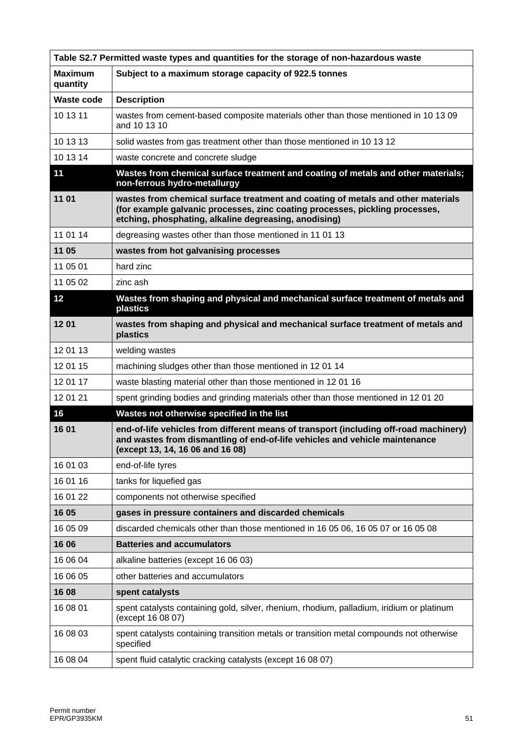| Table S2.7 Permitted waste types and quantities for the storage of non-hazardous waste |                                                                                                                                                                                                                           |  |
|----------------------------------------------------------------------------------------|---------------------------------------------------------------------------------------------------------------------------------------------------------------------------------------------------------------------------|--|
| <b>Maximum</b><br>quantity                                                             | Subject to a maximum storage capacity of 922.5 tonnes                                                                                                                                                                     |  |
| <b>Waste code</b>                                                                      | <b>Description</b>                                                                                                                                                                                                        |  |
| 10 13 11                                                                               | wastes from cement-based composite materials other than those mentioned in 10 13 09<br>and 10 13 10                                                                                                                       |  |
| 10 13 13                                                                               | solid wastes from gas treatment other than those mentioned in 10 13 12                                                                                                                                                    |  |
| 10 13 14                                                                               | waste concrete and concrete sludge                                                                                                                                                                                        |  |
| 11                                                                                     | Wastes from chemical surface treatment and coating of metals and other materials;<br>non-ferrous hydro-metallurgy                                                                                                         |  |
| 11 01                                                                                  | wastes from chemical surface treatment and coating of metals and other materials<br>(for example galvanic processes, zinc coating processes, pickling processes,<br>etching, phosphating, alkaline degreasing, anodising) |  |
| 11 01 14                                                                               | degreasing wastes other than those mentioned in 11 01 13                                                                                                                                                                  |  |
| 11 05                                                                                  | wastes from hot galvanising processes                                                                                                                                                                                     |  |
| 11 05 01                                                                               | hard zinc                                                                                                                                                                                                                 |  |
| 11 05 02                                                                               | zinc ash                                                                                                                                                                                                                  |  |
| 12                                                                                     | Wastes from shaping and physical and mechanical surface treatment of metals and<br>plastics                                                                                                                               |  |
| 1201                                                                                   | wastes from shaping and physical and mechanical surface treatment of metals and<br>plastics                                                                                                                               |  |
| 12 01 13                                                                               | welding wastes                                                                                                                                                                                                            |  |
| 12 01 15                                                                               | machining sludges other than those mentioned in 12 01 14                                                                                                                                                                  |  |
| 12 01 17                                                                               | waste blasting material other than those mentioned in 12 01 16                                                                                                                                                            |  |
| 12 01 21                                                                               | spent grinding bodies and grinding materials other than those mentioned in 12 01 20                                                                                                                                       |  |
| 16                                                                                     | Wastes not otherwise specified in the list                                                                                                                                                                                |  |
| 16 01                                                                                  | end-of-life vehicles from different means of transport (including off-road machinery)<br>and wastes from dismantling of end-of-life vehicles and vehicle maintenance<br>(except 13, 14, 16 06 and 16 08)                  |  |
| 16 01 03                                                                               | end-of-life tyres                                                                                                                                                                                                         |  |
| 16 01 16                                                                               | tanks for liquefied gas                                                                                                                                                                                                   |  |
| 16 01 22                                                                               | components not otherwise specified                                                                                                                                                                                        |  |
| 16 05                                                                                  | gases in pressure containers and discarded chemicals                                                                                                                                                                      |  |
| 16 05 09                                                                               | discarded chemicals other than those mentioned in 16 05 06, 16 05 07 or 16 05 08                                                                                                                                          |  |
| 16 06                                                                                  | <b>Batteries and accumulators</b>                                                                                                                                                                                         |  |
| 16 06 04                                                                               | alkaline batteries (except 16 06 03)                                                                                                                                                                                      |  |
| 16 06 05                                                                               | other batteries and accumulators                                                                                                                                                                                          |  |
| 16 08                                                                                  | spent catalysts                                                                                                                                                                                                           |  |
| 16 08 01                                                                               | spent catalysts containing gold, silver, rhenium, rhodium, palladium, iridium or platinum<br>(except 16 08 07)                                                                                                            |  |
| 16 08 03                                                                               | spent catalysts containing transition metals or transition metal compounds not otherwise<br>specified                                                                                                                     |  |
| 16 08 04                                                                               | spent fluid catalytic cracking catalysts (except 16 08 07)                                                                                                                                                                |  |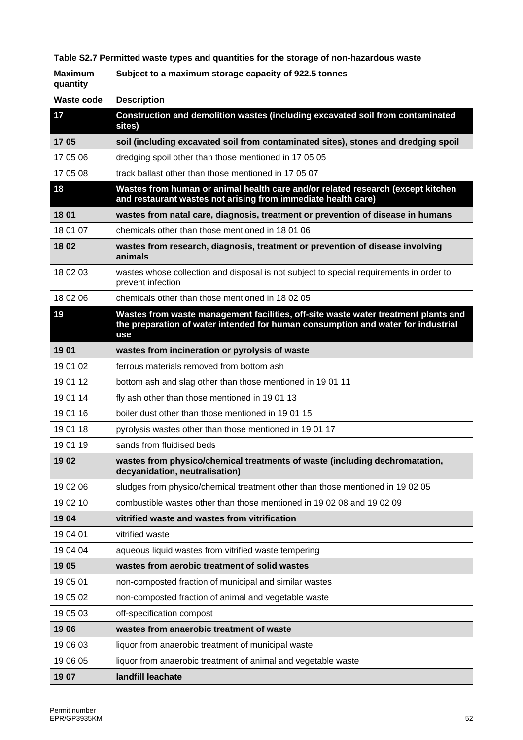| Table S2.7 Permitted waste types and quantities for the storage of non-hazardous waste |                                                                                                                                                                                      |
|----------------------------------------------------------------------------------------|--------------------------------------------------------------------------------------------------------------------------------------------------------------------------------------|
| <b>Maximum</b><br>quantity                                                             | Subject to a maximum storage capacity of 922.5 tonnes                                                                                                                                |
| <b>Waste code</b>                                                                      | <b>Description</b>                                                                                                                                                                   |
| 17                                                                                     | Construction and demolition wastes (including excavated soil from contaminated<br>sites)                                                                                             |
| 1705                                                                                   | soil (including excavated soil from contaminated sites), stones and dredging spoil                                                                                                   |
| 17 05 06                                                                               | dredging spoil other than those mentioned in 17 05 05                                                                                                                                |
| 17 05 08                                                                               | track ballast other than those mentioned in 17 05 07                                                                                                                                 |
| 18                                                                                     | Wastes from human or animal health care and/or related research (except kitchen<br>and restaurant wastes not arising from immediate health care)                                     |
| 18 01                                                                                  | wastes from natal care, diagnosis, treatment or prevention of disease in humans                                                                                                      |
| 18 01 07                                                                               | chemicals other than those mentioned in 18 01 06                                                                                                                                     |
| 1802                                                                                   | wastes from research, diagnosis, treatment or prevention of disease involving<br>animals                                                                                             |
| 18 02 03                                                                               | wastes whose collection and disposal is not subject to special requirements in order to<br>prevent infection                                                                         |
| 18 02 06                                                                               | chemicals other than those mentioned in 18 02 05                                                                                                                                     |
| 19                                                                                     | Wastes from waste management facilities, off-site waste water treatment plants and<br>the preparation of water intended for human consumption and water for industrial<br><b>use</b> |
| 1901                                                                                   | wastes from incineration or pyrolysis of waste                                                                                                                                       |
| 19 01 02                                                                               | ferrous materials removed from bottom ash                                                                                                                                            |
| 19 01 12                                                                               | bottom ash and slag other than those mentioned in 19 01 11                                                                                                                           |
| 19 01 14                                                                               | fly ash other than those mentioned in 1901 13                                                                                                                                        |
| 19 01 16                                                                               | boiler dust other than those mentioned in 1901 15                                                                                                                                    |
| 19 01 18                                                                               | pyrolysis wastes other than those mentioned in 1901 17                                                                                                                               |
| 19 01 19                                                                               | sands from fluidised beds                                                                                                                                                            |
| 1902                                                                                   | wastes from physico/chemical treatments of waste (including dechromatation,<br>decyanidation, neutralisation)                                                                        |
| 19 02 06                                                                               | sludges from physico/chemical treatment other than those mentioned in 19 02 05                                                                                                       |
| 19 02 10                                                                               | combustible wastes other than those mentioned in 19 02 08 and 19 02 09                                                                                                               |
| 1904                                                                                   | vitrified waste and wastes from vitrification                                                                                                                                        |
| 19 04 01                                                                               | vitrified waste                                                                                                                                                                      |
| 19 04 04                                                                               | aqueous liquid wastes from vitrified waste tempering                                                                                                                                 |
| 1905                                                                                   | wastes from aerobic treatment of solid wastes                                                                                                                                        |
| 19 05 01                                                                               | non-composted fraction of municipal and similar wastes                                                                                                                               |
| 19 05 02                                                                               | non-composted fraction of animal and vegetable waste                                                                                                                                 |
| 19 05 03                                                                               | off-specification compost                                                                                                                                                            |
| 1906                                                                                   | wastes from anaerobic treatment of waste                                                                                                                                             |
| 19 06 03                                                                               | liquor from anaerobic treatment of municipal waste                                                                                                                                   |
| 19 06 05                                                                               | liquor from anaerobic treatment of animal and vegetable waste                                                                                                                        |
| 1907                                                                                   | landfill leachate                                                                                                                                                                    |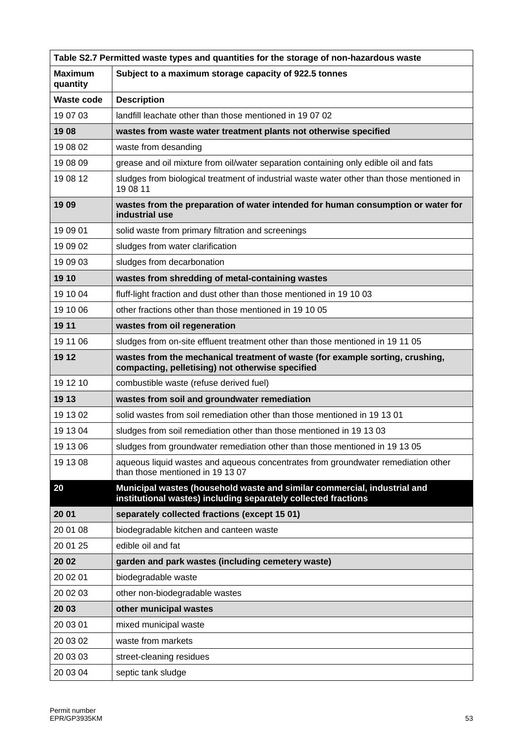| Table S2.7 Permitted waste types and quantities for the storage of non-hazardous waste |                                                                                                                                            |  |
|----------------------------------------------------------------------------------------|--------------------------------------------------------------------------------------------------------------------------------------------|--|
| <b>Maximum</b><br>quantity                                                             | Subject to a maximum storage capacity of 922.5 tonnes                                                                                      |  |
| <b>Waste code</b>                                                                      | <b>Description</b>                                                                                                                         |  |
| 19 07 03                                                                               | landfill leachate other than those mentioned in 190702                                                                                     |  |
| 1908                                                                                   | wastes from waste water treatment plants not otherwise specified                                                                           |  |
| 19 08 02                                                                               | waste from desanding                                                                                                                       |  |
| 19 08 09                                                                               | grease and oil mixture from oil/water separation containing only edible oil and fats                                                       |  |
| 19 08 12                                                                               | sludges from biological treatment of industrial waste water other than those mentioned in<br>19 08 11                                      |  |
| 1909                                                                                   | wastes from the preparation of water intended for human consumption or water for<br>industrial use                                         |  |
| 19 09 01                                                                               | solid waste from primary filtration and screenings                                                                                         |  |
| 19 09 02                                                                               | sludges from water clarification                                                                                                           |  |
| 19 09 03                                                                               | sludges from decarbonation                                                                                                                 |  |
| 19 10                                                                                  | wastes from shredding of metal-containing wastes                                                                                           |  |
| 19 10 04                                                                               | fluff-light fraction and dust other than those mentioned in 19 10 03                                                                       |  |
| 19 10 06                                                                               | other fractions other than those mentioned in 19 10 05                                                                                     |  |
| 19 11                                                                                  | wastes from oil regeneration                                                                                                               |  |
| 19 11 06                                                                               | sludges from on-site effluent treatment other than those mentioned in 19 11 05                                                             |  |
| 19 12                                                                                  | wastes from the mechanical treatment of waste (for example sorting, crushing,<br>compacting, pelletising) not otherwise specified          |  |
| 19 12 10                                                                               | combustible waste (refuse derived fuel)                                                                                                    |  |
| 19 13                                                                                  | wastes from soil and groundwater remediation                                                                                               |  |
| 19 13 02                                                                               | solid wastes from soil remediation other than those mentioned in 19 13 01                                                                  |  |
| 19 13 04                                                                               | sludges from soil remediation other than those mentioned in 19 13 03                                                                       |  |
| 19 13 06                                                                               | sludges from groundwater remediation other than those mentioned in 19 13 05                                                                |  |
| 19 13 08                                                                               | aqueous liquid wastes and aqueous concentrates from groundwater remediation other<br>than those mentioned in 19 13 07                      |  |
| 20                                                                                     | Municipal wastes (household waste and similar commercial, industrial and<br>institutional wastes) including separately collected fractions |  |
| 20 01                                                                                  | separately collected fractions (except 15 01)                                                                                              |  |
| 20 01 08                                                                               | biodegradable kitchen and canteen waste                                                                                                    |  |
| 20 01 25                                                                               | edible oil and fat                                                                                                                         |  |
| 20 02                                                                                  | garden and park wastes (including cemetery waste)                                                                                          |  |
| 20 02 01                                                                               | biodegradable waste                                                                                                                        |  |
| 20 02 03                                                                               | other non-biodegradable wastes                                                                                                             |  |
| 20 03                                                                                  | other municipal wastes                                                                                                                     |  |
| 20 03 01                                                                               | mixed municipal waste                                                                                                                      |  |
| 20 03 02                                                                               | waste from markets                                                                                                                         |  |
| 20 03 03                                                                               | street-cleaning residues                                                                                                                   |  |
| 20 03 04                                                                               | septic tank sludge                                                                                                                         |  |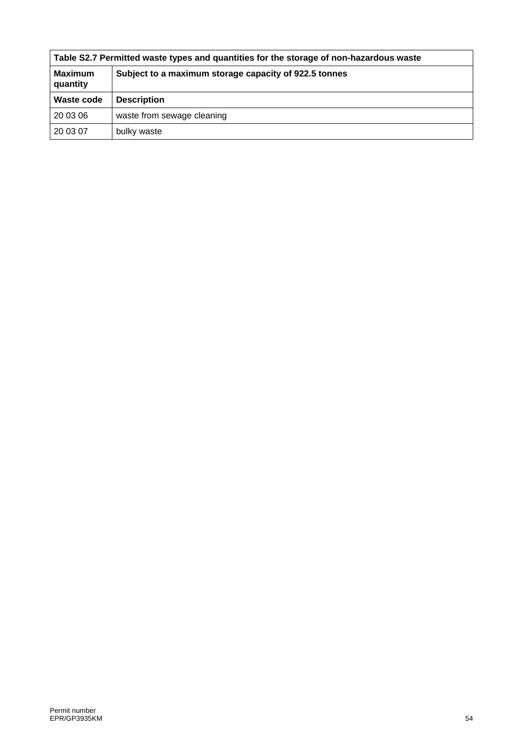| Table S2.7 Permitted waste types and quantities for the storage of non-hazardous waste |                                                       |  |  |
|----------------------------------------------------------------------------------------|-------------------------------------------------------|--|--|
| <b>Maximum</b><br>quantity                                                             | Subject to a maximum storage capacity of 922.5 tonnes |  |  |
| Waste code                                                                             | <b>Description</b>                                    |  |  |
| 20 03 06                                                                               | waste from sewage cleaning                            |  |  |
| 20 03 07                                                                               | bulky waste                                           |  |  |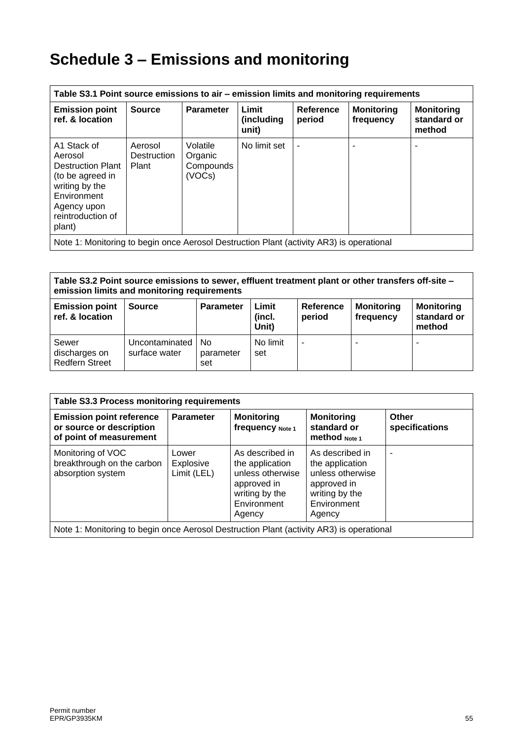# **Schedule 3 – Emissions and monitoring**

| Table S3.1 Point source emissions to air – emission limits and monitoring requirements                                                                |                                        |                                            |                              |                     |                                |                                            |
|-------------------------------------------------------------------------------------------------------------------------------------------------------|----------------------------------------|--------------------------------------------|------------------------------|---------------------|--------------------------------|--------------------------------------------|
| <b>Emission point</b><br>ref. & location                                                                                                              | <b>Source</b>                          | <b>Parameter</b>                           | Limit<br>(including<br>unit) | Reference<br>period | <b>Monitoring</b><br>frequency | <b>Monitoring</b><br>standard or<br>method |
| A1 Stack of<br>Aerosol<br><b>Destruction Plant</b><br>(to be agreed in<br>writing by the<br>Environment<br>Agency upon<br>reintroduction of<br>plant) | Aerosol<br><b>Destruction</b><br>Plant | Volatile<br>Organic<br>Compounds<br>(VOCs) | No limit set                 |                     |                                |                                            |
| Note 1: Monitoring to begin once Aerosol Destruction Plant (activity AR3) is operational                                                              |                                        |                                            |                              |                     |                                |                                            |

**Table S3.2 Point source emissions to sewer, effluent treatment plant or other transfers off-site – emission limits and monitoring requirements**

| <b>Emission point</b><br>ref. & location        | <b>Source</b>                     | <b>Parameter</b>                   | Limit<br>(incl.<br>Unit) | Reference<br>period      | <b>Monitoring</b><br>frequency | <b>Monitoring</b><br>standard or<br>method |
|-------------------------------------------------|-----------------------------------|------------------------------------|--------------------------|--------------------------|--------------------------------|--------------------------------------------|
| Sewer<br>discharges on<br><b>Redfern Street</b> | Uncontaminated  <br>surface water | N <sub>0</sub><br>parameter<br>set | No limit<br>set          | $\overline{\phantom{a}}$ | -                              | -                                          |

| <b>Parameter</b>                  | <b>Monitoring</b><br>frequency Note 1                                                                            | <b>Monitoring</b><br>standard or<br><b>method</b> Note 1                                                         | Other<br>specifications                                                                  |
|-----------------------------------|------------------------------------------------------------------------------------------------------------------|------------------------------------------------------------------------------------------------------------------|------------------------------------------------------------------------------------------|
| Lower<br>Explosive<br>Limit (LEL) | As described in<br>the application<br>unless otherwise<br>approved in<br>writing by the<br>Environment<br>Agency | As described in<br>the application<br>unless otherwise<br>approved in<br>writing by the<br>Environment<br>Agency | ۰                                                                                        |
|                                   |                                                                                                                  |                                                                                                                  | Note 1: Monitoring to begin once Aerosol Destruction Plant (activity AR3) is operational |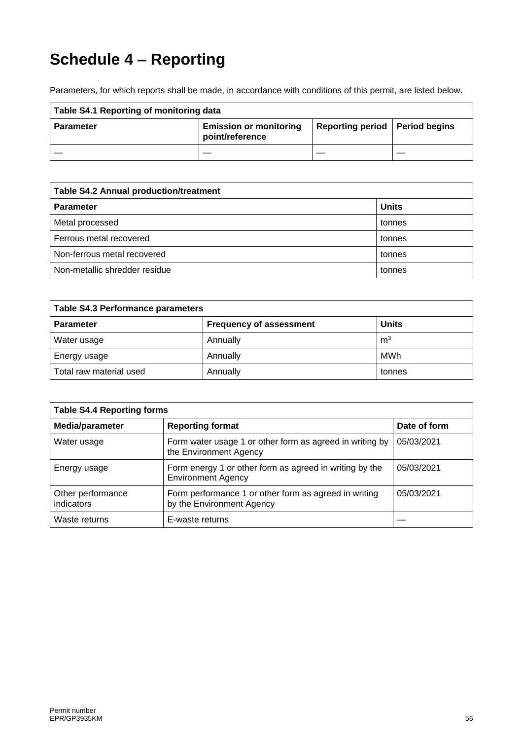# **Schedule 4 – Reporting**

Parameters, for which reports shall be made, in accordance with conditions of this permit, are listed below.

| Table S4.1 Reporting of monitoring data |                                                  |                                  |  |
|-----------------------------------------|--------------------------------------------------|----------------------------------|--|
| <b>Parameter</b>                        | <b>Emission or monitoring</b><br>point/reference | Reporting period   Period begins |  |
|                                         |                                                  |                                  |  |

| <b>Table S4.2 Annual production/treatment</b> |              |  |  |
|-----------------------------------------------|--------------|--|--|
| <b>Parameter</b>                              | <b>Units</b> |  |  |
| Metal processed                               | tonnes       |  |  |
| Ferrous metal recovered                       | tonnes       |  |  |
| Non-ferrous metal recovered<br>tonnes         |              |  |  |
| Non-metallic shredder residue<br>tonnes       |              |  |  |

| <b>Table S4.3 Performance parameters</b> |                                |                |  |  |
|------------------------------------------|--------------------------------|----------------|--|--|
| <b>Parameter</b>                         | <b>Frequency of assessment</b> | <b>Units</b>   |  |  |
| Water usage                              | Annually                       | m <sup>3</sup> |  |  |
| Energy usage                             | Annually                       | <b>MWh</b>     |  |  |
| Total raw material used                  | Annually                       | tonnes         |  |  |

| <b>Table S4.4 Reporting forms</b> |                                                                                      |              |  |  |
|-----------------------------------|--------------------------------------------------------------------------------------|--------------|--|--|
| Media/parameter                   | <b>Reporting format</b>                                                              | Date of form |  |  |
| Water usage                       | Form water usage 1 or other form as agreed in writing by<br>the Environment Agency   | 05/03/2021   |  |  |
| Energy usage                      | Form energy 1 or other form as agreed in writing by the<br><b>Environment Agency</b> | 05/03/2021   |  |  |
| Other performance<br>indicators   | Form performance 1 or other form as agreed in writing<br>by the Environment Agency   | 05/03/2021   |  |  |
| Waste returns                     | E-waste returns                                                                      |              |  |  |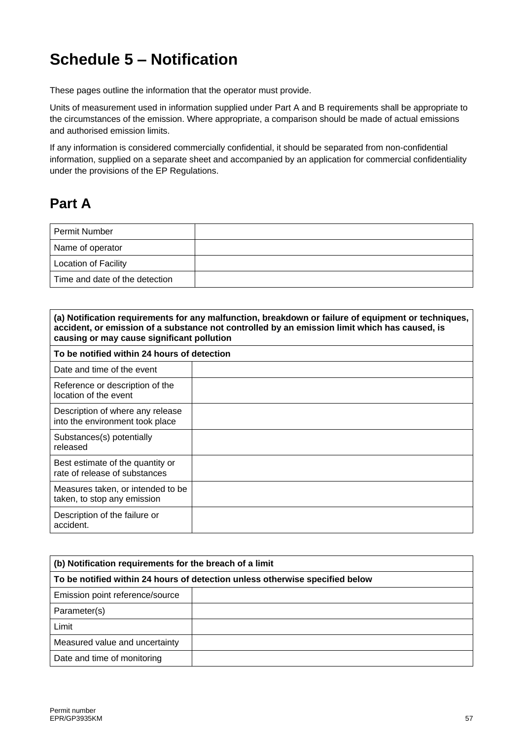# **Schedule 5 – Notification**

These pages outline the information that the operator must provide.

Units of measurement used in information supplied under Part A and B requirements shall be appropriate to the circumstances of the emission. Where appropriate, a comparison should be made of actual emissions and authorised emission limits.

If any information is considered commercially confidential, it should be separated from non-confidential information, supplied on a separate sheet and accompanied by an application for commercial confidentiality under the provisions of the EP Regulations.

## **Part A**

| <b>Permit Number</b>           |  |
|--------------------------------|--|
| Name of operator               |  |
| <b>Location of Facility</b>    |  |
| Time and date of the detection |  |

| (a) Notification requirements for any malfunction, breakdown or failure of equipment or techniques,<br>accident, or emission of a substance not controlled by an emission limit which has caused, is<br>causing or may cause significant pollution |  |  |  |
|----------------------------------------------------------------------------------------------------------------------------------------------------------------------------------------------------------------------------------------------------|--|--|--|
| To be notified within 24 hours of detection                                                                                                                                                                                                        |  |  |  |
| Date and time of the event                                                                                                                                                                                                                         |  |  |  |
| Reference or description of the<br>location of the event                                                                                                                                                                                           |  |  |  |
| Description of where any release<br>into the environment took place                                                                                                                                                                                |  |  |  |
| Substances(s) potentially<br>released                                                                                                                                                                                                              |  |  |  |
| Best estimate of the quantity or<br>rate of release of substances                                                                                                                                                                                  |  |  |  |
| Measures taken, or intended to be<br>taken, to stop any emission                                                                                                                                                                                   |  |  |  |
| Description of the failure or<br>accident.                                                                                                                                                                                                         |  |  |  |

| (b) Notification requirements for the breach of a limit                      |  |  |  |
|------------------------------------------------------------------------------|--|--|--|
| To be notified within 24 hours of detection unless otherwise specified below |  |  |  |
| Emission point reference/source                                              |  |  |  |
| Parameter(s)                                                                 |  |  |  |
| Limit                                                                        |  |  |  |
| Measured value and uncertainty                                               |  |  |  |
| Date and time of monitoring                                                  |  |  |  |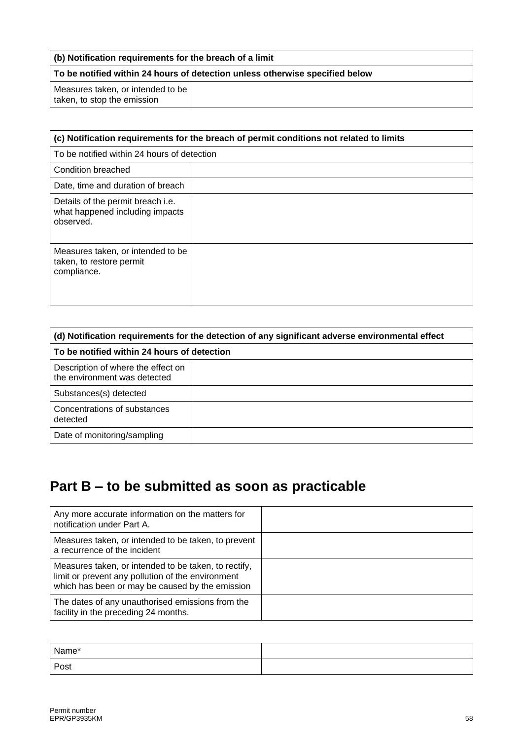#### **(b) Notification requirements for the breach of a limit**

### **To be notified within 24 hours of detection unless otherwise specified below**

Measures taken, or intended to be taken, to stop the emission

| (c) Notification requirements for the breach of permit conditions not related to limits  |  |  |
|------------------------------------------------------------------------------------------|--|--|
| To be notified within 24 hours of detection                                              |  |  |
| Condition breached                                                                       |  |  |
| Date, time and duration of breach                                                        |  |  |
| Details of the permit breach <i>i.e.</i><br>what happened including impacts<br>observed. |  |  |
| Measures taken, or intended to be<br>taken, to restore permit<br>compliance.             |  |  |

| (d) Notification requirements for the detection of any significant adverse environmental effect |  |  |  |
|-------------------------------------------------------------------------------------------------|--|--|--|
| To be notified within 24 hours of detection                                                     |  |  |  |
| Description of where the effect on<br>the environment was detected                              |  |  |  |
| Substances(s) detected                                                                          |  |  |  |
| Concentrations of substances<br>detected                                                        |  |  |  |
| Date of monitoring/sampling                                                                     |  |  |  |

## **Part B – to be submitted as soon as practicable**

| Any more accurate information on the matters for<br>notification under Part A.                                                                               |  |
|--------------------------------------------------------------------------------------------------------------------------------------------------------------|--|
| Measures taken, or intended to be taken, to prevent<br>a recurrence of the incident                                                                          |  |
| Measures taken, or intended to be taken, to rectify,<br>limit or prevent any pollution of the environment<br>which has been or may be caused by the emission |  |
| The dates of any unauthorised emissions from the<br>facility in the preceding 24 months.                                                                     |  |

| Name* |  |
|-------|--|
| Post  |  |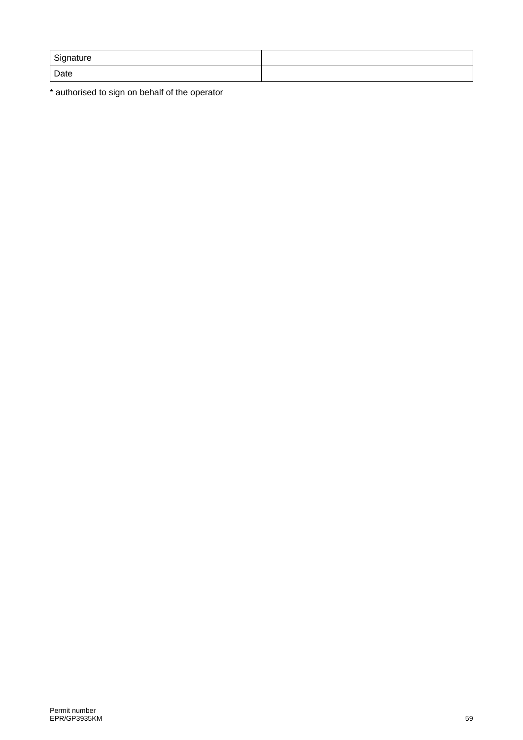| Signature |  |
|-----------|--|
| Date      |  |

\* authorised to sign on behalf of the operator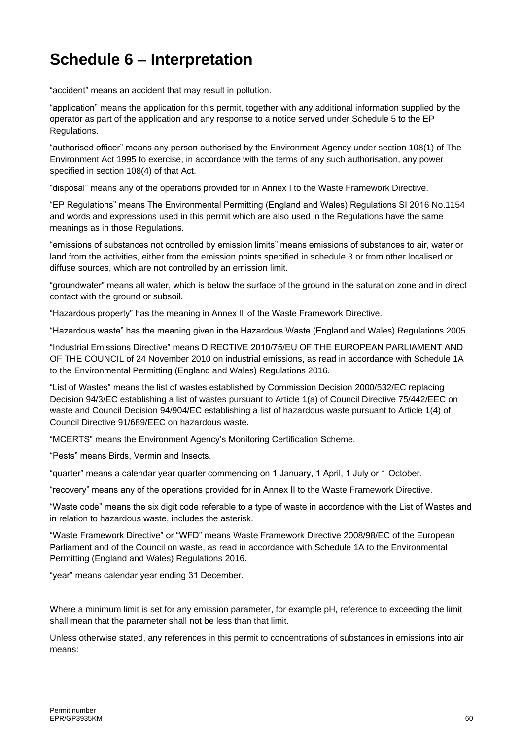# **Schedule 6 – Interpretation**

"accident" means an accident that may result in pollution.

"application" means the application for this permit, together with any additional information supplied by the operator as part of the application and any response to a notice served under Schedule 5 to the EP Regulations.

"authorised officer" means any person authorised by the Environment Agency under section 108(1) of The Environment Act 1995 to exercise, in accordance with the terms of any such authorisation, any power specified in section 108(4) of that Act.

"disposal" means any of the operations provided for in Annex I to the Waste Framework Directive.

"EP Regulations" means The Environmental Permitting (England and Wales) Regulations SI 2016 No.1154 and words and expressions used in this permit which are also used in the Regulations have the same meanings as in those Regulations.

"emissions of substances not controlled by emission limits" means emissions of substances to air, water or land from the activities, either from the emission points specified in schedule 3 or from other localised or diffuse sources, which are not controlled by an emission limit.

"groundwater" means all water, which is below the surface of the ground in the saturation zone and in direct contact with the ground or subsoil.

"Hazardous property" has the meaning in Annex lll of the Waste Framework Directive.

"Hazardous waste" has the meaning given in the Hazardous Waste (England and Wales) Regulations 2005.

"Industrial Emissions Directive" means DIRECTIVE 2010/75/EU OF THE EUROPEAN PARLIAMENT AND OF THE COUNCIL of 24 November 2010 on industrial emissions, as read in accordance with Schedule 1A to the Environmental Permitting (England and Wales) Regulations 2016.

"List of Wastes" means the list of wastes established by Commission Decision [2000/532/EC](http://www.legislation.gov.uk/european/decision/2000/0532) replacing Decision [94/3/EC](http://www.legislation.gov.uk/european/decision/1994/0003) establishing a list of wastes pursuant to Article 1(a) of Council Directive [75/442/EEC](http://www.legislation.gov.uk/european/directive/1975/0442) on waste and Council Decision [94/904/EC](http://www.legislation.gov.uk/european/decision/1994/0904) establishing a list of hazardous waste pursuant to Article 1(4) of Council Directive [91/689/EEC](http://www.legislation.gov.uk/european/decision/1991/0689) on hazardous waste.

"MCERTS" means the Environment Agency's Monitoring Certification Scheme.

"Pests" means Birds, Vermin and Insects.

"quarter" means a calendar year quarter commencing on 1 January, 1 April, 1 July or 1 October.

"recovery" means any of the operations provided for in Annex II to the Waste Framework Directive.

"Waste code" means the six digit code referable to a type of waste in accordance with the List of Wastes and in relation to hazardous waste, includes the asterisk.

"Waste Framework Directive" or "WFD" means Waste Framework Directive 2008/98/EC of the European Parliament and of the Council on waste, as read in accordance with Schedule 1A to the Environmental Permitting (England and Wales) Regulations 2016.

"year" means calendar year ending 31 December.

Where a minimum limit is set for any emission parameter, for example pH, reference to exceeding the limit shall mean that the parameter shall not be less than that limit.

Unless otherwise stated, any references in this permit to concentrations of substances in emissions into air means: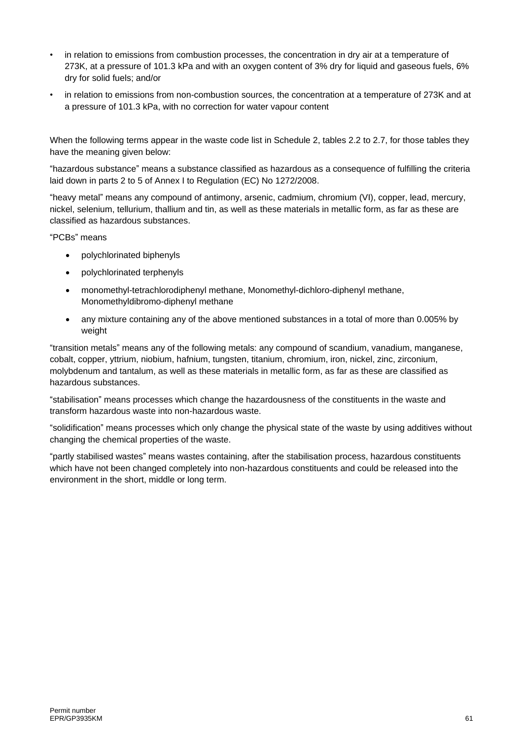- in relation to emissions from combustion processes, the concentration in dry air at a temperature of 273K, at a pressure of 101.3 kPa and with an oxygen content of 3% dry for liquid and gaseous fuels, 6% dry for solid fuels; and/or
- in relation to emissions from non-combustion sources, the concentration at a temperature of 273K and at a pressure of 101.3 kPa, with no correction for water vapour content

When the following terms appear in the waste code list in Schedule 2, tables 2.2 to 2.7, for those tables they have the meaning given below:

"hazardous substance" means a substance classified as hazardous as a consequence of fulfilling the criteria laid down in parts 2 to 5 of Annex I to Regulation (EC) No 1272/2008.

"heavy metal" means any compound of antimony, arsenic, cadmium, chromium (VI), copper, lead, mercury, nickel, selenium, tellurium, thallium and tin, as well as these materials in metallic form, as far as these are classified as hazardous substances.

"PCBs" means

- polychlorinated biphenyls
- polychlorinated terphenyls
- monomethyl-tetrachlorodiphenyl methane, Monomethyl-dichloro-diphenyl methane, Monomethyldibromo-diphenyl methane
- any mixture containing any of the above mentioned substances in a total of more than 0.005% by weight

"transition metals" means any of the following metals: any compound of scandium, vanadium, manganese, cobalt, copper, yttrium, niobium, hafnium, tungsten, titanium, chromium, iron, nickel, zinc, zirconium, molybdenum and tantalum, as well as these materials in metallic form, as far as these are classified as hazardous substances.

"stabilisation" means processes which change the hazardousness of the constituents in the waste and transform hazardous waste into non-hazardous waste.

"solidification" means processes which only change the physical state of the waste by using additives without changing the chemical properties of the waste.

"partly stabilised wastes" means wastes containing, after the stabilisation process, hazardous constituents which have not been changed completely into non-hazardous constituents and could be released into the environment in the short, middle or long term.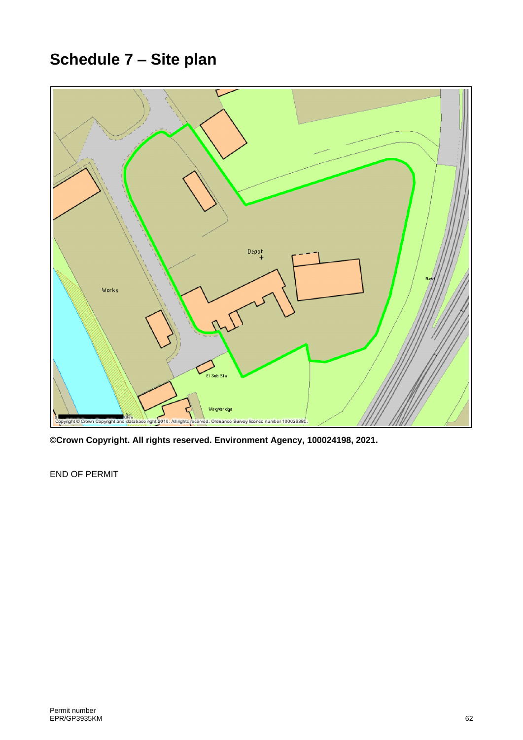# **Schedule 7 – Site plan**



**©Crown Copyright. All rights reserved. Environment Agency, 100024198, 2021.**

END OF PERMIT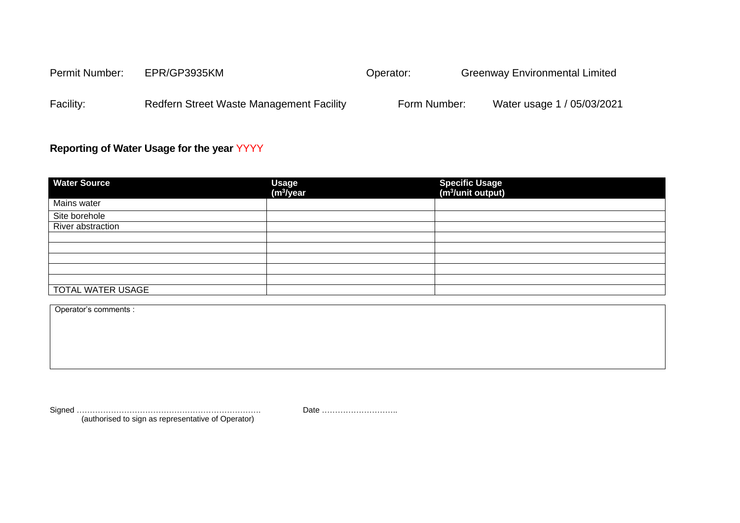| <b>Permit Number:</b> | EPR/GP3935KM                                    | Operator:    | <b>Greenway Environmental Limited</b> |
|-----------------------|-------------------------------------------------|--------------|---------------------------------------|
| Facility:             | <b>Redfern Street Waste Management Facility</b> | Form Number: | Water usage 1 / 05/03/2021            |

### **Reporting of Water Usage for the year** YYYY

| <b>Water Source</b> | Usage<br>(m <sup>3</sup> /year | Specific Usage<br>(m <sup>3</sup> /unit output) |
|---------------------|--------------------------------|-------------------------------------------------|
| Mains water         |                                |                                                 |
| Site borehole       |                                |                                                 |
| River abstraction   |                                |                                                 |
|                     |                                |                                                 |
|                     |                                |                                                 |
|                     |                                |                                                 |
|                     |                                |                                                 |
|                     |                                |                                                 |
| TOTAL WATER USAGE   |                                |                                                 |

Operator's comments :

Signed ……………………………………………………………. Date ……………………….. (authorised to sign as representative of Operator)

<span id="page-62-1"></span><span id="page-62-0"></span>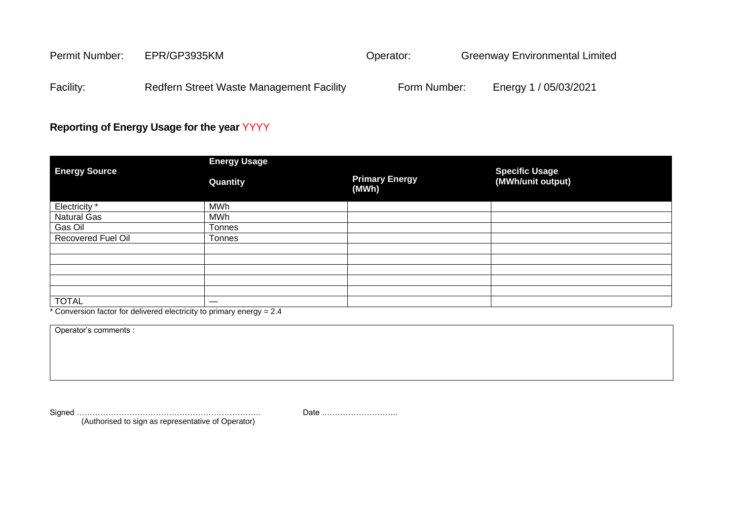| Permit Number: | EPR/GP3935KM                             | Operator:    | <b>Greenway Environmental Limited</b> |
|----------------|------------------------------------------|--------------|---------------------------------------|
| Facility:      | Redfern Street Waste Management Facility | Form Number: | Energy 1 / 05/03/2021                 |

### **Reporting of Energy Usage for the year** YYYY

|                           | <b>Energy Usage</b> |                                |                                            |
|---------------------------|---------------------|--------------------------------|--------------------------------------------|
| <b>Energy Source</b>      | Quantity            | <b>Primary Energy</b><br>(MWh) | <b>Specific Usage</b><br>(MWh/unit output) |
| Electricity *             | <b>MWh</b>          |                                |                                            |
| Natural Gas               | MWh                 |                                |                                            |
| Gas Oil                   | Tonnes              |                                |                                            |
| <b>Recovered Fuel Oil</b> | Tonnes              |                                |                                            |
|                           |                     |                                |                                            |
|                           |                     |                                |                                            |
|                           |                     |                                |                                            |
|                           |                     |                                |                                            |
|                           |                     |                                |                                            |
| <b>TOTAL</b>              |                     |                                |                                            |

\* Conversion factor for delivered electricity to primary energy = 2.4

(Authorised to sign as representative of Operator)

Operator's comments :

Signed ……………………………………………………………. Date ………………………..